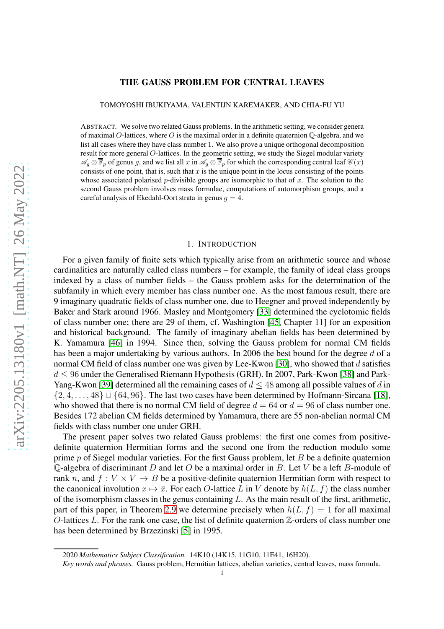# arXiv:2205.13180v1 [math.NT] 26 May 2022 [arXiv:2205.13180v1 \[math.NT\] 26 May 2022](http://arxiv.org/abs/2205.13180v1)

# THE GAUSS PROBLEM FOR CENTRAL LEAVES

TOMOYOSHI IBUKIYAMA, VALENTIJN KAREMAKER, AND CHIA-FU YU

ABSTRACT. We solve two related Gauss problems. In the arithmetic setting, we consider genera of maximal O-lattices, where O is the maximal order in a definite quaternion  $\mathbb{O}$ -algebra, and we list all cases where they have class number 1. We also prove a unique orthogonal decomposition result for more general O-lattices. In the geometric setting, we study the Siegel modular variety  $\mathscr{A}_q \otimes \overline{\mathbb{F}}_p$  of genus g, and we list all x in  $\mathscr{A}_q \otimes \overline{\mathbb{F}}_p$  for which the corresponding central leaf  $\mathscr{C}(x)$ consists of one point, that is, such that  $x$  is the unique point in the locus consisting of the points whose associated polarised p-divisible groups are isomorphic to that of x. The solution to the second Gauss problem involves mass formulae, computations of automorphism groups, and a careful analysis of Ekedahl-Oort strata in genus  $q = 4$ .

#### 1. INTRODUCTION

For a given family of finite sets which typically arise from an arithmetic source and whose cardinalities are naturally called class numbers – for example, the family of ideal class groups indexed by a class of number fields – the Gauss problem asks for the determination of the subfamily in which every member has class number one. As the most famous result, there are 9 imaginary quadratic fields of class number one, due to Heegner and proved independently by Baker and Stark around 1966. Masley and Montgomery [\[33\]](#page-37-0) determined the cyclotomic fields of class number one; there are 29 of them, cf. Washington [\[45,](#page-37-1) Chapter 11] for an exposition and historical background. The family of imaginary abelian fields has been determined by K. Yamamura [\[46\]](#page-37-2) in 1994. Since then, solving the Gauss problem for normal CM fields has been a major undertaking by various authors. In 2006 the best bound for the degree d of a normal CM field of class number one was given by Lee-Kwon [\[30\]](#page-37-3), who showed that d satisfies  $d \leq 96$  under the Generalised Riemann Hypothesis (GRH). In 2007, Park-Kwon [\[38\]](#page-37-4) and Park-Yang-Kwon [\[39\]](#page-37-5) determined all the remaining cases of  $d \leq 48$  among all possible values of d in  $\{2, 4, \ldots, 48\} \cup \{64, 96\}$ . The last two cases have been determined by Hofmann-Sircana [\[18\]](#page-36-0), who showed that there is no normal CM field of degree  $d = 64$  or  $d = 96$  of class number one. Besides 172 abelian CM fields determined by Yamamura, there are 55 non-abelian normal CM fields with class number one under GRH.

The present paper solves two related Gauss problems: the first one comes from positivedefinite quaternion Hermitian forms and the second one from the reduction modulo some prime  $p$  of Siegel modular varieties. For the first Gauss problem, let  $B$  be a definite quaternion Q-algebra of discriminant D and let O be a maximal order in B. Let V be a left B-module of rank n, and  $f: V \times V \rightarrow B$  be a positive-definite quaternion Hermitian form with respect to the canonical involution  $x \mapsto \bar{x}$ . For each O-lattice L in V denote by  $h(L, f)$  the class number of the isomorphism classes in the genus containing  $L$ . As the main result of the first, arithmetic, part of this paper, in Theorem [2.9](#page-8-0) we determine precisely when  $h(L, f) = 1$  for all maximal O-lattices L. For the rank one case, the list of definite quaternion  $\mathbb{Z}$ -orders of class number one has been determined by Brzezinski [\[5\]](#page-36-1) in 1995.

<sup>2020</sup> *Mathematics Subject Classification.* 14K10 (14K15, 11G10, 11E41, 16H20).

*Key words and phrases.* Gauss problem, Hermitian lattices, abelian varieties, central leaves, mass formula.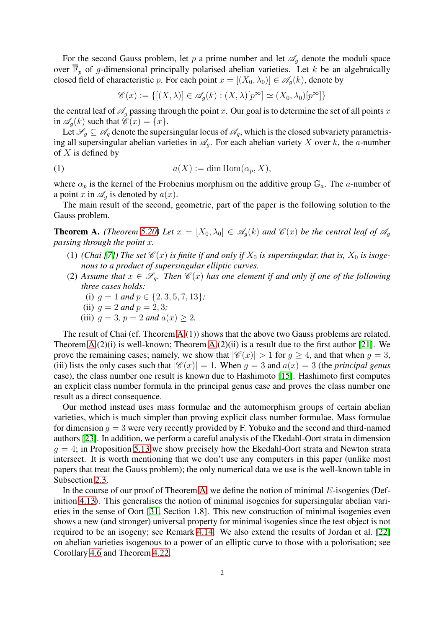For the second Gauss problem, let p a prime number and let  $\mathscr{A}_g$  denote the moduli space over  $\overline{\mathbb{F}}_p$  of g-dimensional principally polarised abelian varieties. Let k be an algebraically closed field of characteristic p. For each point  $x = [(X_0, \lambda_0)] \in \mathscr{A}_a(k)$ , denote by

$$
\mathscr{C}(x) := \{ [(X, \lambda)] \in \mathscr{A}_g(k) : (X, \lambda)[p^{\infty}] \simeq (X_0, \lambda_0)[p^{\infty}] \}
$$

the central leaf of  $\mathcal{A}_q$  passing through the point x. Our goal is to determine the set of all points x in  $\mathscr{A}_{q}(k)$  such that  $\mathscr{C}(x) = \{x\}.$ 

Let  $\mathscr{S}_g \subseteq \mathscr{A}_g$  denote the supersingular locus of  $\mathscr{A}_g$ , which is the closed subvariety parametrising all supersingular abelian varieties in  $\mathscr{A}_a$ . For each abelian variety X over k, the a-number of  $X$  is defined by

(1) 
$$
a(X) := \dim \text{Hom}(\alpha_p, X),
$$

where  $\alpha_p$  is the kernel of the Frobenius morphism on the additive group  $\mathbb{G}_a$ . The a-number of a point x in  $\mathscr{A}_q$  is denoted by  $a(x)$ .

The main result of the second, geometric, part of the paper is the following solution to the Gauss problem.

<span id="page-1-0"></span>**Theorem A.** *(Theorem [5.20\)](#page-35-0)* Let  $x = [X_0, \lambda_0] \in \mathscr{A}_q(k)$  and  $\mathscr{C}(x)$  be the central leaf of  $\mathscr{A}_q$ *passing through the point* x*.*

- (1) *(Chai [\[7\]](#page-36-2))* The set  $\mathcal{C}(x)$  *is finite if and only if*  $X_0$  *is supersingular, that is,*  $X_0$  *is isogenous to a product of supersingular elliptic curves.*
- (2) Assume that  $x \in \mathscr{S}_q$ . Then  $\mathscr{C}(x)$  has one element if and only if one of the following *three cases holds:*
	- (i)  $g = 1$  *and*  $p \in \{2, 3, 5, 7, 13\}$ ;
	- (ii)  $q = 2$  *and*  $p = 2, 3;$
	- (iii)  $q = 3$ ,  $p = 2$  *and*  $a(x) > 2$ .

The result of Chai (cf. Theorem [A.](#page-1-0)(1)) shows that the above two Gauss problems are related. Theorem  $A(2)(i)$  is well-known; Theorem  $A(2)(ii)$  is a result due to the first author [\[21\]](#page-36-3). We prove the remaining cases; namely, we show that  $|\mathscr{C}(x)| > 1$  for  $q > 4$ , and that when  $q = 3$ , (iii) lists the only cases such that  $|\mathscr{C}(x)| = 1$ . When  $g = 3$  and  $a(x) = 3$  (the *principal genus* case), the class number one result is known due to Hashimoto [\[15\]](#page-36-4). Hashimoto first computes an explicit class number formula in the principal genus case and proves the class number one result as a direct consequence.

Our method instead uses mass formulae and the automorphism groups of certain abelian varieties, which is much simpler than proving explicit class number formulae. Mass formulae for dimension  $g = 3$  were very recently provided by F. Yobuko and the second and third-named authors [\[23\]](#page-36-5). In addition, we perform a careful analysis of the Ekedahl-Oort strata in dimension  $g = 4$ ; in Proposition 5.13 we show precisely how the Ekedahl-Oort strata and Newton strata intersect. It is worth mentioning that we don't use any computers in this paper (unlike most papers that treat the Gauss problem); the only numerical data we use is the well-known table in Subsection [2.3.](#page-7-0)

In the course of our proof of Theorem [A,](#page-1-0) we define the notion of minimal  $E$ -isogenies (Definition [4.13\)](#page-22-0). This generalises the notion of minimal isogenies for supersingular abelian varieties in the sense of Oort [\[31,](#page-37-6) Section 1.8]. This new construction of minimal isogenies even shows a new (and stronger) universal property for minimal isogenies since the test object is not required to be an isogeny; see Remark [4.14.](#page-22-1) We also extend the results of Jordan et al. [\[22\]](#page-36-6) on abelian varieties isogenous to a power of an elliptic curve to those with a polorisation; see Corollary [4.6](#page-20-0) and Theorem [4.22.](#page-24-0)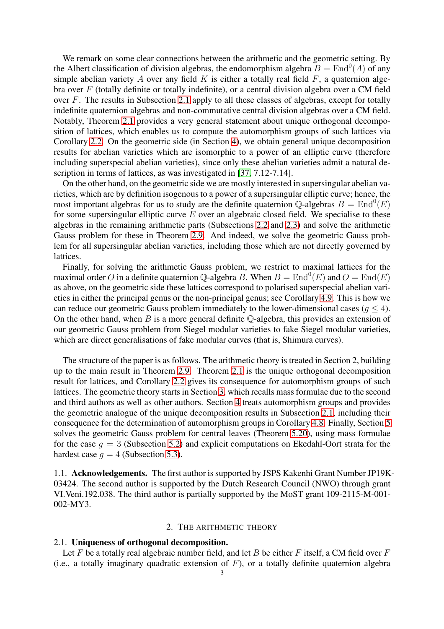We remark on some clear connections between the arithmetic and the geometric setting. By the Albert classification of division algebras, the endomorphism algebra  $B = \text{End}^0(A)$  of any simple abelian variety A over any field K is either a totally real field  $F$ , a quaternion algebra over  $F$  (totally definite or totally indefinite), or a central division algebra over a CM field over F. The results in Subsection [2.1](#page-2-0) apply to all these classes of algebras, except for totally indefinite quaternion algebras and non-commutative central division algebras over a CM field. Notably, Theorem [2.1](#page-3-0) provides a very general statement about unique orthogonal decomposition of lattices, which enables us to compute the automorphism groups of such lattices via Corollary [2.2.](#page-4-0) On the geometric side (in Section [4\)](#page-16-0), we obtain general unique decomposition results for abelian varieties which are isomorphic to a power of an elliptic curve (therefore including superspecial abelian varieties), since only these abelian varieties admit a natural de-scription in terms of lattices, as was investigated in [\[37,](#page-37-7) 7.12-7.14].

On the other hand, on the geometric side we are mostly interested in supersingular abelian varieties, which are by definition isogenous to a power of a supersingular elliptic curve; hence, the most important algebras for us to study are the definite quaternion Q-algebras  $B = \text{End}^0(E)$ for some supersingular elliptic curve  $E$  over an algebraic closed field. We specialise to these algebras in the remaining arithmetic parts (Subsections [2.2](#page-4-1) and [2.3\)](#page-7-0) and solve the arithmetic Gauss problem for these in Theorem [2.9.](#page-8-0) And indeed, we solve the geometric Gauss problem for all supersingular abelian varieties, including those which are not directly governed by lattices.

Finally, for solving the arithmetic Gauss problem, we restrict to maximal lattices for the maximal order O in a definite quaternion Q-algebra B. When  $B = \text{End}^0(E)$  and  $O = \text{End}(E)$ as above, on the geometric side these lattices correspond to polarised superspecial abelian varieties in either the principal genus or the non-principal genus; see Corollary [4.9.](#page-20-1) This is how we can reduce our geometric Gauss problem immediately to the lower-dimensional cases ( $q \leq 4$ ). On the other hand, when  $B$  is a more general definite Q-algebra, this provides an extension of our geometric Gauss problem from Siegel modular varieties to fake Siegel modular varieties, which are direct generalisations of fake modular curves (that is, Shimura curves).

The structure of the paper is as follows. The arithmetic theory is treated in Section 2, building up to the main result in Theorem [2.9.](#page-8-0) Theorem [2.1](#page-3-0) is the unique orthogonal decomposition result for lattices, and Corollary [2.2](#page-4-0) gives its consequence for automorphism groups of such lattices. The geometric theory starts in Section [3,](#page-9-0) which recalls mass formulae due to the second and third authors as well as other authors. Section [4](#page-16-0) treats automorphism groups and provides the geometric analogue of the unique decomposition results in Subsection [2.1,](#page-2-0) including their consequence for the determination of automorphism groups in Corollary 4.8. Finally, Section [5](#page-25-0) solves the geometric Gauss problem for central leaves (Theorem [5.20\)](#page-35-0), using mass formulae for the case  $q = 3$  (Subsection [5.2\)](#page-28-0) and explicit computations on Ekedahl-Oort strata for the hardest case  $q = 4$  (Subsection [5.3\)](#page-31-0).

1.1. Acknowledgements. The first author is supported by JSPS Kakenhi Grant Number JP19K-03424. The second author is supported by the Dutch Research Council (NWO) through grant VI.Veni.192.038. The third author is partially supported by the MoST grant 109-2115-M-001- 002-MY3.

# 2. THE ARITHMETIC THEORY

# <span id="page-2-1"></span><span id="page-2-0"></span>2.1. Uniqueness of orthogonal decomposition.

Let F be a totally real algebraic number field, and let B be either F itself, a CM field over  $F$ (i.e., a totally imaginary quadratic extension of  $F$ ), or a totally definite quaternion algebra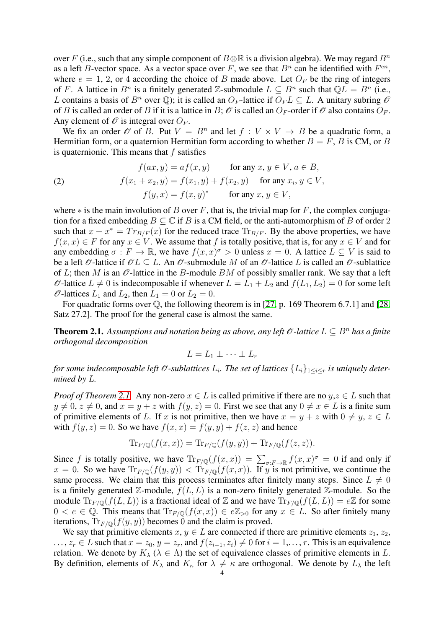over F (i.e., such that any simple component of  $B \otimes \mathbb{R}$  is a division algebra). We may regard  $B^n$ as a left B-vector space. As a vector space over F, we see that  $B<sup>n</sup>$  can be identified with  $F<sup>en</sup>$ , where  $e = 1, 2$ , or 4 according the choice of B made above. Let  $O_F$  be the ring of integers of F. A lattice in  $B^n$  is a finitely generated Z-submodule  $L \subseteq B^n$  such that  $\mathbb{Q}L = B^n$  (i.e., L contains a basis of  $B^n$  over  $\mathbb{Q}$ ); it is called an  $O_F$ -lattice if  $O_F L \subseteq L$ . A unitary subring  $\mathscr O$ of B is called an order of B if it is a lattice in B;  $\mathcal O$  is called an  $O_F$ -order if  $\mathcal O$  also contains  $O_F$ . Any element of  $\mathcal O$  is integral over  $O_F$ .

We fix an order  $\mathcal O$  of B. Put  $V = B^n$  and let  $f : V \times V \to B$  be a quadratic form, a Hermitian form, or a quaternion Hermitian form according to whether  $B = F$ , B is CM, or B is quaternionic. This means that  $f$  satisfies

<span id="page-3-1"></span>(2) 
$$
f(ax, y) = af(x, y) \quad \text{for any } x, y \in V, a \in B,
$$

$$
f(x_1 + x_2, y) = f(x_1, y) + f(x_2, y) \quad \text{for any } x_i, y \in V,
$$

$$
f(y, x) = f(x, y)^* \quad \text{for any } x, y \in V,
$$

where  $*$  is the main involution of B over F, that is, the trivial map for F, the complex conjugation for a fixed embedding  $B \subseteq \mathbb{C}$  if B is a CM field, or the anti-automorphism of B of order 2 such that  $x + x^* = Tr_{B/F}(x)$  for the reduced trace  $Tr_{B/F}$ . By the above properties, we have  $f(x, x) \in F$  for any  $x \in V$ . We assume that f is totally positive, that is, for any  $x \in V$  and for any embedding  $\sigma : F \to \mathbb{R}$ , we have  $f(x, x)$ <sup> $\sigma > 0$ </sup> unless  $x = 0$ . A lattice  $L \subseteq V$  is said to be a left  $\mathcal O$ -lattice if  $\mathcal O L \subseteq L$ . An  $\mathcal O$ -submodule M of an  $\mathcal O$ -lattice L is called an  $\mathcal O$ -sublattice of L; then M is an  $\mathcal O$ -lattice in the B-module BM of possibly smaller rank. We say that a left  $\mathscr O$ -lattice  $L \neq 0$  is indecomposable if whenever  $L = L_1 + L_2$  and  $f(L_1, L_2) = 0$  for some left  $\mathcal{O}$ -lattices  $L_1$  and  $L_2$ , then  $L_1 = 0$  or  $L_2 = 0$ .

For quadratic forms over  $\mathbb Q$ , the following theorem is in [\[27,](#page-37-8) p. 169 Theorem 6.7.1] and [\[28,](#page-37-9) Satz 27.2]. The proof for the general case is almost the same.

<span id="page-3-0"></span>**Theorem 2.1.** Assumptions and notation being as above, any left  $\mathcal{O}$ -lattice  $L \subseteq B^n$  has a finite *orthogonal decomposition*

$$
L = L_1 \perp \cdots \perp L_r
$$

*for some indecomposable left*  $\mathscr O$ *-sublattices*  $L_i$ . The set of lattices  $\{L_i\}_{1\leq i\leq r}$  is uniquely deter*mined by* L*.*

*Proof of Theorem [2.1.](#page-3-0)* Any non-zero  $x \in L$  is called primitive if there are no  $y, z \in L$  such that  $y \neq 0$ ,  $z \neq 0$ , and  $x = y + z$  with  $f(y, z) = 0$ . First we see that any  $0 \neq x \in L$  is a finite sum of primitive elements of L. If x is not primitive, then we have  $x = y + z$  with  $0 \neq y, z \in L$ with  $f(y, z) = 0$ . So we have  $f(x, x) = f(y, y) + f(z, z)$  and hence

$$
\mathrm{Tr}_{F/\mathbb{Q}}(f(x,x)) = \mathrm{Tr}_{F/\mathbb{Q}}(f(y,y)) + \mathrm{Tr}_{F/\mathbb{Q}}(f(z,z)).
$$

Since f is totally positive, we have  $\text{Tr}_{F/\mathbb{Q}}(f(x,x)) = \sum_{\sigma: F \to \mathbb{R}} f(x,x)^{\sigma} = 0$  if and only if  $x = 0$ . So we have  $\text{Tr}_{F/\mathbb{Q}}(f(y, y)) < \text{Tr}_{F/\mathbb{Q}}(f(x, x))$ . If y is not primitive, we continue the same process. We claim that this process terminates after finitely many steps. Since  $L \neq 0$ is a finitely generated Z-module,  $f(L, L)$  is a non-zero finitely generated Z-module. So the module  $\text{Tr}_{F/\mathbb{Q}}(f(L,L))$  is a fractional ideal of Z and we have  $\text{Tr}_{F/\mathbb{Q}}(f(L,L)) = e\mathbb{Z}$  for some  $0 < e \in \mathbb{Q}$ . This means that  $\text{Tr}_{F/\mathbb{Q}}(f(x, x)) \in e\mathbb{Z}_{>0}$  for any  $x \in L$ . So after finitely many iterations,  $\text{Tr}_{F/\mathbb{Q}}(f(y, y))$  becomes 0 and the claim is proved.

We say that primitive elements  $x, y \in L$  are connected if there are primitive elements  $z_1, z_2$ ,  $\ldots, z_r \in L$  such that  $x = z_0, y = z_r$ , and  $f(z_{i-1}, z_i) \neq 0$  for  $i = 1, \ldots, r$ . This is an equivalence relation. We denote by  $K_{\lambda}$  ( $\lambda \in \Lambda$ ) the set of equivalence classes of primitive elements in L. By definition, elements of  $K_{\lambda}$  and  $K_{\kappa}$  for  $\lambda \neq \kappa$  are orthogonal. We denote by  $L_{\lambda}$  the left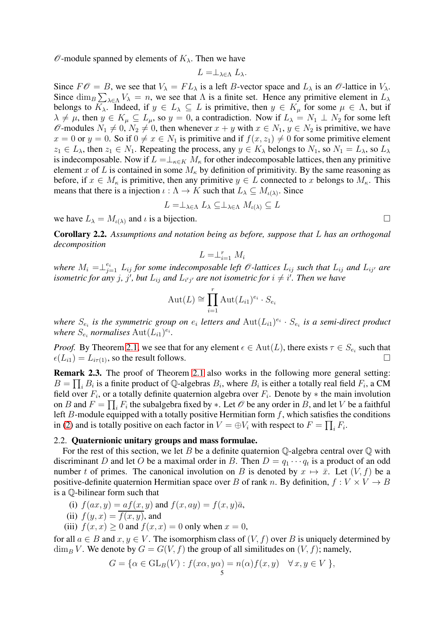$\mathscr O$ -module spanned by elements of  $K_\lambda$ . Then we have

$$
L=\perp_{\lambda\in\Lambda}L_{\lambda}.
$$

Since  $F\mathscr{O} = B$ , we see that  $V_{\lambda} = FL_{\lambda}$  is a left B-vector space and  $L_{\lambda}$  is an  $\mathscr{O}$ -lattice in  $V_{\lambda}$ . Since  $\dim_B \sum_{\lambda \in \Lambda} V_{\lambda} = n$ , we see that  $\Lambda$  is a finite set. Hence any primitive element in  $L_{\lambda}$ belongs to  $K_\lambda$ . Indeed, if  $y \in L_\lambda \subseteq L$  is primitive, then  $y \in K_\mu$  for some  $\mu \in \Lambda$ , but if  $\lambda \neq \mu$ , then  $y \in K_{\mu} \subseteq L_{\mu}$ , so  $y = 0$ , a contradiction. Now if  $L_{\lambda} = N_1 \perp N_2$  for some left  $\mathscr O$ -modules  $N_1 \neq 0$ ,  $N_2 \neq 0$ , then whenever  $x + y$  with  $x \in N_1$ ,  $y \in N_2$  is primitive, we have  $x = 0$  or  $y = 0$ . So if  $0 \neq x \in N_1$  is primitive and if  $f(x, z_1) \neq 0$  for some primitive element  $z_1 \in L_\lambda$ , then  $z_1 \in N_1$ . Repeating the process, any  $y \in K_\lambda$  belongs to  $N_1$ , so  $N_1 = L_\lambda$ , so  $L_\lambda$ is indecomposable. Now if  $L = \perp_{\kappa \in K} M_{\kappa}$  for other indecomposable lattices, then any primitive element x of L is contained in some  $M_{\kappa}$  by definition of primitivity. By the same reasoning as before, if  $x \in M_{\kappa}$  is primitive, then any primitive  $y \in L$  connected to x belongs to  $M_{\kappa}$ . This means that there is a injection  $\iota : \Lambda \to K$  such that  $L_{\lambda} \subseteq M_{\iota(\lambda)}$ . Since

$$
L = \perp_{\lambda \in \Lambda} L_{\lambda} \subseteq \perp_{\lambda \in \Lambda} M_{\iota(\lambda)} \subseteq L
$$

we have  $L_{\lambda} = M_{\iota(\lambda)}$  and  $\iota$  is a bijection.

<span id="page-4-0"></span>Corollary 2.2. *Assumptions and notation being as before, suppose that* L *has an orthogonal decomposition*

$$
L = \perp_{i=1}^r M_i
$$

where  $M_i = \perp_{j=1}^{e_i} L_{ij}$  for some indecomposable left  $\mathscr O$ -lattices  $L_{ij}$  such that  $L_{ij}$  and  $L_{ij'}$  are isometric for any  $j$ ,  $j'$ , but  $L_{ij}$  and  $L_{i'j'}$  are not isometric for  $i \neq i'$ . Then we have

$$
Aut(L) \cong \prod_{i=1}^r Aut(L_{i1})^{e_i} \cdot S_{e_i}
$$

where  $S_{e_i}$  is the symmetric group on  $e_i$  letters and  $\text{Aut}(L_{i1})^{e_i} \cdot S_{e_i}$  is a semi-direct product where  $S_{e_i}$  normalises  $\mathrm{Aut}(L_{i1})^{e_i}$ .

*Proof.* By Theorem [2.1,](#page-3-0) we see that for any element  $\epsilon \in \text{Aut}(L)$ , there exists  $\tau \in S_{e_i}$  such that  $\epsilon(L_{i1}) = L_{i\tau(1)}$ , so the result follows.

<span id="page-4-2"></span>Remark 2.3. The proof of Theorem [2.1](#page-3-0) also works in the following more general setting:  $B = \prod_i B_i$  is a finite product of Q-algebras  $B_i$ , where  $B_i$  is either a totally real field  $F_i$ , a CM field over  $F_i$ , or a totally definite quaternion algebra over  $F_i$ . Denote by  $*$  the main involution on B and  $F = \prod_i F_i$  the subalgebra fixed by  $\ast$ . Let  $\mathcal O$  be any order in B, and let V be a faithful left B-module equipped with a totally positive Hermitian form  $f$ , which satisfies the conditions in [\(2\)](#page-3-1) and is totally positive on each factor in  $V = \bigoplus V_i$  with respect to  $F = \prod_i F_i$ .

# <span id="page-4-1"></span>2.2. Quaternionic unitary groups and mass formulae.

For the rest of this section, we let B be a definite quaternion  $\mathbb Q$ -algebra central over  $\mathbb Q$  with discriminant D and let O be a maximal order in B. Then  $D = q_1 \cdots q_t$  is a product of an odd number t of primes. The canonical involution on B is denoted by  $x \mapsto \bar{x}$ . Let  $(V, f)$  be a positive-definite quaternion Hermitian space over B of rank n. By definition,  $f: V \times V \rightarrow B$ is a Q-bilinear form such that

(i) 
$$
f(ax, y) = af(x, y)
$$
 and  $f(x, ay) = f(x, y)\overline{a}$ ,

(ii) 
$$
f(y, x) = f(x, y)
$$
, and

(iii)  $f(x, x) \ge 0$  and  $f(x, x) = 0$  only when  $x = 0$ ,

for all  $a \in B$  and  $x, y \in V$ . The isomorphism class of  $(V, f)$  over B is uniquely determined by  $\dim_B V$ . We denote by  $G = G(V, f)$  the group of all similitudes on  $(V, f)$ ; namely,

$$
G = \{ \alpha \in GL_B(V) : f(x\alpha, y\alpha) = n(\alpha)f(x, y) \quad \forall x, y \in V \},
$$

$$
\sqcup
$$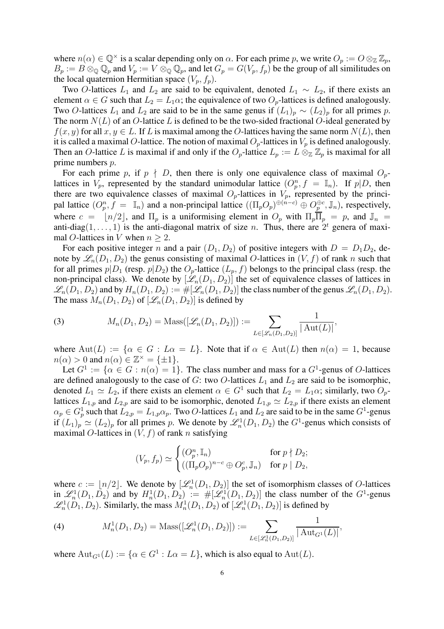where  $n(\alpha) \in \mathbb{Q}^{\times}$  is a scalar depending only on  $\alpha$ . For each prime p, we write  $O_p := O \otimes_{\mathbb{Z}} \mathbb{Z}_p$ ,  $B_p := B \otimes_{\mathbb{Q}} \mathbb{Q}_p$  and  $V_p := V \otimes_{\mathbb{Q}} \mathbb{Q}_p$ , and let  $G_p = G(V_p, f_p)$  be the group of all similitudes on the local quaternion Hermitian space  $(V_p, f_p)$ .

Two O-lattices  $L_1$  and  $L_2$  are said to be equivalent, denoted  $L_1 \sim L_2$ , if there exists an element  $\alpha \in G$  such that  $L_2 = L_1 \alpha$ ; the equivalence of two  $O_p$ -lattices is defined analogously. Two O-lattices  $L_1$  and  $L_2$  are said to be in the same genus if  $(L_1)_p \sim (L_2)_p$  for all primes p. The norm  $N(L)$  of an O-lattice L is defined to be the two-sided fractional O-ideal generated by  $f(x, y)$  for all  $x, y \in L$ . If L is maximal among the O-lattices having the same norm  $N(L)$ , then it is called a maximal O-lattice. The notion of maximal  $O_p$ -lattices in  $V_p$  is defined analogously. Then an O-lattice L is maximal if and only if the  $O_p$ -lattice  $L_p := L \otimes_{\mathbb{Z}} \mathbb{Z}_p$  is maximal for all prime numbers p.

For each prime p, if  $p \nmid D$ , then there is only one equivalence class of maximal  $O_p$ lattices in  $V_p$ , represented by the standard unimodular lattice  $(O_p^n, f = \mathbb{I}_n)$ . If  $p|D$ , then there are two equivalence classes of maximal  $O_p$ -lattices in  $V_p$ , represented by the principal lattice  $(O_p^n, f = \mathbb{I}_n)$  and a non-principal lattice  $((\Pi_p O_p)^{\oplus (n-c)} \oplus O_p^{\oplus c}, \mathbb{J}_n)$ , respectively, where  $c = \lfloor n/2 \rfloor$ , and  $\Pi_p$  is a uniformising element in  $O_p$  with  $\Pi_p \overline{\Pi}_p = p$ , and  $\mathbb{J}_n =$ anti-diag $(1, \ldots, 1)$  is the anti-diagonal matrix of size *n*. Thus, there are  $2^t$  genera of maximal O-lattices in V when  $n \geq 2$ .

For each positive integer n and a pair  $(D_1, D_2)$  of positive integers with  $D = D_1D_2$ , denote by  $\mathscr{L}_n(D_1, D_2)$  the genus consisting of maximal O-lattices in  $(V, f)$  of rank n such that for all primes  $p|D_1$  (resp.  $p|D_2$ ) the  $O_p$ -lattice  $(L_p, f)$  belongs to the principal class (resp. the non-principal class). We denote by  $[\mathcal{L}_n(D_1, D_2)]$  the set of equivalence classes of lattices in  $\mathscr{L}_n(D_1, D_2)$  and by  $H_n(D_1, D_2) := \#[\mathscr{L}_n(D_1, D_2)]$  the class number of the genus  $\mathscr{L}_n(D_1, D_2)$ . The mass  $M_n(D_1, D_2)$  of  $[\mathcal{L}_n(D_1, D_2)]$  is defined by

<span id="page-5-0"></span>(3) 
$$
M_n(D_1, D_2) = \text{Mass}([\mathscr{L}_n(D_1, D_2)]) := \sum_{L \in [\mathscr{L}_n(D_1, D_2)]} \frac{1}{|\operatorname{Aut}(L)|},
$$

where  $Aut(L) := \{ \alpha \in G : L \alpha = L \}$ . Note that if  $\alpha \in Aut(L)$  then  $n(\alpha) = 1$ , because  $n(\alpha) > 0$  and  $n(\alpha) \in \mathbb{Z}^{\times} = \{ \pm 1 \}.$ 

Let  $G^1 := \{ \alpha \in G : n(\alpha) = 1 \}$ . The class number and mass for a  $G^1$ -genus of O-lattices are defined analogously to the case of G: two O-lattices  $L_1$  and  $L_2$  are said to be isomorphic, denoted  $L_1 \simeq L_2$ , if there exists an element  $\alpha \in G^1$  such that  $L_2 = L_1 \alpha$ ; similarly, two  $O_p$ lattices  $L_{1,p}$  and  $L_{2,p}$  are said to be isomorphic, denoted  $L_{1,p} \simeq L_{2,p}$  if there exists an element  $\alpha_p \in G_p^1$  such that  $L_{2,p} = L_{1,p} \alpha_p$ . Two O-lattices  $L_1$  and  $L_2$  are said to be in the same  $G^1$ -genus if  $(L_1)_p \simeq (L_2)_p$  for all primes p. We denote by  $\mathcal{L}_n^1(D_1, D_2)$  the  $G^1$ -genus which consists of maximal O-lattices in  $(V, f)$  of rank n satisfying

$$
(V_p, f_p) \simeq \begin{cases} (O_p^n, \mathbb{I}_n) & \text{for } p \nmid D_2; \\ ((\Pi_p O_p)^{n-c} \oplus O_p^c, \mathbb{J}_n) & \text{for } p \mid D_2, \end{cases}
$$

where  $c := \lfloor n/2 \rfloor$ . We denote by  $[\mathcal{L}_n^1(D_1, D_2)]$  the set of isomorphism classes of O-lattices in  $\mathscr{L}_n^1(D_1, D_2)$  and by  $H_n^1(D_1, D_2) := \#[\mathscr{L}_n^1(D_1, D_2)]$  the class number of the  $G^1$ -genus  $\mathcal{L}_n^1(D_1, D_2)$ . Similarly, the mass  $M_n^1(D_1, D_2)$  of  $[\mathcal{L}_n^1(D_1, D_2)]$  is defined by

(4) 
$$
M_n^1(D_1, D_2) = \text{Mass}([\mathscr{L}_n^1(D_1, D_2)]) := \sum_{L \in [\mathscr{L}_n^1(D_1, D_2)]} \frac{1}{|\text{Aut}_{G^1}(L)|},
$$

where  $\text{Aut}_{G^1}(L) := \{ \alpha \in G^1 : L \alpha = L \}$ , which is also equal to  $\text{Aut}(L)$ .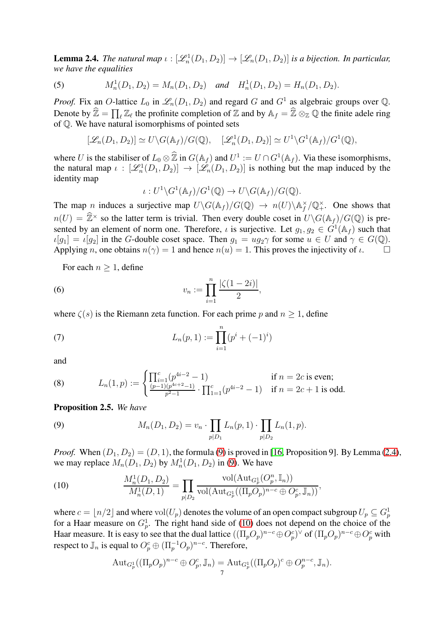<span id="page-6-1"></span>**Lemma 2.4.** *The natural map*  $\iota : [\mathcal{L}_n^1(D_1, D_2)] \to [\mathcal{L}_n(D_1, D_2)]$  *is a bijection. In particular, we have the equalities*

(5) 
$$
M_n^1(D_1, D_2) = M_n(D_1, D_2)
$$
 and  $H_n^1(D_1, D_2) = H_n(D_1, D_2)$ .

*Proof.* Fix an O-lattice  $L_0$  in  $\mathcal{L}_n(D_1, D_2)$  and regard G and  $G^1$  as algebraic groups over Q. Denote by  $\hat{\mathbb{Z}} = \prod_{\ell} \mathbb{Z}_{\ell}$  the profinite completion of  $\mathbb{Z}$  and by  $\mathbb{A}_f = \hat{\mathbb{Z}} \otimes_{\mathbb{Z}} \mathbb{Q}$  the finite adele ring of  $Q$ . We have natural isomorphisms of pointed sets

$$
[\mathscr{L}_n(D_1, D_2)] \simeq U \backslash G(\mathbb{A}_f)/G(\mathbb{Q}), \quad [\mathscr{L}_n^1(D_1, D_2)] \simeq U^1 \backslash G^1(\mathbb{A}_f)/G^1(\mathbb{Q}),
$$

where U is the stabiliser of  $L_0 \otimes \mathbb{Z}$  in  $G(\mathbb{A}_f)$  and  $U^1 := U \cap G^1(\mathbb{A}_f)$ . Via these isomorphisms, the natural map  $\iota : [\mathcal{L}_n^1(D_1, D_2)] \to [\mathcal{L}_n(D_1, D_2)]$  is nothing but the map induced by the identity map

<span id="page-6-3"></span>
$$
\iota: U^1 \backslash G^1(\mathbb{A}_f)/G^1(\mathbb{Q}) \to U \backslash G(\mathbb{A}_f)/G(\mathbb{Q}).
$$

The map n induces a surjective map  $U\backslash G(\mathbb{A}_f)/G(\mathbb{Q}) \to n(U)\backslash \mathbb{A}_f^{\times}$  $f/\mathbb{Q}_+^{\times}$ . One shows that  $n(U) = \hat{\mathbb{Z}}^{\times}$  so the latter term is trivial. Then every double coset in  $U\backslash G(\mathbb{A}_f)/G(\mathbb{Q})$  is presented by an element of norm one. Therefore,  $\iota$  is surjective. Let  $g_1, g_2 \in G^1(\mathbb{A}_f)$  such that  $\iota[g_1] = \iota[g_2]$  in the G-double coset space. Then  $g_1 = ug_2\gamma$  for some  $u \in U$  and  $\gamma \in G(\mathbb{Q})$ .<br>Applying *n*, one obtains  $n(\gamma) = 1$  and hence  $n(u) = 1$ . This proves the injectivity of  $\iota$ . Applying n, one obtains  $n(\gamma) = 1$  and hence  $n(u) = 1$ . This proves the injectivity of  $\iota$ .

For each  $n \geq 1$ , define

(6) 
$$
v_n := \prod_{i=1}^n \frac{|\zeta(1-2i)|}{2},
$$

where  $\zeta(s)$  is the Riemann zeta function. For each prime p and  $n \geq 1$ , define

(7) 
$$
L_n(p,1) := \prod_{i=1}^n (p^i + (-1)^i)
$$

and

<span id="page-6-5"></span>(8) 
$$
L_n(1,p) := \begin{cases} \prod_{i=1}^c (p^{4i-2} - 1) & \text{if } n = 2c \text{ is even;}\\ \frac{(p-1)(p^{4c+2}-1)}{p^2-1} \cdot \prod_{i=1}^c (p^{4i-2} - 1) & \text{if } n = 2c+1 \text{ is odd.} \end{cases}
$$

<span id="page-6-4"></span>Proposition 2.5. *We have*

<span id="page-6-0"></span>(9) 
$$
M_n(D_1, D_2) = v_n \cdot \prod_{p | D_1} L_n(p, 1) \cdot \prod_{p | D_2} L_n(1, p).
$$

*Proof.* When  $(D_1, D_2) = (D, 1)$ , the formula [\(9\)](#page-6-0) is proved in [\[16,](#page-36-7) Proposition 9]. By Lemma [\(2.4\)](#page-6-1), we may replace  $M_n(D_1, D_2)$  by  $M_n^1(D_1, D_2)$  in [\(9\)](#page-6-0). We have

<span id="page-6-2"></span>(10) 
$$
\frac{M_n^1(D_1, D_2)}{M_n^1(D, 1)} = \prod_{p | D_2} \frac{\text{vol}(\text{Aut}_{G_p^1}(O_p^n, \mathbb{I}_n))}{\text{vol}(\text{Aut}_{G_p^1}((\Pi_p O_p)^{n-c} \oplus O_p^c, \mathbb{J}_n))},
$$

where  $c = \lfloor n/2 \rfloor$  and where  $\mathrm{vol}(U_p)$  denotes the volume of an open compact subgroup  $U_p \subseteq G_p^1$ for a Haar measure on  $G_p^1$ . The right hand side of [\(10\)](#page-6-2) does not depend on the choice of the Haar measure. It is easy to see that the dual lattice  $((\Pi_p O_p)^{n-c} \oplus O_p^c)^\vee$  of  $(\Pi_p O_p)^{n-c} \oplus O_p^c$  with respect to  $\mathbb{J}_n$  is equal to  $O_p^c \oplus (\Pi_p^{-1}O_p)^{n-c}$ . Therefore,

$$
\mathrm{Aut}_{G_p^1}((\Pi_p O_p)^{n-c} \oplus O_p^c, \mathbb{J}_n) = \mathrm{Aut}_{G_p^1}((\Pi_p O_p)^c \oplus O_p^{n-c}, \mathbb{J}_n).
$$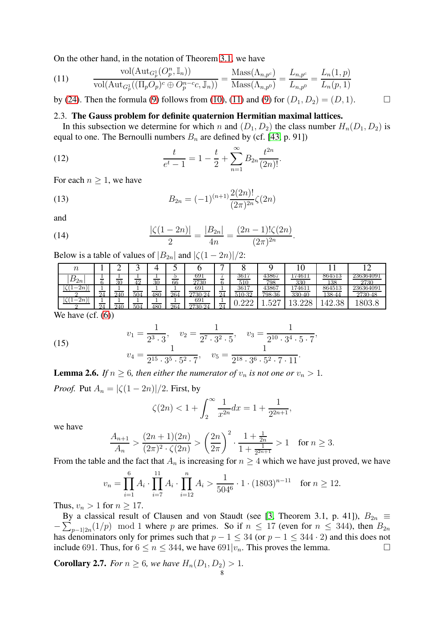On the other hand, in the notation of Theorem [3.1,](#page-11-0) we have

<span id="page-7-1"></span>(11) 
$$
\frac{\text{vol}(\text{Aut}_{G_p^1}(O_p^n, \mathbb{I}_n))}{\text{vol}(\text{Aut}_{G_p^1}((\Pi_p O_p)^c \oplus O_p^{n-c}c, \mathbb{J}_n))} = \frac{\text{Mass}(\Lambda_{n,p^c})}{\text{Mass}(\Lambda_{n,p^0})} = \frac{L_{n,p^c}}{L_{n,p^0}} = \frac{L_n(1,p)}{L_n(p,1)}
$$

<span id="page-7-0"></span>by [\(24\)](#page-11-1). Then the formula [\(9\)](#page-6-0) follows from [\(10\)](#page-6-2), [\(11\)](#page-7-1) and [\(9\)](#page-6-0) for  $(D_1, D_2) = (D, 1)$ .

#### 2.3. The Gauss problem for definite quaternion Hermitian maximal lattices.

In this subsection we determine for which n and  $(D_1, D_2)$  the class number  $H_n(D_1, D_2)$  is equal to one. The Bernoulli numbers  $B_n$  are defined by (cf. [\[43,](#page-37-10) p. 91])

(12) 
$$
\frac{t}{e^t - 1} = 1 - \frac{t}{2} + \sum_{n=1}^{\infty} B_{2n} \frac{t^{2n}}{(2n)!}.
$$

For each  $n \geq 1$ , we have

(13) 
$$
B_{2n} = (-1)^{(n+1)} \frac{2(2n)!}{(2\pi)^{2n}} \zeta(2n)
$$

and

(14) 
$$
\frac{|\zeta(1-2n)|}{2} = \frac{|B_{2n}|}{4n} = \frac{(2n-1)!\zeta(2n)}{(2\pi)^{2n}}
$$

Below is a table of values of  $|B_{2n}|$  and  $|\zeta(1-2n)|/2$ :

| $\it n$                |          |     |     |     |     |                |          |                |                 |                  |                        |                      |
|------------------------|----------|-----|-----|-----|-----|----------------|----------|----------------|-----------------|------------------|------------------------|----------------------|
| $B_{2n}$               | -        | 30  | 10  | 30  | 66  | 691<br>2730    | __       | 36T<br>$510\,$ | 43867<br>798    | 174611<br>330    | 864513<br>138          | 236364091<br>2730    |
| 2n <sup>3</sup>        | 24       | 240 | 504 | 480 | 264 | 691<br>2730.24 | $\Omega$ | 3617<br>510-32 | 43867<br>798.36 | 174611<br>330.40 | 864513<br>138.44       | 236364091<br>2730.48 |
| 2n                     | $\Omega$ | 240 | 504 | 180 | 264 | 691<br>2730.24 | 24       | ററ<br>∠∠∠      | ⌒冖<br>ິ         | nn.<br>1 ດ       | $\Omega$<br>4Ω<br>ઃ∙∪∈ | าก                   |
| $\sim$ $\sim$<br>--- - |          |     |     |     |     |                |          |                |                 |                  |                        |                      |

.

We have  $(cf. (6))$  $(cf. (6))$  $(cf. (6))$ 

<span id="page-7-3"></span>(15) 
$$
v_1 = \frac{1}{2^3 \cdot 3}, \quad v_2 = \frac{1}{2^7 \cdot 3^2 \cdot 5}, \quad v_3 = \frac{1}{2^{10} \cdot 3^4 \cdot 5 \cdot 7},
$$

$$
v_4 = \frac{1}{2^{15} \cdot 3^5 \cdot 5^2 \cdot 7}, \quad v_5 = \frac{1}{2^{18} \cdot 3^6 \cdot 5^2 \cdot 7 \cdot 11}.
$$

<span id="page-7-2"></span>**Lemma 2.6.** *If*  $n \geq 6$ *, then either the numerator of*  $v_n$  *is not one or*  $v_n > 1$ *.* 

*Proof.* Put  $A_n = |\zeta(1-2n)|/2$ . First, by

$$
\zeta(2n) < 1 + \int_2^\infty \frac{1}{x^{2n}} dx = 1 + \frac{1}{2^{2n+1}},
$$

we have

$$
\frac{A_{n+1}}{A_n} > \frac{(2n+1)(2n)}{(2\pi)^2 \cdot \zeta(2n)} > \left(\frac{2n}{2\pi}\right)^2 \cdot \frac{1 + \frac{1}{2n}}{1 + \frac{1}{2^{2n+1}}} > 1 \quad \text{for } n \ge 3.
$$

From the table and the fact that  $A_n$  is increasing for  $n \geq 4$  which we have just proved, we have

$$
v_n = \prod_{i=1}^{6} A_i \cdot \prod_{i=7}^{11} A_i \cdot \prod_{i=12}^{n} A_i > \frac{1}{504^6} \cdot 1 \cdot (1803)^{n-11} \quad \text{for } n \ge 12.
$$

Thus,  $v_n > 1$  for  $n \geq 17$ .

By a classical result of Clausen and von Staudt (see [\[3,](#page-36-8) Theorem 3.1, p. 41]),  $B_{2n} \equiv$  $-\sum_{p-1|2n}(1/p)$  mod 1 where p are primes. So if  $n \leq 17$  (even for  $n \leq 344$ ), then  $B_{2n}$ has denominators only for primes such that  $p - 1 \le 34$  (or  $p - 1 \le 344 \cdot 2$ ) and this does not include 691. Thus, for  $6 \le n \le 344$ , we have 691 $|v_n|$ . This proves the lemma. include 691. Thus, for  $6 \le n \le 344$ , we have  $691|v_n$ . This proves the lemma.

<span id="page-7-4"></span>**Corollary 2.7.** *For*  $n \ge 6$ *, we have*  $H_n(D_1, D_2) > 1$ *.*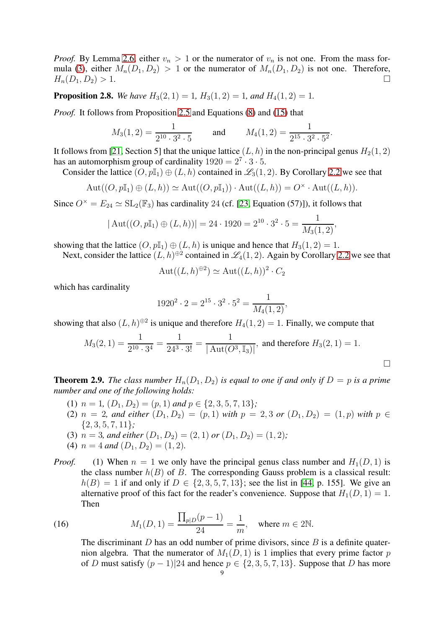*Proof.* By Lemma [2.6,](#page-7-2) either  $v_n > 1$  or the numerator of  $v_n$  is not one. From the mass for-mula [\(3\)](#page-5-0), either  $M_n(D_1, D_2) > 1$  or the numerator of  $M_n(D_1, D_2)$  is not one. Therefore,  $H_n(D_1, D_2) > 1.$ 

<span id="page-8-2"></span>**Proposition 2.8.** *We have*  $H_3(2, 1) = 1$ ,  $H_3(1, 2) = 1$ , and  $H_4(1, 2) = 1$ .

*Proof.* It follows from Proposition [2.5](#page-6-4) and Equations [\(8\)](#page-6-5) and [\(15\)](#page-7-3) that

$$
M_3(1,2) = \frac{1}{2^{10} \cdot 3^2 \cdot 5}
$$
 and  $M_4(1,2) = \frac{1}{2^{15} \cdot 3^2 \cdot 5^2}$ .

It follows from [\[21,](#page-36-3) Section 5] that the unique lattice  $(L, h)$  in the non-principal genus  $H_2(1, 2)$ has an automorphism group of cardinality  $1920 = 2^7 \cdot 3 \cdot 5$ .

Consider the lattice  $(O, p\mathbb{I}_1) \oplus (L, h)$  contained in  $\mathscr{L}_3(1, 2)$ . By Corollary [2.2](#page-4-0) we see that

$$
Aut((O, p\mathbb{I}_1) \oplus (L, h)) \simeq Aut((O, p\mathbb{I}_1)) \cdot Aut((L, h)) = O^{\times} \cdot Aut((L, h)).
$$

Since  $O^{\times} = E_{24} \simeq SL_2(\mathbb{F}_3)$  has cardinality 24 (cf. [\[23,](#page-36-5) Equation (57)]), it follows that

$$
|\operatorname{Aut}((O, p\mathbb{I}_1) \oplus (L, h))| = 24 \cdot 1920 = 2^{10} \cdot 3^2 \cdot 5 = \frac{1}{M_3(1, 2)},
$$

showing that the lattice  $(O, p\mathbb{I}_1) \oplus (L, h)$  is unique and hence that  $H_3(1, 2) = 1$ .

Next, consider the lattice  $(L, h)^{\oplus 2}$  contained in  $\mathscr{L}_4(1, 2)$ . Again by Corollary [2.2](#page-4-0) we see that

$$
Aut((L,h)^{\oplus 2}) \simeq Aut((L,h))^2 \cdot C_2
$$

which has cardinality

$$
1920^2 \cdot 2 = 2^{15} \cdot 3^2 \cdot 5^2 = \frac{1}{M_4(1,2)},
$$

showing that also  $(L, h)^{\oplus 2}$  is unique and therefore  $H_4(1, 2) = 1$ . Finally, we compute that

$$
M_3(2, 1) = \frac{1}{2^{10} \cdot 3^4} = \frac{1}{24^3 \cdot 3!} = \frac{1}{|\operatorname{Aut}(O^3, \mathbb{I}_3)|}, \text{ and therefore } H_3(2, 1) = 1.
$$

<span id="page-8-0"></span>**Theorem 2.9.** *The class number*  $H_n(D_1, D_2)$  *is equal to one if and only if*  $D = p$  *is a prime number and one of the following holds:*

- (1)  $n = 1$ ,  $(D_1, D_2) = (p, 1)$  and  $p \in \{2, 3, 5, 7, 13\}$ ;
- (2)  $n = 2$ , and either  $(D_1, D_2) = (p, 1)$  with  $p = 2, 3$  or  $(D_1, D_2) = (1, p)$  with  $p \in$ {2, 3, 5, 7, 11}*;*
- (3)  $n = 3$ *, and either*  $(D_1, D_2) = (2, 1)$  *or*  $(D_1, D_2) = (1, 2)$ *;*
- (4)  $n = 4$  *and*  $(D_1, D_2) = (1, 2)$ .
- *Proof.* (1) When  $n = 1$  we only have the principal genus class number and  $H_1(D, 1)$  is the class number  $h(B)$  of B. The corresponding Gauss problem is a classical result:  $h(B) = 1$  if and only if  $D \in \{2, 3, 5, 7, 13\}$ ; see the list in [\[44,](#page-37-11) p. 155]. We give an alternative proof of this fact for the reader's convenience. Suppose that  $H_1(D, 1) = 1$ . Then

(16) 
$$
M_1(D, 1) = \frac{\prod_{p \mid D} (p - 1)}{24} = \frac{1}{m}, \text{ where } m \in 2\mathbb{N}.
$$

<span id="page-8-1"></span>The discriminant  $D$  has an odd number of prime divisors, since  $B$  is a definite quaternion algebra. That the numerator of  $M_1(D, 1)$  is 1 implies that every prime factor p of D must satisfy  $(p-1)|24$  and hence  $p \in \{2, 3, 5, 7, 13\}$ . Suppose that D has more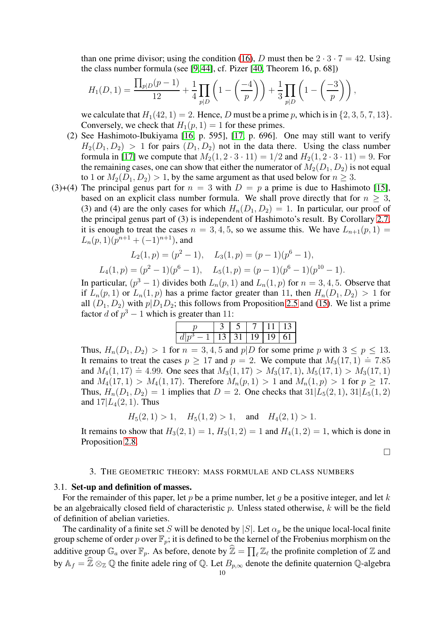than one prime divisor; using the condition [\(16\)](#page-8-1), D must then be  $2 \cdot 3 \cdot 7 = 42$ . Using the class number formula (see [\[9,](#page-36-9) [44\]](#page-37-11), cf. Pizer [\[40,](#page-37-12) Theorem 16, p. 68])

$$
H_1(D,1) = \frac{\prod_{p|D}(p-1)}{12} + \frac{1}{4} \prod_{p|D} \left( 1 - \left( \frac{-4}{p} \right) \right) + \frac{1}{3} \prod_{p|D} \left( 1 - \left( \frac{-3}{p} \right) \right),
$$

we calculate that  $H_1(42, 1) = 2$ . Hence, D must be a prime p, which is in  $\{2, 3, 5, 7, 13\}$ . Conversely, we check that  $H_1(p, 1) = 1$  for these primes.

- (2) See Hashimoto-Ibukiyama [\[16,](#page-36-7) p. 595], [\[17,](#page-36-10) p. 696]. One may still want to verify  $H_2(D_1, D_2) > 1$  for pairs  $(D_1, D_2)$  not in the data there. Using the class number formula in [\[17\]](#page-36-10) we compute that  $M_2(1, 2 \cdot 3 \cdot 11) = 1/2$  and  $H_2(1, 2 \cdot 3 \cdot 11) = 9$ . For the remaining cases, one can show that either the numerator of  $M_2(D_1, D_2)$  is not equal to 1 or  $M_2(D_1, D_2) > 1$ , by the same argument as that used below for  $n \geq 3$ .
- (3)+(4) The principal genus part for  $n = 3$  with  $D = p$  a prime is due to Hashimoto [\[15\]](#page-36-4), based on an explicit class number formula. We shall prove directly that for  $n \geq 3$ , (3) and (4) are the only cases for which  $H_n(D_1, D_2) = 1$ . In particular, our proof of the principal genus part of (3) is independent of Hashimoto's result. By Corollary [2.7,](#page-7-4) it is enough to treat the cases  $n = 3, 4, 5$ , so we assume this. We have  $L_{n+1}(p, 1) =$  $L_n(p, 1)(p^{n+1} + (-1)^{n+1}),$  and

$$
L_2(1, p) = (p^2 - 1), \quad L_3(1, p) = (p - 1)(p^6 - 1),
$$
  

$$
L_4(1, p) = (p^2 - 1)(p^6 - 1), \quad L_5(1, p) = (p - 1)(p^6 - 1)(p^{10} - 1).
$$

In particular,  $(p^3 - 1)$  divides both  $L_n(p, 1)$  and  $L_n(1, p)$  for  $n = 3, 4, 5$ . Observe that if  $L_n(p, 1)$  or  $L_n(1, p)$  has a prime factor greater than 11, then  $H_n(D_1, D_2) > 1$  for all  $(D_1, D_2)$  with  $p|D_1D_2$ ; this follows from Proposition [2.5](#page-6-4) and [\(15\)](#page-7-3). We list a prime factor d of  $p^3 - 1$  which is greater than 11:

|                               |  |  |  | 7 11 13 |  |  |  |  |
|-------------------------------|--|--|--|---------|--|--|--|--|
| $-1$   13   31   19   19   61 |  |  |  |         |  |  |  |  |
|                               |  |  |  |         |  |  |  |  |

Thus,  $H_n(D_1, D_2) > 1$  for  $n = 3, 4, 5$  and  $p \mid D$  for some prime p with  $3 \leq p \leq 13$ . It remains to treat the cases  $p \ge 17$  and  $p = 2$ . We compute that  $M_3(17, 1) = 7.85$ and  $M_4(1, 17) \doteq 4.99$ . One sees that  $M_3(1, 17) > M_3(17, 1), M_5(17, 1) > M_3(17, 1)$ and  $M_4(17, 1) > M_4(1, 17)$ . Therefore  $M_n(p, 1) > 1$  and  $M_n(1, p) > 1$  for  $p \ge 17$ . Thus,  $H_n(D_1, D_2) = 1$  implies that  $D = 2$ . One checks that  $31|L_5(2, 1), 31|L_5(1, 2)$ and  $17|L_4(2, 1)$ . Thus

$$
H_5(2, 1) > 1
$$
,  $H_5(1, 2) > 1$ , and  $H_4(2, 1) > 1$ .

It remains to show that  $H_3(2, 1) = 1$ ,  $H_3(1, 2) = 1$  and  $H_4(1, 2) = 1$ , which is done in Proposition [2.8.](#page-8-2)

 $\Box$ 

#### 3. THE GEOMETRIC THEORY: MASS FORMULAE AND CLASS NUMBERS

# <span id="page-9-0"></span>3.1. Set-up and definition of masses.

For the remainder of this paper, let  $p$  be a prime number, let  $q$  be a positive integer, and let  $k$ be an algebraically closed field of characteristic  $p$ . Unless stated otherwise,  $k$  will be the field of definition of abelian varieties.

The cardinality of a finite set S will be denoted by  $|S|$ . Let  $\alpha_p$  be the unique local-local finite group scheme of order p over  $\mathbb{F}_p$ ; it is defined to be the kernel of the Frobenius morphism on the additive group  $\mathbb{G}_a$  over  $\mathbb{F}_p$ . As before, denote by  $\widehat{\mathbb{Z}} = \prod_{\ell} \mathbb{Z}_{\ell}$  the profinite completion of  $\mathbb Z$  and by  $A_f = \hat{\mathbb{Z}} \otimes_{\mathbb{Z}} \mathbb{Q}$  the finite adele ring of  $\mathbb{Q}$ . Let  $B_{p,\infty}$  denote the definite quaternion  $\mathbb{Q}$ -algebra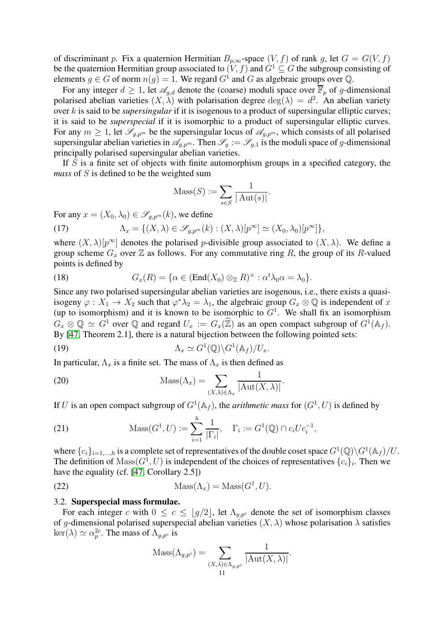of discriminant p. Fix a quaternion Hermitian  $B_{p,\infty}$ -space  $(V, f)$  of rank g, let  $G = G(V, f)$ be the quaternion Hermitian group associated to  $(V, f)$  and  $G^1 \subseteq G$  the subgroup consisting of elements  $g \in G$  of norm  $n(g) = 1$ . We regard  $G^1$  and  $G$  as algebraic groups over  $\mathbb{Q}$ .

For any integer  $d \geq 1$ , let  $\mathscr{A}_{g,d}$  denote the (coarse) moduli space over  $\overline{\mathbb{F}}_p$  of g-dimensional polarised abelian varieties  $(X, \lambda)$  with polarisation degree  $deg(\lambda) = d^2$ . An abelian variety over k is said to be *supersingular* if it is isogenous to a product of supersingular elliptic curves; it is said to be *superspecial* if it is isomorphic to a product of supersingular elliptic curves. For any  $m \geq 1$ , let  $\mathscr{S}_{g,p^m}$  be the supersingular locus of  $\mathscr{A}_{g,p^m}$ , which consists of all polarised supersingular abelian varieties in  $\mathscr{A}_{g,p^m}$ . Then  $\mathscr{S}_g := \mathscr{S}_{g,1}$  is the moduli space of g-dimensional principally polarised supersingular abelian varieties.

If  $S$  is a finite set of objects with finite automorphism groups in a specified category, the *mass* of S is defined to be the weighted sum

$$
\text{Mass}(S) := \sum_{s \in S} \frac{1}{|\operatorname{Aut}(s)|}.
$$

For any  $x = (X_0, \lambda_0) \in \mathscr{S}_{a,p^m}(k)$ , we define

<span id="page-10-0"></span>(17) 
$$
\Lambda_x = \{ (X, \lambda) \in \mathscr{S}_{g, p^m}(k) : (X, \lambda)[p^{\infty}] \simeq (X_0, \lambda_0)[p^{\infty}] \},
$$

where  $(X, \lambda)[p^{\infty}]$  denotes the polarised p-divisible group associated to  $(X, \lambda)$ . We define a group scheme  $G_x$  over  $\mathbb Z$  as follows. For any commutative ring R, the group of its R-valued points is defined by

(18) 
$$
G_x(R) = \{ \alpha \in (\text{End}(X_0) \otimes_{\mathbb{Z}} R)^{\times} : \alpha^t \lambda_0 \alpha = \lambda_0 \}.
$$

Since any two polarised supersingular abelian varieties are isogenous, i.e., there exists a quasiisogeny  $\varphi: X_1 \to X_2$  such that  $\varphi^* \lambda_2 = \lambda_1$ , the algebraic group  $G_x \otimes \mathbb{Q}$  is independent of x (up to isomorphism) and it is known to be isomorphic to  $G<sup>1</sup>$ . We shall fix an isomorphism  $G_x \otimes \mathbb{Q} \simeq G^1$  over  $\mathbb Q$  and regard  $U_x := G_x(\mathbb{Z})$  as an open compact subgroup of  $G^1(\mathbb{A}_f)$ . By [\[47,](#page-37-13) Theorem 2.1], there is a natural bijection between the following pointed sets:

<span id="page-10-2"></span>(19) 
$$
\Lambda_x \simeq G^1(\mathbb{Q}) \backslash G^1(\mathbb{A}_f) / U_x.
$$

In particular,  $\Lambda_x$  is a finite set. The mass of  $\Lambda_x$  is then defined as

(20) 
$$
\operatorname{Mass}(\Lambda_x) = \sum_{(X,\lambda)\in\Lambda_x} \frac{1}{|\operatorname{Aut}(X,\lambda)|}.
$$

If U is an open compact subgroup of  $G^1(\mathbb{A}_f)$ , the *arithmetic mass* for  $(G^1, U)$  is defined by

(21) 
$$
\text{Mass}(G^1, U) := \sum_{i=1}^h \frac{1}{|\Gamma_i|}, \quad \Gamma_i := G^1(\mathbb{Q}) \cap c_i U c_i^{-1},
$$

where  $\{c_i\}_{i=1,\dots,h}$  is a complete set of representatives of the double coset space  $G^1(\mathbb{Q}) \backslash G^1(\mathbb{A}_f)/U$ . The definition of  $\text{Mass}(G^1, U)$  is independent of the choices of representatives  $\{c_i\}_i$ . Then we have the equality (cf. [\[47,](#page-37-13) Corollary 2.5])

<span id="page-10-1"></span>(22) 
$$
Mass(\Lambda_x) = Mass(G^1, U).
$$

#### 3.2. Superspecial mass formulae.

For each integer c with  $0 \leq c \leq |g/2|$ , let  $\Lambda_{q,p}$  denote the set of isomorphism classes of g-dimensional polarised superspecial abelian varieties  $(X, \lambda)$  whose polarisation  $\lambda$  satisfies  $\ker(\lambda) \simeq \alpha_p^{2c}$ . The mass of  $\Lambda_{g,p^c}$  is

$$
Mass(\Lambda_{g,p^c}) = \sum_{(X,\lambda) \in \Lambda_{g,p^c}} \frac{1}{|\mathrm{Aut}(X,\lambda)|}.
$$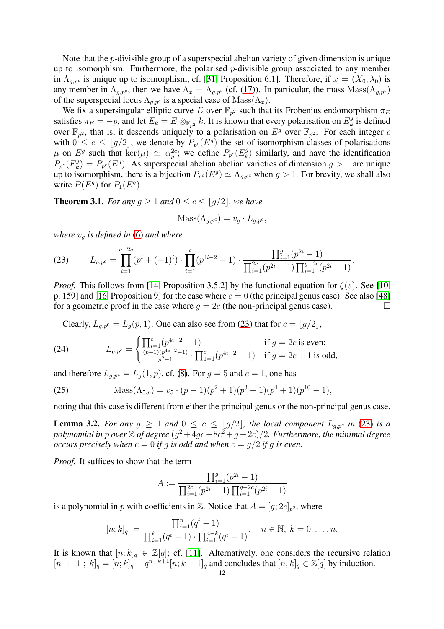Note that the p-divisible group of a superspecial abelian variety of given dimension is unique up to isomorphism. Furthermore, the polarised  $p$ -divisible group associated to any member in  $\Lambda_{q,p^c}$  is unique up to isomorphism, cf. [\[31,](#page-37-6) Proposition 6.1]. Therefore, if  $x = (X_0, \lambda_0)$  is any member in  $\Lambda_{g,p}$ , then we have  $\Lambda_x = \Lambda_{g,p}$  (cf. [\(17\)](#page-10-0)). In particular, the mass  $\text{Mass}(\Lambda_{g,p}c)$ of the superspecial locus  $\Lambda_{q,p^c}$  is a special case of  $\text{Mass}(\Lambda_x)$ .

We fix a supersingular elliptic curve E over  $\mathbb{F}_{p^2}$  such that its Frobenius endomorphism  $\pi_E$ satisfies  $\pi_E = -p$ , and let  $E_k = E \otimes_{\mathbb{F}_{p^2}} k$ . It is known that every polarisation on  $E_k^g$  $\frac{g}{k}$  is defined over  $\mathbb{F}_{p^2}$ , that is, it descends uniquely to a polarisation on  $E^g$  over  $\mathbb{F}_{p^2}$ . For each integer c with  $0 \leq c \leq \lfloor g/2 \rfloor$ , we denote by  $P_{p^c}(E^g)$  the set of isomorphism classes of polarisations  $\mu$  on  $E^g$  such that  $\ker(\mu) \simeq \alpha_p^{2c}$ ; we define  $P_{p^c}(E^g_k)$  $\binom{g}{k}$  similarly, and have the identification  $P_{p^c}(E_k^g)$  $k_B^g$ ) =  $P_{p^c}(E^g)$ . As superspecial abelian abelian varieties of dimension  $g > 1$  are unique up to isomorphism, there is a bijection  $P_{p^c}(E^g) \simeq \Lambda_{g,p^c}$  when  $g > 1$ . For brevity, we shall also write  $P(E^g)$  for  $P_1(E^g)$ .

<span id="page-11-0"></span>**Theorem 3.1.** *For any*  $q \geq 1$  *and*  $0 \leq c \leq |q/2|$ *, we have* 

$$
Mass(\Lambda_{g,p^c}) = v_g \cdot L_{g,p^c},
$$

*where*  $v_q$  *is defined in* [\(6\)](#page-6-3) *and where* 

<span id="page-11-2"></span>(23) 
$$
L_{g,p^c} = \prod_{i=1}^{g-2c} (p^i + (-1)^i) \cdot \prod_{i=1}^c (p^{4i-2} - 1) \cdot \frac{\prod_{i=1}^g (p^{2i} - 1)}{\prod_{i=1}^{2c} (p^{2i} - 1) \prod_{i=1}^{g-2c} (p^{2i} - 1)}.
$$

*Proof.* This follows from [\[14,](#page-36-11) Proposition 3.5.2] by the functional equation for  $\zeta(s)$ . See [\[10,](#page-36-12) p. 159] and [\[16,](#page-36-7) Proposition 9] for the case where  $c = 0$  (the principal genus case). See also [\[48\]](#page-37-14) for a geometric proof in the case where  $g = 2c$  (the non-principal genus case).

<span id="page-11-1"></span>Clearly,  $L_{q,p0} = L_q(p, 1)$ . One can also see from [\(23\)](#page-11-2) that for  $c = \lfloor q/2 \rfloor$ ,

(24) 
$$
L_{g,p^c} = \begin{cases} \prod_{i=1}^c (p^{4i-2} - 1) & \text{if } g = 2c \text{ is even;}\\ \frac{(p-1)(p^{4c+2}-1)}{p^2-1} \cdot \prod_{1=1}^c (p^{4i-2} - 1) & \text{if } g = 2c+1 \text{ is odd,} \end{cases}
$$

and therefore  $L_{q,pc} = L_q(1, p)$ , cf. [\(8\)](#page-6-5). For  $q = 5$  and  $c = 1$ , one has

<span id="page-11-3"></span>(25) 
$$
\text{Mass}(\Lambda_{5,p}) = v_5 \cdot (p-1)(p^2+1)(p^3-1)(p^4+1)(p^{10}-1),
$$

noting that this case is different from either the principal genus or the non-principal genus case.

**Lemma 3.2.** For any  $g \geq 1$  and  $0 \leq c \leq |g/2|$ , the local component  $L_{q,p}$  in [\(23\)](#page-11-2) is a *polynomial in p over*  $\mathbb{Z}$  *of degree*  $(g^2 + 4gc - 8c^2 + g - 2c)/2$ *. Furthermore, the minimal degree occurs precisely when*  $c = 0$  *if* g *is odd and when*  $c = g/2$  *if* g *is even.* 

*Proof.* It suffices to show that the term

$$
A := \frac{\prod_{i=1}^{g} (p^{2i} - 1)}{\prod_{i=1}^{2c} (p^{2i} - 1) \prod_{i=1}^{g-2c} (p^{2i} - 1)}
$$

is a polynomial in  $p$  with coefficients in  $\mathbb{Z}$ . Notice that  $A = [g; 2c]_{p^2}$ , where

$$
[n;k]_q := \frac{\prod_{i=1}^n (q^i - 1)}{\prod_{i=1}^k (q^i - 1) \cdot \prod_{i=1}^{n-k} (q^i - 1)}, \quad n \in \mathbb{N}, \ k = 0, \dots, n.
$$

It is known that  $[n; k]_q \in \mathbb{Z}[q]$ ; cf. [\[11\]](#page-36-13). Alternatively, one considers the recursive relation  $[n + 1; k]_q = [n; k]_q + q^{n-k+1}[n; k-1]_q$  and concludes that  $[n, k]_q \in \mathbb{Z}[q]$  by induction.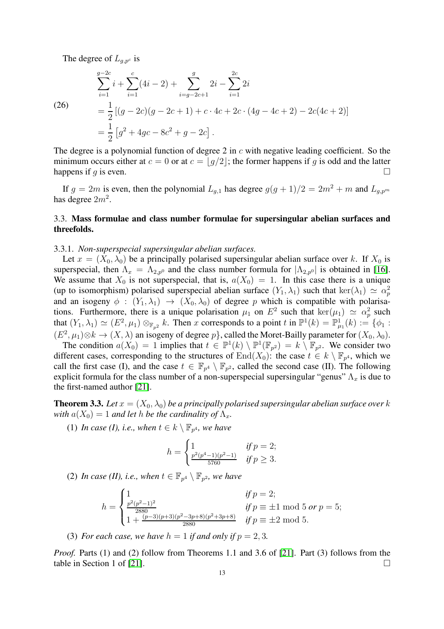The degree of  $L_{g,p^c}$  is

(26)  
\n
$$
\sum_{i=1}^{g-2c} i + \sum_{i=1}^{c} (4i - 2) + \sum_{i=g-2c+1}^{g} 2i - \sum_{i=1}^{2c} 2i
$$
\n
$$
= \frac{1}{2} [(g - 2c)(g - 2c + 1) + c \cdot 4c + 2c \cdot (4g - 4c + 2) - 2c(4c + 2)]
$$
\n
$$
= \frac{1}{2} [g^2 + 4gc - 8c^2 + g - 2c].
$$

The degree is a polynomial function of degree 2 in  $c$  with negative leading coefficient. So the minimum occurs either at  $c = 0$  or at  $c = \lfloor g/2 \rfloor$ ; the former happens if g is odd and the latter happens if g is even. happens if  $q$  is even.

If  $g = 2m$  is even, then the polynomial  $L_{g,1}$  has degree  $g(g + 1)/2 = 2m^2 + m$  and  $L_{g,p^m}$ has degree  $2m^2$ .

# 3.3. Mass formulae and class number formulae for supersingular abelian surfaces and threefolds.

#### 3.3.1. *Non-superspecial supersingular abelian surfaces.*

Let  $x = (X_0, \lambda_0)$  be a principally polarised supersingular abelian surface over k. If  $X_0$  is superspecial, then  $\Lambda_x = \Lambda_{2,p^0}$  and the class number formula for  $|\Lambda_{2,p^0}|$  is obtained in [\[16\]](#page-36-7). We assume that  $X_0$  is not superspecial, that is,  $a(X_0) = 1$ . In this case there is a unique (up to isomorphism) polarised superspecial abelian surface  $(Y_1, \lambda_1)$  such that  $\ker(\lambda_1) \simeq \alpha_p^2$ and an isogeny  $\phi : (Y_1, \lambda_1) \to (X_0, \lambda_0)$  of degree p which is compatible with polarisations. Furthermore, there is a unique polarisation  $\mu_1$  on  $E^2$  such that  $\ker(\mu_1) \simeq \alpha_p^2$  such that  $(Y_1, \lambda_1) \simeq (E^2, \mu_1) \otimes_{\mathbb{F}_{p^2}} k$ . Then x corresponds to a point t in  $\mathbb{P}^1(k) = \mathbb{P}^1_{\mu_1}(k) := \{ \phi_1 :$  $(E^2, \mu_1) \otimes k \to (X, \lambda)$  an isogeny of degree  $p\}$ , called the Moret-Bailly parameter for  $(X_0, \lambda_0)$ .

The condition  $a(X_0) = 1$  implies that  $t \in \mathbb{P}^1(k) \setminus \mathbb{P}^1(\mathbb{F}_{p^2}) = k \setminus \mathbb{F}_{p^2}$ . We consider two different cases, corresponding to the structures of  $\text{End}(X_0)$ : the case  $t \in k \setminus \mathbb{F}_{p^4}$ , which we call the first case (I), and the case  $t \in \mathbb{F}_{p^4} \setminus \mathbb{F}_{p^2}$ , called the second case (II). The following explicit formula for the class number of a non-superspecial supersingular "genus"  $\Lambda_x$  is due to the first-named author [\[21\]](#page-36-3).

<span id="page-12-0"></span>**Theorem 3.3.** Let  $x = (X_0, \lambda_0)$  be a principally polarised supersingular abelian surface over k *with*  $a(X_0) = 1$  *and let h be the cardinality of*  $\Lambda_x$ *.* 

(1) In case (I), i.e., when  $t \in k \setminus \mathbb{F}_{p^4}$ , we have

$$
h = \begin{cases} 1 & \text{if } p = 2; \\ \frac{p^2(p^4 - 1)(p^2 - 1)}{5760} & \text{if } p \ge 3. \end{cases}
$$

(2) In case (II), i.e., when  $t \in \mathbb{F}_{p^4} \setminus \mathbb{F}_{p^2}$ , we have

$$
h = \begin{cases} \n1 & \text{if } p = 2; \\ \n\frac{p^2(p^2 - 1)^2}{2880} & \text{if } p \equiv \pm 1 \mod 5 \text{ or } p = 5; \\ \n1 + \frac{(p - 3)(p + 3)(p^2 - 3p + 8)(p^2 + 3p + 8)}{2880} & \text{if } p \equiv \pm 2 \mod 5. \n\end{cases}
$$

(3) *For each case, we have*  $h = 1$  *if and only if*  $p = 2, 3$ *.* 

*Proof.* Parts (1) and (2) follow from Theorems 1.1 and 3.6 of [\[21\]](#page-36-3). Part (3) follows from the table in Section 1 of [\[21\]](#page-36-3).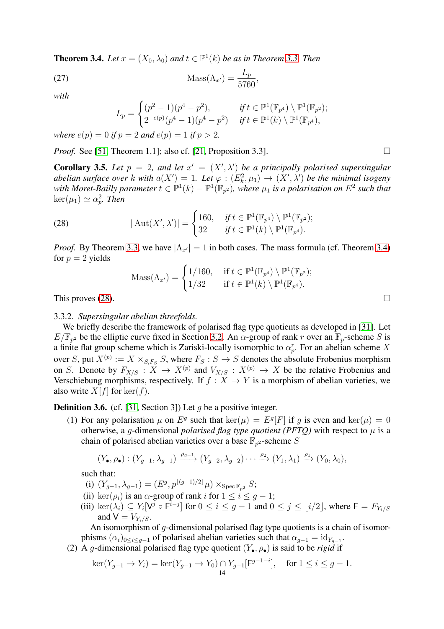<span id="page-13-0"></span>**Theorem 3.4.** *Let*  $x = (X_0, \lambda_0)$  *and*  $t \in \mathbb{P}^1(k)$  *be as in Theorem [3.3.](#page-12-0) Then* 

$$
\text{Mass}(\Lambda_{x'}) = \frac{L_p}{5760},
$$

*with*

$$
L_p = \begin{cases} (p^2 - 1)(p^4 - p^2), & \text{if } t \in \mathbb{P}^1(\mathbb{F}_{p^4}) \setminus \mathbb{P}^1(\mathbb{F}_{p^2}); \\ 2^{-e(p)}(p^4 - 1)(p^4 - p^2) & \text{if } t \in \mathbb{P}^1(k) \setminus \mathbb{P}^1(\mathbb{F}_{p^4}), \end{cases}
$$

*where*  $e(p) = 0$  *if*  $p = 2$  *and*  $e(p) = 1$  *if*  $p > 2$ *.* 

*Proof.* See [\[51,](#page-37-15) Theorem 1.1]; also cf. [\[21,](#page-36-3) Proposition 3.3].

<span id="page-13-2"></span>**Corollary 3.5.** Let  $p = 2$ , and let  $x' = (X', \lambda')$  be a principally polarised supersingular *abelian surface over* k with  $a(X') = 1$ . Let  $\varphi : (E_k^2, \mu_1) \to (X', \lambda')$  be the minimal isogeny *with Moret-Bailly parameter*  $t \in \mathbb{P}^1(k) - \mathbb{P}^1(\mathbb{F}_{p^2})$ , where  $\mu_1$  is a polarisation on  $E^2$  such that  $\ker(\mu_1) \simeq \alpha_p^2$ . *Then* 

(28) 
$$
|\operatorname{Aut}(X',\lambda')| = \begin{cases} 160, & \text{if } t \in \mathbb{P}^1(\mathbb{F}_{p^4}) \setminus \mathbb{P}^1(\mathbb{F}_{p^2}); \\ 32 & \text{if } t \in \mathbb{P}^1(k) \setminus \mathbb{P}^1(\mathbb{F}_{p^4}). \end{cases}
$$

*Proof.* By Theorem [3.3,](#page-12-0) we have  $|\Lambda_{x'}| = 1$  in both cases. The mass formula (cf. Theorem [3.4\)](#page-13-0) for  $p = 2$  yields

<span id="page-13-1"></span>
$$
\mathrm{Mass}(\Lambda_{x'}) = \begin{cases} 1/160, & \text{if } t \in \mathbb{P}^1(\mathbb{F}_{p^4}) \setminus \mathbb{P}^1(\mathbb{F}_{p^2}); \\ 1/32 & \text{if } t \in \mathbb{P}^1(k) \setminus \mathbb{P}^1(\mathbb{F}_{p^4}). \end{cases}
$$

This proves  $(28)$ .

# 3.3.2. *Supersingular abelian threefolds.*

We briefly describe the framework of polarised flag type quotients as developed in [\[31\]](#page-37-6). Let  $E/\mathbb{F}_{p^2}$  be the elliptic curve fixed in Section [3.2.](#page-10-1) An  $\alpha$ -group of rank r over an  $\mathbb{F}_p$ -scheme S is a finite flat group scheme which is Zariski-locally isomorphic to  $\alpha_p^r$ . For an abelian scheme X over S, put  $X^{(p)} := X \times_{S,F_S} S$ , where  $F_S : S \to S$  denotes the absolute Frobenius morphism on S. Denote by  $F_{X/S}: X \to X^{(p)}$  and  $V_{X/S}: X^{(p)} \to X$  be the relative Frobenius and Verschiebung morphisms, respectively. If  $f : X \to Y$  is a morphism of abelian varieties, we also write  $X[f]$  for ker(f).

<span id="page-13-3"></span>**Definition 3.6.** (cf. [\[31,](#page-37-6) Section 3]) Let q be a positive integer.

(1) For any polarisation  $\mu$  on  $E^g$  such that  $\ker(\mu) = E^g[F]$  if g is even and  $\ker(\mu) = 0$ otherwise, a g-dimensional *polarised flag type quotient (PFTQ)* with respect to  $\mu$  is a chain of polarised abelian varieties over a base  $\mathbb{F}_{p^2}$ -scheme  $S$ 

$$
(Y_{\bullet}, \rho_{\bullet}) : (Y_{g-1}, \lambda_{g-1}) \xrightarrow{\rho_{g-1}} (Y_{g-2}, \lambda_{g-2}) \cdots \xrightarrow{\rho_2} (Y_1, \lambda_1) \xrightarrow{\rho_1} (Y_0, \lambda_0),
$$

such that:

- (i)  $(Y_{g-1}, \lambda_{g-1}) = (E^g, p^{\lfloor (g-1)/2 \rfloor} \mu) \times_{\text{Spec } \mathbb{F}_{p^2}} S;$
- (ii) ker( $\rho_i$ ) is an  $\alpha$ -group of rank i for  $1 \leq i \leq g-1$ ;
- (iii)  $\ker(\lambda_i) \subseteq Y_i[V^j \circ \overline{F^{i-j}}]$  for  $0 \le i \le g-1$  and  $0 \le j \le \lfloor i/2 \rfloor$ , where  $F = F_{Y_i/S}$ and  $V = V_{Y_i/S}$ .

An isomorphism of q-dimensional polarised flag type quotients is a chain of isomorphisms  $(\alpha_i)_{0 \leq i \leq g-1}$  of polarised abelian varieties such that  $\alpha_{g-1} = id_{Y_{g-1}}$ .

(2) A g-dimensional polarised flag type quotient  $(Y_{\bullet}, \rho_{\bullet})$  is said to be *rigid* if

$$
\ker(Y_{g-1} \to Y_i) = \ker(Y_{g-1} \to Y_0) \cap Y_{g-1}[\mathsf{F}^{g-1-i}], \quad \text{for } 1 \le i \le g-1.
$$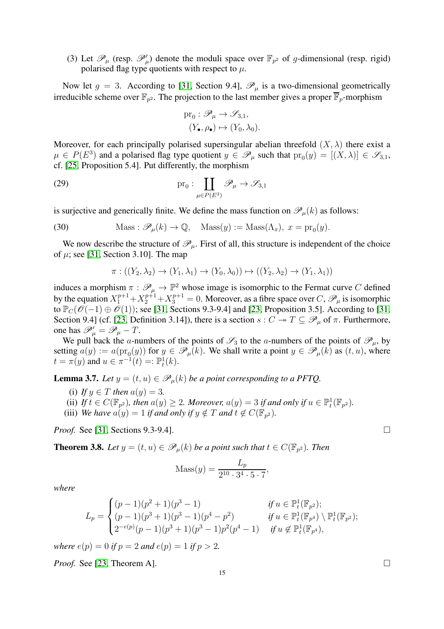(3) Let  $\mathscr{P}_{\mu}$  (resp.  $\mathscr{P}'_{\mu}$ ) denote the moduli space over  $\mathbb{F}_{p^2}$  of g-dimensional (resp. rigid) polarised flag type quotients with respect to  $\mu$ .

Now let  $g = 3$ . According to [\[31,](#page-37-6) Section 9.4],  $\mathscr{P}_{\mu}$  is a two-dimensional geometrically irreducible scheme over  $\mathbb{F}_{p^2}$ . The projection to the last member gives a proper  $\mathbb{F}_p$ -morphism

$$
\text{pr}_0: \mathscr{P}_{\mu} \to \mathscr{S}_{3,1},
$$

$$
(Y_{\bullet}, \rho_{\bullet}) \mapsto (Y_0, \lambda_0).
$$

Moreover, for each principally polarised supersingular abelian threefold  $(X, \lambda)$  there exist a  $\mu \in P(E^3)$  and a polarised flag type quotient  $y \in \mathscr{P}_{\mu}$  such that  $\text{pr}_0(y) = [(X, \lambda)] \in \mathscr{S}_{3,1}$ , cf. [\[25,](#page-37-16) Proposition 5.4]. Put differently, the morphism

(29) 
$$
\text{pr}_0: \coprod_{\mu \in P(E^3)} \mathscr{P}_{\mu} \to \mathscr{S}_{3,1}
$$

is surjective and generically finite. We define the mass function on  $\mathscr{P}_{\mu}(k)$  as follows:

(30) 
$$
\text{Mass}: \mathscr{P}_{\mu}(k) \to \mathbb{Q}, \quad \text{Mass}(y) := \text{Mass}(\Lambda_x), \ x = \text{pr}_0(y).
$$

We now describe the structure of  $\mathcal{P}_{\mu}$ . First of all, this structure is independent of the choice of  $\mu$ ; see [\[31,](#page-37-6) Section 3.10]. The map

$$
\pi: ((Y_2, \lambda_2) \to (Y_1, \lambda_1) \to (Y_0, \lambda_0)) \mapsto ((Y_2, \lambda_2) \to (Y_1, \lambda_1))
$$

induces a morphism  $\pi : \mathcal{P}_\mu \to \mathbb{P}^2$  whose image is isomorphic to the Fermat curve C defined by the equation  $X_1^{p+1}+X_2^{p+1}+X_3^{p+1}=0$ . Moreover, as a fibre space over  $C, \mathscr{P}_\mu$  is isomorphic to  $\mathbb{P}_C(\mathcal{O}(-1) \oplus \mathcal{O}(1))$ ; see [\[31,](#page-37-6) Sections 9.3-9.4] and [\[23,](#page-36-5) Proposition 3.5]. According to [\[31,](#page-37-6) Section 9.4] (cf. [\[23,](#page-36-5) Definition 3.14]), there is a section  $s: C \twoheadrightarrow T \subseteq \mathscr{P}_{\mu}$  of  $\pi$ . Furthermore, one has  $\mathscr{P}'_{\mu} = \mathscr{P}_{\mu} - T$ .

We pull back the a-numbers of the points of  $\mathscr{S}_3$  to the a-numbers of the points of  $\mathscr{P}_\mu$ , by setting  $a(y) := a(\text{pr}_0(y))$  for  $y \in \mathscr{P}_\mu(k)$ . We shall write a point  $y \in \mathscr{P}_\mu(k)$  as  $(t, u)$ , where  $t = \pi(y)$  and  $u \in \pi^{-1}(t) =: \mathbb{P}_t^1(k)$ .

**Lemma 3.7.** *Let*  $y = (t, u) \in \mathcal{P}_u(k)$  *be a point corresponding to a PFTQ.* 

- (i) If  $y \in T$  then  $a(y) = 3$ .
- (ii) If  $t \in C(\mathbb{F}_{p^2})$ , then  $a(y) \geq 2$ . Moreover,  $a(y) = 3$  if and only if  $u \in \mathbb{P}^1_t(\mathbb{F}_{p^2})$ .
- (iii) *We have*  $a(y) = 1$  *if and only if*  $y \notin T$  *and*  $t \notin C(\mathbb{F}_{p^2})$ *.*

*Proof.* See [\[31,](#page-37-6) Sections 9.3-9.4]. □

<span id="page-14-0"></span>**Theorem 3.8.** Let  $y = (t, u) \in \mathscr{P}_{\mu}(k)$  be a point such that  $t \in C(\mathbb{F}_{p^2})$ . Then

$$
Mass(y) = \frac{L_p}{2^{10} \cdot 3^4 \cdot 5 \cdot 7},
$$

*where*

$$
L_p = \begin{cases} (p-1)(p^2+1)(p^3-1) & \text{if } u \in \mathbb{P}_t^1(\mathbb{F}_{p^2}); \\ (p-1)(p^3+1)(p^3-1)(p^4-p^2) & \text{if } u \in \mathbb{P}_t^1(\mathbb{F}_{p^4}) \setminus \mathbb{P}_t^1(\mathbb{F}_{p^2}); \\ 2^{-e(p)}(p-1)(p^3+1)(p^3-1)p^2(p^4-1) & \text{if } u \notin \mathbb{P}_t^1(\mathbb{F}_{p^4}), \end{cases}
$$

*where*  $e(p) = 0$  *if*  $p = 2$  *and*  $e(p) = 1$  *if*  $p > 2$ *.* 

*Proof.* See [\[23,](#page-36-5) Theorem A]. □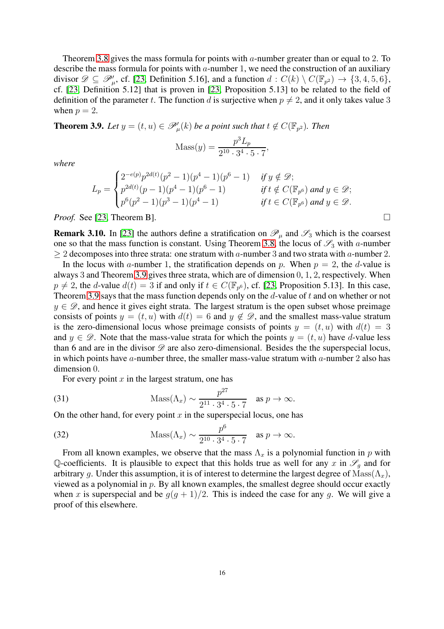Theorem [3.8](#page-14-0) gives the mass formula for points with a-number greater than or equal to 2. To describe the mass formula for points with  $a$ -number 1, we need the construction of an auxiliary divisor  $\mathscr{D} \subseteq \mathscr{P}'_{\mu}$ , cf. [\[23,](#page-36-5) Definition 5.16], and a function  $d : C(k) \setminus C(\mathbb{F}_{p^2}) \to \{3, 4, 5, 6\}$ , cf. [\[23,](#page-36-5) Definition 5.12] that is proven in [\[23,](#page-36-5) Proposition 5.13] to be related to the field of definition of the parameter t. The function d is surjective when  $p \neq 2$ , and it only takes value 3 when  $p = 2$ .

<span id="page-15-0"></span>**Theorem 3.9.** Let  $y = (t, u) \in \mathscr{P}'_{\mu}(k)$  be a point such that  $t \notin C(\mathbb{F}_{p^2})$ . Then

$$
Mass(y) = \frac{p^3 L_p}{2^{10} \cdot 3^4 \cdot 5 \cdot 7},
$$

*where*

$$
L_p = \begin{cases} 2^{-e(p)} p^{2d(t)} (p^2 - 1)(p^4 - 1)(p^6 - 1) & \text{if } y \notin \mathcal{D}; \\ p^{2d(t)} (p - 1)(p^4 - 1)(p^6 - 1) & \text{if } t \notin C(\mathbb{F}_{p^6}) \text{ and } y \in \mathcal{D}; \\ p^6(p^2 - 1)(p^3 - 1)(p^4 - 1) & \text{if } t \in C(\mathbb{F}_{p^6}) \text{ and } y \in \mathcal{D}. \end{cases}
$$

*Proof.* See [\[23,](#page-36-5) Theorem B]. □

**Remark 3.10.** In [\[23\]](#page-36-5) the authors define a stratification on  $\mathcal{P}_{\mu}$  and  $\mathcal{S}_{3}$  which is the coarsest one so that the mass function is constant. Using Theorem [3.8,](#page-14-0) the locus of  $\mathfrak{S}_3$  with a-number  $\geq 2$  decomposes into three strata: one stratum with a-number 3 and two strata with a-number 2.

In the locus with a-number 1, the stratification depends on p. When  $p = 2$ , the d-value is always 3 and Theorem [3.9](#page-15-0) gives three strata, which are of dimension 0, 1, 2, respectively. When  $p \neq 2$ , the d-value  $d(t) = 3$  if and only if  $t \in C(\mathbb{F}_{p^6})$ , cf. [\[23,](#page-36-5) Proposition 5.13]. In this case, Theorem [3.9](#page-15-0) says that the mass function depends only on the  $d$ -value of  $t$  and on whether or not  $y \in \mathscr{D}$ , and hence it gives eight strata. The largest stratum is the open subset whose preimage consists of points  $y = (t, u)$  with  $d(t) = 6$  and  $y \notin \mathcal{D}$ , and the smallest mass-value stratum is the zero-dimensional locus whose preimage consists of points  $y = (t, u)$  with  $d(t) = 3$ and  $y \in \mathscr{D}$ . Note that the mass-value strata for which the points  $y = (t, u)$  have d-value less than 6 and are in the divisor  $\mathscr D$  are also zero-dimensional. Besides the the superspecial locus, in which points have a-number three, the smaller mass-value stratum with  $a$ -number 2 also has dimension 0.

For every point  $x$  in the largest stratum, one has

(31) 
$$
\text{Mass}(\Lambda_x) \sim \frac{p^{27}}{2^{11} \cdot 3^4 \cdot 5 \cdot 7} \text{ as } p \to \infty.
$$

On the other hand, for every point  $x$  in the superspecial locus, one has

(32) 
$$
\text{Mass}(\Lambda_x) \sim \frac{p^6}{2^{10} \cdot 3^4 \cdot 5 \cdot 7} \text{ as } p \to \infty.
$$

From all known examples, we observe that the mass  $\Lambda_x$  is a polynomial function in p with Q-coefficients. It is plausible to expect that this holds true as well for any x in  $\mathscr{S}_\alpha$  and for arbitrary g. Under this assumption, it is of interest to determine the largest degree of  $\text{Mass}(\Lambda_x)$ , viewed as a polynomial in  $p$ . By all known examples, the smallest degree should occur exactly when x is superspecial and be  $g(g + 1)/2$ . This is indeed the case for any g. We will give a proof of this elsewhere.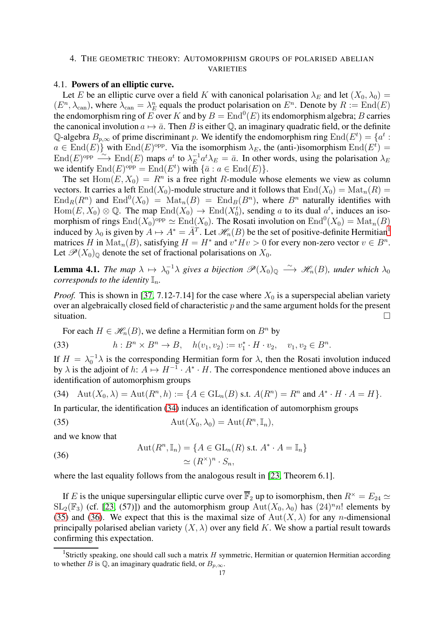# <span id="page-16-0"></span>4. THE GEOMETRIC THEORY: AUTOMORPHISM GROUPS OF POLARISED ABELIAN VARIETIES

# 4.1. Powers of an elliptic curve.

Let E be an elliptic curve over a field K with canonical polarisation  $\lambda_E$  and let  $(X_0, \lambda_0)$  =  $(E<sup>n</sup>, \lambda<sub>can</sub>)$ , where  $\lambda<sub>can</sub> = \lambda_E^n$  equals the product polarisation on  $E^n$ . Denote by  $R := \text{End}(E)$ the endomorphism ring of E over K and by  $B = \text{End}^0(E)$  its endomorphism algebra; B carries the canonical involution  $a \mapsto \bar{a}$ . Then B is either Q, an imaginary quadratic field, or the definite Q-algebra  $B_{p,\infty}$  of prime discriminant p. We identify the endomorphism ring  $\text{End}(E^t) = \{a^t : a^t = 0\}$  $a \in \text{End}(E)$  with  $\text{End}(E)$ <sup>opp</sup>. Via the isomorphism  $\lambda_E$ , the (anti-)isomorphism  $\text{End}(E^t)$  = End(E)<sup>opp</sup>  $\xrightarrow{\sim}$  End(E) maps  $a^t$  to  $\lambda_E^{-1}$  $E^{-1}a^{t}\lambda_{E} = \bar{a}$ . In other words, using the polarisation  $\lambda_{E}$ we identify  $\text{End}(E)_{\text{opp}} = \text{End}(E^t)$  with  $\{\bar{a} : a \in \text{End}(E)\}.$ 

The set  $\text{Hom}(E, X_0) = R^n$  is a free right R-module whose elements we view as column vectors. It carries a left  $\text{End}(X_0)$ -module structure and it follows that  $\text{End}(X_0) = \text{Mat}_n(R)$  $\text{End}_R(R^n)$  and  $\text{End}^0(X_0) = \text{Mat}_n(B) = \text{End}_B(B^n)$ , where  $B^n$  naturally identifies with  $Hom(E, X_0) \otimes \mathbb{Q}$ . The map  $End(X_0) \to End(X_0^t)$ , sending a to its dual  $a^t$ , induces an isomorphism of rings  $\text{End}(X_0)^{\text{opp}} \simeq \text{End}(X_0)$ . The Rosati involution on  $\text{End}^0(X_0) = \text{Mat}_n(B)$ induced by  $\lambda_0$  is given by  $A \mapsto A^* = \overline{A}^T$ . Let  $\mathcal{H}_n(B)$  be the set of positive-definite Hermitian<sup>[1](#page-16-1)</sup> matrices H in  $\text{Mat}_n(B)$ , satisfying  $H = H^*$  and  $v^*Hv > 0$  for every non-zero vector  $v \in B^n$ . Let  $\mathscr{P}(X_0)$ <sub>0</sub> denote the set of fractional polarisations on  $X_0$ .

<span id="page-16-6"></span>**Lemma 4.1.** *The map*  $\lambda \mapsto \lambda_0^{-1}\lambda$  gives a bijection  $\mathscr{P}(X_0)_{\mathbb{Q}} \stackrel{\sim}{\longrightarrow} \mathscr{H}_n(B)$ , under which  $\lambda_0$ *corresponds to the identity*  $\mathbb{I}_n$ *.* 

*Proof.* This is shown in [\[37,](#page-37-7) 7.12-7.14] for the case where  $X_0$  is a superspecial abelian variety over an algebraically closed field of characteristic  $p$  and the same argument holds for the present  $\Box$ situation.  $\Box$ 

<span id="page-16-5"></span>For each  $H \in \mathcal{H}_n(B)$ , we define a Hermitian form on  $B^n$  by

(33) 
$$
h: B^{n} \times B^{n} \to B, \quad h(v_{1}, v_{2}) := v_{1}^{*} \cdot H \cdot v_{2}, \quad v_{1}, v_{2} \in B^{n}.
$$

If  $H = \lambda_0^{-1} \lambda$  is the corresponding Hermitian form for  $\lambda$ , then the Rosati involution induced by  $\lambda$  is the adjoint of h:  $A \mapsto H^{-1} \cdot A^* \cdot H$ . The correspondence mentioned above induces an identification of automorphism groups

<span id="page-16-2"></span>(34) 
$$
\text{Aut}(X_0, \lambda) = \text{Aut}(R^n, h) := \{A \in \text{GL}_n(B) \text{ s.t. } A(R^n) = R^n \text{ and } A^* \cdot H \cdot A = H\}.
$$

In particular, the identification [\(34\)](#page-16-2) induces an identification of automorphism groups

<span id="page-16-3"></span>(35) 
$$
Aut(X_0, \lambda_0) = Aut(R^n, \mathbb{I}_n),
$$

and we know that

<span id="page-16-4"></span>(36) 
$$
\operatorname{Aut}(R^n, \mathbb{I}_n) = \{A \in \operatorname{GL}_n(R) \text{ s.t. } A^* \cdot A = \mathbb{I}_n\} \approx (R^\times)^n \cdot S_n,
$$

where the last equality follows from the analogous result in [\[23,](#page-36-5) Theorem 6.1].

If E is the unique supersingular elliptic curve over  $\overline{\mathbb{F}}_2$  up to isomorphism, then  $R^* = E_{24} \simeq$  $SL_2(\mathbb{F}_3)$  (cf. [\[23,](#page-36-5) (57)]) and the automorphism group  $Aut(X_0, \lambda_0)$  has  $(24)^n n!$  elements by [\(35\)](#page-16-3) and [\(36\)](#page-16-4). We expect that this is the maximal size of Aut $(X, \lambda)$  for any *n*-dimensional principally polarised abelian variety  $(X, \lambda)$  over any field K. We show a partial result towards confirming this expectation.

<span id="page-16-1"></span><sup>&</sup>lt;sup>1</sup>Strictly speaking, one should call such a matrix  $H$  symmetric, Hermitian or quaternion Hermitian according to whether B is  $\mathbb{Q}$ , an imaginary quadratic field, or  $B_{p,\infty}$ .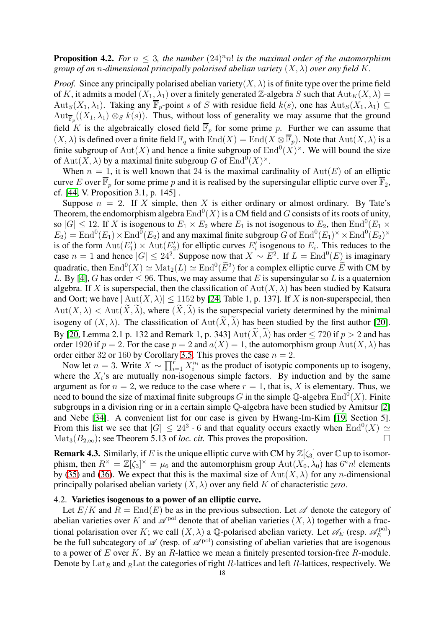**Proposition 4.2.** *For*  $n \leq 3$ , *the number*  $(24)^n n!$  *is the maximal order of the automorphism group of an n-dimensional principally polarised abelian variety*  $(X, \lambda)$  *over any field* K.

*Proof.* Since any principally polarised abelian variety  $(X, \lambda)$  is of finite type over the prime field of K, it admits a model  $(X_1, \lambda_1)$  over a finitely generated Z-algebra S such that  ${\rm Aut}_K(X, \lambda) =$ Aut<sub>S</sub>(X<sub>1</sub>,  $\lambda_1$ ). Taking any  $\overline{\mathbb{F}}_p$ -point s of S with residue field k(s), one has Aut<sub>S</sub>(X<sub>1</sub>,  $\lambda_1$ )  $\subseteq$  $\mathrm{Aut}_{\overline{\mathbb{F}}_p}((X_1,\lambda_1)\otimes_S k(s))$ . Thus, without loss of generality we may assume that the ground field K is the algebraically closed field  $\overline{\mathbb{F}}_p$  for some prime p. Further we can assume that  $(X, \lambda)$  is defined over a finite field  $\mathbb{F}_q$  with  $\text{End}(X) = \text{End}(X \otimes \overline{\mathbb{F}}_p)$ . Note that  $\text{Aut}(X, \lambda)$  is a finite subgroup of  $\text{Aut}(X)$  and hence a finite subgroup of  $\text{End}^0(X)^\times$ . We will bound the size of  $\text{Aut}(X, \lambda)$  by a maximal finite subgroup G of  $\text{End}^0(X)^{\times}$ .

When  $n = 1$ , it is well known that 24 is the maximal cardinality of  $Aut(E)$  of an elliptic curve E over  $\overline{\mathbb{F}}_p$  for some prime p and it is realised by the supersingular elliptic curve over  $\overline{\mathbb{F}}_2$ , cf. [\[44,](#page-37-11) V. Proposition 3.1, p. 145] .

Suppose  $n = 2$ . If X simple, then X is either ordinary or almost ordinary. By Tate's Theorem, the endomorphism algebra  $\text{End}^0(X)$  is a CM field and  $G$  consists of its roots of unity, so  $|G| \le 12$ . If X is isogenous to  $E_1 \times E_2$  where  $E_1$  is not isogenous to  $E_2$ , then  $\text{End}^0(E_1 \times E_2)$  $E_2$ ) = End<sup>0</sup>( $E_1$ ) × End<sup>0</sup>( $E_2$ ) and any maximal finite subgroup G of End<sup>0</sup>( $E_1$ )<sup>×</sup> × End<sup>0</sup>( $E_2$ )<sup>×</sup> is of the form  $\text{Aut}(E'_1) \times \text{Aut}(E'_2)$  for elliptic curves  $E'_i$  isogenous to  $E_i$ . This reduces to the case  $n = 1$  and hence  $|G| \le 24^2$ . Suppose now that  $X \sim E^2$ . If  $L = \text{End}^0(E)$  is imaginary quadratic, then  $\text{End}^0(X) \simeq \text{Mat}_2(L) \simeq \text{End}^0(\widetilde{E}^2)$  for a complex elliptic curve  $\widetilde{E}$  with CM by L. By [\[4\]](#page-36-14), G has order  $\leq 96$ . Thus, we may assume that E is supersingular so L is a quaternion algebra. If X is superspecial, then the classification of  $Aut(X, \lambda)$  has been studied by Katsura and Oort; we have  $|\text{Aut}(X, \lambda)| \le 1152$  by [\[24,](#page-37-17) Table 1, p. 137]. If X is non-superspecial, then  $Aut(X, \lambda) < Aut(\widetilde{X}, \widetilde{\lambda})$ , where  $(\widetilde{X}, \widetilde{\lambda})$  is the superspecial variety determined by the minimal isogeny of  $(X, \lambda)$ . The classification of  $Aut(X, \lambda)$  has been studied by the first author [\[20\]](#page-36-15). By [\[20,](#page-36-15) Lemma 2.1 p. 132 and Remark 1, p. 343]  $Aut(X, \lambda)$  has order  $\leq 720$  if  $p > 2$  and has order 1920 if  $p = 2$ . For the case  $p = 2$  and  $a(X) = 1$ , the automorphism group  $\text{Aut}(X, \lambda)$  has order either 32 or 160 by Corollary [3.5.](#page-13-2) This proves the case  $n = 2$ .

Now let  $n = 3$ . Write  $X \sim \prod_{i=1}^{r} X_i^{n_i}$  as the product of isotypic components up to isogeny, where the  $X_i$ 's are mutually non-isogenous simple factors. By induction and by the same argument as for  $n = 2$ , we reduce to the case where  $r = 1$ , that is, X is elementary. Thus, we need to bound the size of maximal finite subgroups  $G$  in the simple Q-algebra  $\mathrm{End}^0(X)$ . Finite subgroups in a division ring or in a certain simple Q-algebra have been studied by Amitsur [\[2\]](#page-36-16) and Nebe [\[34\]](#page-37-18). A convenient list for our case is given by Hwang-Im-Kim [\[19,](#page-36-17) Section 5]. From this list we see that  $|G| \leq 24^3 \cdot 6$  and that equality occurs exactly when  $\text{End}^0(X) \simeq$  $\text{Mat}_3(B_{2,\infty})$ ; see Theorem 5.13 of *loc. cit.* This proves the proposition.

**Remark 4.3.** Similarly, if E is the unique elliptic curve with CM by  $\mathbb{Z}[\zeta_3]$  over  $\mathbb{C}$  up to isomorphism, then  $R^{\times} = \mathbb{Z}[\zeta_3]^{\times} = \mu_6$  and the automorphism group  $\text{Aut}(X_0, \lambda_0)$  has  $6^n n!$  elements by [\(35\)](#page-16-3) and [\(36\)](#page-16-4). We expect that this is the maximal size of  $Aut(X, \lambda)$  for any *n*-dimensional principally polarised abelian variety  $(X, \lambda)$  over any field K of characteristic *zero*.

#### 4.2. Varieties isogenous to a power of an elliptic curve.

Let  $E/K$  and  $R = \text{End}(E)$  be as in the previous subsection. Let  $\mathscr A$  denote the category of abelian varieties over K and  $\mathscr{A}^{\text{pol}}$  denote that of abelian varieties  $(X, \lambda)$  together with a fractional polarisation over K; we call  $(X, \lambda)$  a Q-polarised abelian variety. Let  $\mathscr{A}_E$  (resp.  $\mathscr{A}_E^{\text{pol}}$  $E^{\rm pol})$ be the full subcategory of  $\mathscr A$  (resp. of  $\mathscr A^{\rm pol}$ ) consisting of abelian varieties that are isogenous to a power of  $E$  over  $K$ . By an  $R$ -lattice we mean a finitely presented torsion-free  $R$ -module. Denote by  $\text{Lat}_R$  and  $R$ Lat the categories of right R-lattices and left R-lattices, respectively. We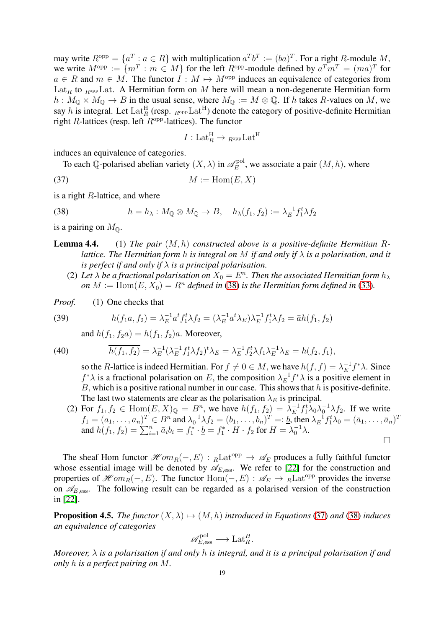may write  $R^{\text{opp}} = \{a^T : a \in R\}$  with multiplication  $a^T b^T := (ba)^T$ . For a right R-module M, we write  $M^{\text{opp}} := \{ m^T : m \in M \}$  for the left  $R^{\text{opp}}$ -module defined by  $a^T m^T = (ma)^T$  for  $a \in R$  and  $m \in M$ . The functor  $I : M \mapsto M^{\text{opp}}$  induces an equivalence of categories from Lat<sub>R</sub> to  $_{R^{opp}}$ Lat. A Hermitian form on M here will mean a non-degenerate Hermitian form  $h: M_{\mathbb{Q}} \times M_{\mathbb{Q}} \to B$  in the usual sense, where  $M_{\mathbb{Q}} := M \otimes \mathbb{Q}$ . If h takes R-values on M, we say h is integral. Let  $\mathrm{Lat}_{R}^{\mathrm{H}}$  (resp.  $_{R^{\mathrm{opp}}} \mathrm{Lat}^{\mathrm{H}}$ ) denote the category of positive-definite Hermitian right  $R$ -lattices (resp. left  $R^{\text{opp}}$ -lattices). The functor

<span id="page-18-1"></span>
$$
I: \mathrm{Lat}_R^{\mathrm{H}} \to {}_{R^{\mathrm{opp}}} \mathrm{Lat}^{\mathrm{H}}
$$

induces an equivalence of categories.

To each Q-polarised abelian variety  $(X, \lambda)$  in  $\mathscr{A}_E^{\text{pol}}$  $E_E^{\text{pol}}$ , we associate a pair  $(M, h)$ , where

$$
(37) \t\t\t M := \text{Hom}(E, X)
$$

is a right R-lattice, and where

<span id="page-18-0"></span>(38) 
$$
h = h_{\lambda}: M_{\mathbb{Q}} \otimes M_{\mathbb{Q}} \to B, \quad h_{\lambda}(f_1, f_2) := \lambda_E^{-1} f_1^t \lambda f_2
$$

is a pairing on  $M_{\odot}$ .

Lemma 4.4. (1) *The pair* (M, h) *constructed above is a positive-definite Hermitian* R*lattice. The Hermitian form* h *is integral on* M *if and only if* λ *is a polarisation, and it is perfect if and only if*  $\lambda$  *is a principal polarisation.* 

(2) Let  $\lambda$  be a fractional polarisation on  $X_0 = E^n$ . Then the associated Hermitian form  $h_\lambda$ *on*  $M := \text{Hom}(E, X_0) = R^n$  *defined in* [\(38\)](#page-18-0) *is the Hermitian form defined in* [\(33\)](#page-16-5).

*Proof.* (1) One checks that

(39) 
$$
h(f_1a, f_2) = \lambda_E^{-1} a^t f_1^t \lambda f_2 = (\lambda_E^{-1} a^t \lambda_E) \lambda_E^{-1} f_1^t \lambda f_2 = \bar{a} h(f_1, f_2)
$$

<span id="page-18-3"></span>and  $h(f_1, f_2 a) = h(f_1, f_2) a$ . Moreover,

(40) 
$$
\overline{h(f_1, f_2)} = \lambda_E^{-1} (\lambda_E^{-1} f_1^t \lambda f_2)^t \lambda_E = \lambda_E^{-1} f_2^t \lambda f_1 \lambda_E^{-1} \lambda_E = h(f_2, f_1),
$$

<span id="page-18-4"></span>so the R-lattice is indeed Hermitian. For  $f \neq 0 \in M$ , we have  $h(f, f) = \lambda_E^{-1}$  $E^{-1}f^*\lambda$ . Since  $f^*\lambda$  is a fractional polarisation on E, the composition  $\lambda_E^{-1}$  $E^{-1} f^* \lambda$  is a positive element in  $B$ , which is a positive rational number in our case. This shows that  $h$  is positive-definite. The last two statements are clear as the polarisation  $\lambda_E$  is principal.

(2) For 
$$
f_1, f_2 \in \text{Hom}(E, X)_{\mathbb{Q}} = B^n
$$
, we have  $h(f_1, f_2) = \lambda_E^{-1} f_1^t \lambda_0 \lambda_0^{-1} \lambda f_2$ . If we write  $f_1 = (a_1, \ldots, a_n)^T \in B^n$  and  $\lambda_0^{-1} \lambda f_2 = (b_1, \ldots, b_n)^T =: \underline{b}$ , then  $\lambda_E^{-1} f_1^t \lambda_0 = (\overline{a}_1, \ldots, \overline{a}_n)^T$  and  $h(f_1, f_2) = \sum_{i=1}^n \overline{a}_i b_i = f_1^* \cdot \underline{b} = f_1^* \cdot H \cdot f_2$  for  $H = \lambda_0^{-1} \lambda$ .

The sheaf Hom functor  $\mathscr{H}om_R(-, E) : R\text{Lat}^{\text{opp}} \to \mathscr{A}_E$  produces a fully faithful functor whose essential image will be denoted by  $\mathscr{A}_{E, \mathrm{ess}}$ . We refer to [\[22\]](#page-36-6) for the construction and properties of  $\mathscr{H}om_R(-, E)$ . The functor  $\text{Hom}(-, E) : \mathscr{A}_E \to {}_R\text{Lat}^{\text{opp}}$  provides the inverse on  $\mathscr{A}_{E, \text{ess}}$ . The following result can be regarded as a polarised version of the construction in [\[22\]](#page-36-6).

<span id="page-18-2"></span>**Proposition 4.5.** *The functor*  $(X, \lambda) \mapsto (M, h)$  *introduced in Equations* [\(37\)](#page-18-1) *and* [\(38\)](#page-18-0) *induces an equivalence of categories*

$$
\mathscr{A}_{E,\mathrm{ess}}^{\mathrm{pol}} \longrightarrow \mathrm{Lat}_R^H.
$$

*Moreover,* λ *is a polarisation if and only* h *is integral, and it is a principal polarisation if and only* h *is a perfect pairing on* M*.*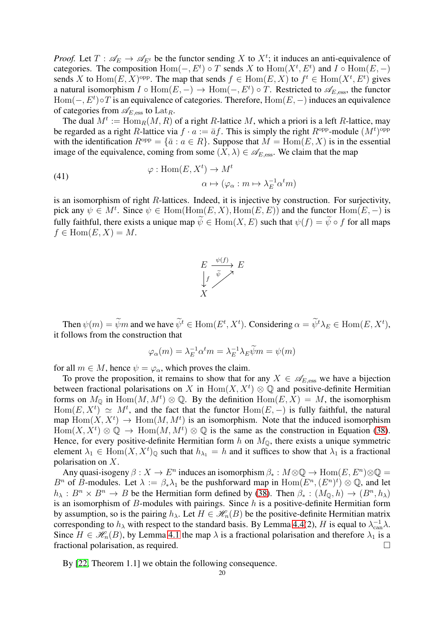*Proof.* Let  $T: \mathscr{A}_E \to \mathscr{A}_{E^t}$  be the functor sending X to  $X^t$ ; it induces an anti-equivalence of categories. The composition  $Hom(-, E^t) \circ T$  sends X to  $Hom(X^t, E^t)$  and  $I \circ Hom(E, -)$ sends X to  $\text{Hom}(E, X)$ <sup>opp</sup>. The map that sends  $f \in \text{Hom}(E, X)$  to  $f^t \in \text{Hom}(X^t, E^t)$  gives a natural isomorphism  $I \circ \text{Hom}(E, -) \to \text{Hom}(-, E^t) \circ T$ . Restricted to  $\mathscr{A}_{E, \text{ess}}$ , the functor  $Hom(-, E^t) \circ T$  is an equivalence of categories. Therefore,  $Hom(E, -)$  induces an equivalence of categories from  $\mathscr{A}_{E, \mathrm{ess}}$  to  $\mathrm{Lat}_R$ .

The dual  $M^t := \text{Hom}_R(M, R)$  of a right R-lattice M, which a priori is a left R-lattice, may be regarded as a right R-lattice via  $f \cdot a := \bar{a}f$ . This is simply the right  $R^{\text{opp}}$ -module  $(M^t)^{\text{opp}}$ with the identification  $R^{\text{opp}} = {\bar{a} : a \in R}$ . Suppose that  $M = \text{Hom}(E, X)$  is in the essential image of the equivalence, coming from some  $(X, \lambda) \in \mathscr{A}_{E, \text{ess}}$ . We claim that the map

(41) 
$$
\varphi: \text{Hom}(E, X^t) \to M^t
$$

$$
\alpha \mapsto (\varphi_\alpha: m \mapsto \lambda_E^{-1} \alpha^t m)
$$

is an isomorphism of right  $R$ -lattices. Indeed, it is injective by construction. For surjectivity, pick any  $\psi \in M^t$ . Since  $\psi \in \text{Hom}(\text{Hom}(E, X), \text{Hom}(E, E))$  and the functor  $\text{Hom}(E, -)$  is fully faithful, there exists a unique map  $\widetilde{\psi} \in \text{Hom}(X, E)$  such that  $\psi(f) = \widetilde{\psi} \circ f$  for all maps  $f \in \text{Hom}(E, X) = M.$ 



Then  $\psi(m) = \psi m$  and we have  $\psi^t \in \text{Hom}(E^t, X^t)$ . Considering  $\alpha = \psi^t \lambda_E \in \text{Hom}(E, X^t)$ , it follows from the construction that

$$
\varphi_{\alpha}(m) = \lambda_E^{-1} \alpha^t m = \lambda_E^{-1} \lambda_E \widetilde{\psi} m = \psi(m)
$$

for all  $m \in M$ , hence  $\psi = \varphi_{\alpha}$ , which proves the claim.

To prove the proposition, it remains to show that for any  $X \in \mathscr{A}_{E, \text{ess}}$  we have a bijection between fractional polarisations on X in  $\text{Hom}(X, X^t) \otimes \mathbb{Q}$  and positive-definite Hermitian forms on  $M_{\mathbb{Q}}$  in  $\text{Hom}(M, M^t) \otimes \mathbb{Q}$ . By the definition  $\text{Hom}(E, X) = M$ , the isomorphism  $\text{Hom}(E, X^t) \simeq M^t$ , and the fact that the functor  $\text{Hom}(E, -)$  is fully faithful, the natural map  $\text{Hom}(X, X^t) \to \text{Hom}(M, M^t)$  is an isomorphism. Note that the induced isomorphism  $\text{Hom}(X, X^t) \otimes \mathbb{Q} \to \text{Hom}(M, M^t) \otimes \mathbb{Q}$  is the same as the construction in Equation [\(38\)](#page-18-0). Hence, for every positive-definite Hermitian form h on  $M_{\odot}$ , there exists a unique symmetric element  $\lambda_1 \in \text{Hom}(X, X^t)_{\mathbb{Q}}$  such that  $h_{\lambda_1} = h$  and it suffices to show that  $\lambda_1$  is a fractional polarisation on X.

Any quasi-isogeny  $\beta: X \to E^n$  induces an isomorphism  $\beta_*: M \otimes \mathbb{Q} \to \text{Hom}(E, E^n) \otimes \mathbb{Q} =$  $B^n$  of B-modules. Let  $\lambda := \beta_* \lambda_1$  be the pushforward map in  $\text{Hom}(E^n, (E^n)^t) \otimes \mathbb{Q}$ , and let  $h_{\lambda}: B^n \times B^n \to B$  be the Hermitian form defined by [\(38\)](#page-18-0). Then  $\beta_*: (M_{\mathbb{Q}}, h) \to (B^n, h_{\lambda})$ is an isomorphism of  $B$ -modules with pairings. Since  $h$  is a positive-definite Hermitian form by assumption, so is the pairing  $h_{\lambda}$ . Let  $H \in \mathcal{H}_n(B)$  be the positive-definite Hermitian matrix corresponding to  $h_\lambda$  with respect to the standard basis. By Lemma 4.4(2), H is equal to  $\lambda_{\text{can}}^{-1} \lambda$ . Since  $H \in \mathcal{H}_n(B)$ , by Lemma [4.1](#page-16-6) the map  $\lambda$  is a fractional polarisation and therefore  $\lambda_1$  is a fractional polarisation as required fractional polarisation, as required.

By [\[22,](#page-36-6) Theorem 1.1] we obtain the following consequence.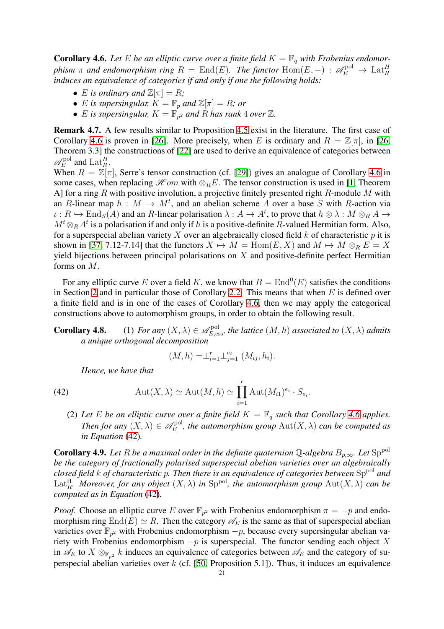<span id="page-20-0"></span>**Corollary 4.6.** Let E be an elliptic curve over a finite field  $K = \mathbb{F}_q$  with Frobenius endomor*phism*  $\pi$  *and endomorphism ring*  $R = \text{End}(E)$ . *The functor*  $\text{Hom}(E, -) : \mathscr{A}_E^{\text{pol}} \to \text{Lat}_R^H$ *induces an equivalence of categories if and only if one the following holds:*

- *E* is ordinary and  $\mathbb{Z}[\pi] = R$ ;
- *E* is supersingular,  $K = \mathbb{F}_p$  and  $\mathbb{Z}[\pi] = R$ ; or
- $E$  is supersingular,  $K = \mathbb{F}_{p^2}$  and  $R$  has rank 4 over  $\mathbb{Z}$ .

Remark 4.7. A few results similar to Proposition [4.5](#page-18-2) exist in the literature. The first case of Corollary [4.6](#page-20-0) is proven in [\[26\]](#page-37-19). More precisely, when E is ordinary and  $R = \mathbb{Z}[\pi]$ , in [\[26,](#page-37-19) Theorem 3.3] the constructions of [\[22\]](#page-36-6) are used to derive an equivalence of categories between  $\mathscr{A}^{\mathrm{pol}}_{\scriptscriptstyle{E}}$  $E_E^{\text{pol}}$  and  $\text{Lat}_R^H$ .

When  $R = \mathbb{Z}[\pi]$ , Serre's tensor construction (cf. [\[29\]](#page-37-20)) gives an analogue of Corollary [4.6](#page-20-0) in some cases, when replacing  $\mathcal{H}$  om with  $\otimes_R E$ . The tensor construction is used in [\[1,](#page-36-18) Theorem A] for a ring R with positive involution, a projective finitely presented right R-module M with an R-linear map  $h : M \to M^t$ , and an abelian scheme A over a base S with R-action via  $\iota: R \hookrightarrow \text{End}_{S}(A)$  and an R-linear polarisation  $\lambda: A \to A^{t}$ , to prove that  $h \otimes \lambda: M \otimes_R A \to A^{t}$  $M^t \otimes_R A^t$  is a polarisation if and only if h is a positive-definite R-valued Hermitian form. Also, for a superspecial abelian variety X over an algebraically closed field  $k$  of characteristic  $p$  it is shown in [\[37,](#page-37-7) 7.12-7.14] that the functors  $X \mapsto M = \text{Hom}(E, X)$  and  $M \mapsto M \otimes_R E = X$ yield bijections between principal polarisations on  $X$  and positive-definite perfect Hermitian forms on M.

For any elliptic curve E over a field K, we know that  $B = \text{End}^0(E)$  satisfies the conditions in Section [2](#page-2-1) and in particular those of Corollary [2.2.](#page-4-0) This means that when  $E$  is defined over a finite field and is in one of the cases of Corollary [4.6,](#page-20-0) then we may apply the categorical constructions above to automorphism groups, in order to obtain the following result.

**Corollary 4.8.** (1) For any  $(X, \lambda) \in \mathscr{A}_{E, \text{ess}}^{\text{pol}}$ , the lattice  $(M, h)$  associated to  $(X, \lambda)$  admits *a unique orthogonal decomposition*

<span id="page-20-2"></span>
$$
(M, h) = \perp_{i=1}^r \perp_{j=1}^{e_i} (M_{ij}, h_i).
$$

*Hence, we have that*

$$
(42)
$$

(42) 
$$
\operatorname{Aut}(X,\lambda) \simeq \operatorname{Aut}(M,h) \simeq \prod_{i=1}^r \operatorname{Aut}(M_{i1})^{e_i} \cdot S_{e_i}.
$$

(2) Let E be an elliptic curve over a finite field  $K = \mathbb{F}_q$  such that Corollary [4.6](#page-20-0) applies. *Then for any*  $(X, \lambda) \in \mathscr{A}_E^{\text{pol}}$  $E_E^{\text{pol}}$ , the automorphism group  $\text{Aut}(X,\lambda)$  can be computed as *in Equation* [\(42\)](#page-20-2)*.*

<span id="page-20-1"></span>**Corollary 4.9.** Let R be a maximal order in the definite quaternion Q-algebra  $B_{p,\infty}$ . Let  ${\rm Sp}^{\rm pol}$ *be the category of fractionally polarised superspecial abelian varieties over an algebraically closed field* k *of characteristic* p*. Then there is an equivalence of categories between* Sppol *and* Lat<sup>H</sup><sub>R</sub>. Moreover, for any object  $(X, \lambda)$  in  $\text{Sp}^{\text{pol}}$ , the automorphism group  $\text{Aut}(X, \lambda)$  can be *computed as in Equation* [\(42\)](#page-20-2)*.*

*Proof.* Choose an elliptic curve E over  $\mathbb{F}_{p^2}$  with Frobenius endomorphism  $\pi = -p$  and endomorphism ring End(E)  $\simeq$  R. Then the category  $\mathscr{A}_E$  is the same as that of superspecial abelian varieties over  $\mathbb{F}_{p^2}$  with Frobenius endomorphism  $-p$ , because every supersingular abelian variety with Frobenius endomorphism  $-p$  is superspecial. The functor sending each object X in  $\mathscr{A}_E$  to  $X \otimes_{\mathbb{F}_{n^2}} k$  induces an equivalence of categories between  $\mathscr{A}_E$  and the category of superspecial abelian varieties over  $k$  (cf. [\[50,](#page-37-21) Proposition 5.1]). Thus, it induces an equivalence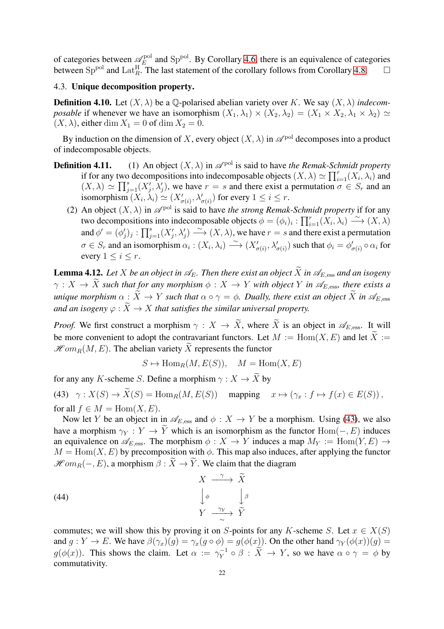of categories between  $\mathscr{A}_E^{\rm pol}$  $E_E^{\text{pol}}$  and Sp<sup>pol</sup>. By Corollary [4.6,](#page-20-0) there is an equivalence of categories between Sp<sup>pol</sup> and Lat<sup>H</sup><sub>R</sub>. The last statement of the corollary follows from Corollary 4.8.  $\Box$ 

# 4.3. Unique decomposition property.

**Definition 4.10.** Let  $(X, \lambda)$  be a  $\mathbb{O}$ -polarised abelian variety over K. We say  $(X, \lambda)$  *indecomposable* if whenever we have an isomorphism  $(X_1, \lambda_1) \times (X_2, \lambda_2) = (X_1 \times X_2, \lambda_1 \times \lambda_2) \simeq$  $(X, \lambda)$ , either dim  $X_1 = 0$  of dim  $X_2 = 0$ .

By induction on the dimension of X, every object  $(X, \lambda)$  in  $\mathscr{A}^{\text{pol}}$  decomposes into a product of indecomposable objects.

- **Definition 4.11.** (1) An object  $(X, \lambda)$  in  $\mathscr{A}^{\text{pol}}$  is said to have *the Remak-Schmidt property* if for any two decompositions into indecomposable objects  $(X, \lambda) \simeq \prod_{i=1}^r (X_i, \lambda_i)$  and  $(X, \lambda) \simeq \prod_{j=1}^s (X'_j, \lambda'_j)$ , we have  $r = s$  and there exist a permutation  $\sigma \in S_r$  and an isomorphism  $(X_i, \lambda_i) \simeq (X'_{\sigma(i)}, \lambda'_{\sigma(i)})$  for every  $1 \leq i \leq r$ .
	- (2) An object  $(X, \lambda)$  in  $\mathscr{A}^{\text{pol}}$  is said to have *the strong Remak-Schmidt property* if for any two decompositions into indecomposable objects  $\phi = (\phi_i)_i : \prod_{i=1}^r (X_i, \lambda_i) \stackrel{\sim}{\longrightarrow} (X, \lambda)$ and  $\phi' = (\phi'_j)_j : \prod_{j=1}^s (X'_j, \lambda'_j) \longrightarrow (X, \lambda)$ , we have  $r = s$  and there exist a permutation  $\sigma \in S_r$  and an isomorphism  $\alpha_i : (X_i, \lambda_i) \longrightarrow (X'_{\sigma(i)}, \lambda'_{\sigma(i)})$  such that  $\phi_i = \phi'_{\sigma(i)} \circ \alpha_i$  for every  $1 \leq i \leq r$ .

<span id="page-21-1"></span>**Lemma 4.12.** Let X be an object in  $\mathscr{A}_E$ . Then there exist an object  $\widetilde{X}$  in  $\mathscr{A}_{E, \text{ess}}$  and an isogeny  $\gamma: X \to \tilde{X}$  such that for any morphism  $\phi: X \to Y$  with object Y in  $\mathscr{A}_{E, \text{ess}}$ , there exists a *unique morphism*  $\alpha : \widetilde{X} \to Y$  *such that*  $\alpha \circ \gamma = \phi$ *. Dually, there exist an object*  $\widetilde{X}$  *in*  $\mathscr{A}_{E, \text{ess}}$ *and an isogeny*  $\varphi$  :  $\widetilde{X} \to X$  *that satisfies the similar universal property.* 

*Proof.* We first construct a morphism  $\gamma : X \to \tilde{X}$ , where  $\tilde{X}$  is an object in  $\mathscr{A}_{E, \text{ess}}$ . It will be more convenient to adopt the contravariant functors. Let  $M := \text{Hom}(X, E)$  and let  $\widetilde{X} :=$  $\mathcal{H}om_B(M, E)$ . The abelian variety  $\widetilde{X}$  represents the functor

<span id="page-21-2"></span>
$$
S \mapsto \text{Hom}_R(M, E(S)), \quad M = \text{Hom}(X, E)
$$

for any any K-scheme S. Define a morphism  $\gamma : X \to \tilde{X}$  by

<span id="page-21-0"></span>(43)  $\gamma: X(S) \to \widetilde{X}(S) = \text{Hom}_R(M, E(S))$  mapping  $x \mapsto (\gamma_x : f \mapsto f(x) \in E(S)),$ for all  $f \in M = \text{Hom}(X, E)$ .

Now let Y be an object in in  $\mathscr{A}_{E, \text{ess}}$  and  $\phi : X \to Y$  be a morphism. Using [\(43\)](#page-21-0), we also have a morphism  $\gamma_Y : Y \to \tilde{Y}$  which is an isomorphism as the functor  $\text{Hom}(-, E)$  induces an equivalence on  $\mathscr{A}_{E, \text{ess}}$ . The morphism  $\phi : X \to Y$  induces a map  $M_Y := \text{Hom}(Y, E) \to Y$  $M = \text{Hom}(X, E)$  by precomposition with  $\phi$ . This map also induces, after applying the functor  $\mathscr{H}om_B(-, E)$ , a morphism  $\beta : \widetilde{X} \to \widetilde{Y}$ . We claim that the diagram

(44)  

$$
\begin{array}{ccc}\n & X & \xrightarrow{\gamma} & \widetilde{X} \\
\downarrow^{\phi} & & \downarrow^{\beta} \\
Y & \xrightarrow{\gamma_Y} & \widetilde{Y}\n\end{array}
$$

commutes; we will show this by proving it on S-points for any K-scheme S. Let  $x \in X(S)$ and  $g: Y \to E$ . We have  $\beta(\gamma_x)(g) = \gamma_x(g \circ \phi) = g(\phi(x))$ . On the other hand  $\gamma_Y(\phi(x))(g) = g(\phi(x))$  $g(\phi(x))$ . This shows the claim. Let  $\alpha := \gamma_Y^{-1}$  $Y_Y^{-1} \circ \beta : X \to Y$ , so we have  $\alpha \circ \gamma = \phi$  by commutativity.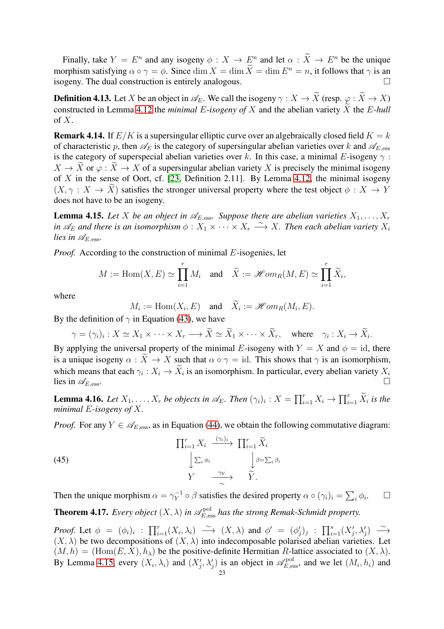Finally, take  $Y = E^n$  and any isogeny  $\phi: X \to E^n$  and let  $\alpha: X \to E^n$  be the unique morphism satisfying  $\alpha \circ \gamma = \phi$ . Since  $\dim X = \dim \widetilde{X} = \dim E^n = n$ , it follows that  $\gamma$  is an isogeny. The dual construction is entirely analogous.

<span id="page-22-0"></span>**Definition 4.13.** Let X be an object in  $\mathcal{A}_E$ . We call the isogeny  $\gamma : X \to \tilde{X}$  (resp.  $\varphi : \tilde{X} \to X$ ) constructed in Lemma [4.12](#page-21-1) the *minimal E-isogeny of* X and the abelian variety  $\widetilde{X}$  the *E-hull* of  $X$ .

<span id="page-22-1"></span>**Remark 4.14.** If  $E/K$  is a supersingular elliptic curve over an algebraically closed field  $K = k$ of characteristic p, then  $\mathscr{A}_E$  is the category of supersingular abelian varieties over k and  $\mathscr{A}_{E, \text{ess}}$ is the category of superspecial abelian varieties over k. In this case, a minimal E-isogeny  $\gamma$ :  $X \to \tilde{X}$  or  $\varphi : \tilde{X} \to X$  of a supersingular abelian variety X is precisely the minimal isogeny of X in the sense of Oort, cf.  $[23,$  Definition 2.11]. By Lemma [4.12,](#page-21-1) the minimal isogeny  $(X, \gamma : X \to \tilde{X})$  satisfies the stronger universal property where the test object  $\phi : X \to Y$ does not have to be an isogeny.

<span id="page-22-2"></span>**Lemma 4.15.** Let X be an object in  $\mathscr{A}_{E\text{-}\mathrm{ess}}$ . Suppose there are abelian varieties  $X_1, \ldots, X_r$ *in*  $\mathscr{A}_E$  and there is an isomorphism  $\phi: X_1 \times \cdots \times X_r \longrightarrow X$ . Then each abelian variety  $X_i$ *lies in*  $\mathscr{A}_{E, \text{ess}}$ *.* 

*Proof.* According to the construction of minimal E-isogenies, let

$$
M := \text{Hom}(X, E) \simeq \prod_{i=1}^r M_i \quad \text{and} \quad \widetilde{X} := \mathscr{H}om_R(M, E) \simeq \prod_{i=1}^r \widetilde{X}_i,
$$

where

$$
M_i := \text{Hom}(X_i, E) \text{ and } \widetilde{X}_i := \mathcal{H}om_R(M_i, E).
$$

By the definition of  $\gamma$  in Equation [\(43\)](#page-21-0), we have

$$
\gamma = (\gamma_i)_i : X \simeq X_1 \times \cdots \times X_r \longrightarrow \widetilde{X} \simeq \widetilde{X}_1 \times \cdots \times \widetilde{X}_r, \quad \text{where} \quad \gamma_i : X_i \to \widetilde{X}_i.
$$

By applying the universal property of the minimal E-isogeny with  $Y = X$  and  $\phi = id$ , there is a unique isogeny  $\alpha : \tilde{X} \to X$  such that  $\alpha \circ \gamma = id$ . This shows that  $\gamma$  is an isomorphism, which means that each  $\gamma_i : X_i \to X_i$  is an isomorphism. In particular, every abelian variety  $X_i$ lies in  $\mathscr{A}_{E, \text{ess}}$ .

**Lemma 4.16.** Let  $X_1, \ldots, X_r$  be objects in  $\mathscr{A}_E$ . Then  $(\gamma_i)_i : X = \prod_{i=1}^r X_i \to \prod_{i=1}^r \widetilde{X}_i$  is the *minimal* E*-isogeny of* X*.*

*Proof.* For any  $Y \in \mathcal{A}_{E, \text{ess}}$ , as in Equation [\(44\)](#page-21-2), we obtain the following commutative diagram:

(45) 
$$
\begin{array}{ccc}\n\prod_{i=1}^{r} X_{i} & \xrightarrow{(\gamma_{i})_{i}} & \prod_{i=1}^{r} \widetilde{X}_{i} \\
\downarrow \sum_{i} \phi_{i} & & \downarrow \beta = \sum_{i} \beta_{i} \\
Y & \xrightarrow{\gamma_{Y}} & \widetilde{Y}.\n\end{array}
$$

Then the unique morphism  $\alpha = \gamma_Y^{-1}$  $y_Y^{-1} \circ \beta$  satisfies the desired property  $\alpha \circ (\gamma_i)_i = \sum_i \phi_i$  $\Box$ **Theorem 4.17.** Every object  $(X, \lambda)$  in  $\mathscr{A}_{E, \mathrm{ess}}^{\mathrm{pol}}$  has the strong Remak-Schmidt property.

<span id="page-22-3"></span>*Proof.* Let  $\phi = (\phi_i)_i$  :  $\prod_{i=1}^r (X_i, \lambda_i) \longrightarrow (X, \lambda)$  and  $\phi' = (\phi'_j)_j$  :  $\prod_{i=1}^s (X'_j, \lambda'_j) \longrightarrow$  $(X, \lambda)$  be two decompositions of  $(X, \lambda)$  into indecomposable polarised abelian varieties. Let  $(M, h) = (Hom(E, X), h_\lambda)$  be the positive-definite Hermitian R-lattice associated to  $(X, \lambda)$ . By Lemma [4.15,](#page-22-2) every  $(X_i, \lambda_i)$  and  $(X'_j, \lambda'_j)$  is an object in  $\mathscr{A}_{E, \mathrm{ess}}^{\mathrm{pol}}$ , and we let  $(M_i, h_i)$  and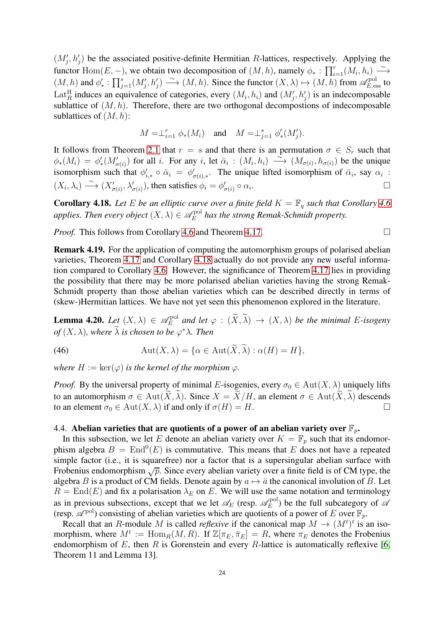$(M'_j, h'_j)$  be the associated positive-definite Hermitian R-lattices, respectively. Applying the functor Hom $(E, -)$ , we obtain two decomposition of  $(M, h)$ , namely  $\phi_* : \prod_{i=1}^r (M_i, h_i) \longrightarrow$  $(M, h)$  and  $\phi'_*: \prod_{j=1}^s (M'_j, h'_j) \longrightarrow (M, h)$ . Since the functor  $(X, \lambda) \mapsto (M, h)$  from  $\mathscr{A}_{E, \mathrm{ess}}^{\mathrm{pol}}$  to Lat<sup>H</sup><sub>R</sub> induces an equivalence of categories, every  $(M_i, h_i)$  and  $(M'_j, h'_j)$  is an indecomposable sublattice of  $(M, h)$ . Therefore, there are two orthogonal decompositions of indecomposable sublattices of  $(M, h)$ :

$$
M = \perp_{i=1}^r \phi_*(M_i)
$$
 and  $M = \perp_{j=1}^s \phi'_*(M'_j)$ .

It follows from Theorem [2.1](#page-3-0) that  $r = s$  and that there is an permutation  $\sigma \in S_r$  such that  $\phi_*(M_i) = \phi'_*(M'_{\sigma(i)})$  for all i. For any i, let  $\bar{\alpha}_i : (M_i, h_i) \longrightarrow (M_{\sigma(i)}, h_{\sigma(i)})$  be the unique isomorphism such that  $\phi'_{i,*} \circ \bar{\alpha}_i = \phi'_{\sigma(i),*}$ . The unique lifted isomorphism of  $\bar{\alpha}_i$ , say  $\alpha_i$ :  $(X_i, \lambda_i) \longrightarrow (X'_{\sigma(i)}, \lambda'_{\sigma(i)})$ , then satisfies  $\phi_i = \phi'_{\sigma(i)} \circ \alpha_i$ .

<span id="page-23-0"></span>**Corollary 4.18.** Let E be an elliptic curve over a finite field  $K = \mathbb{F}_q$  such that Corollary [4.6](#page-20-0) *applies. Then every object*  $(X, \lambda) \in \mathscr{A}_E^{\text{pol}}$  $E_E^{\text{pol}}$  has the strong Remak-Schmidt property.

*Proof.* This follows from Corollary [4.6](#page-20-0) and Theorem [4.17.](#page-22-3)

Remark 4.19. For the application of computing the automorphism groups of polarised abelian varieties, Theorem [4.17](#page-22-3) and Corollary [4.18](#page-23-0) actually do not provide any new useful information compared to Corollary [4.6.](#page-20-0) However, the significance of Theorem [4.17](#page-22-3) lies in providing the possibility that there may be more polarised abelian varieties having the strong Remak-Schmidt property than those abelian varieties which can be described directly in terms of (skew-)Hermitian lattices. We have not yet seen this phenomenon explored in the literature.

**Lemma 4.20.** *Let*  $(X, \lambda) \in \mathscr{A}_E^{\text{pol}}$  $E_E^{\text{pol}}$  and let  $\varphi$  :  $(X, \lambda) \to (X, \lambda)$  be the minimal E-isogeny  $of (X, \lambda)$ , where  $\lambda$  is chosen to be  $\varphi^* \lambda$ . Then

(46) 
$$
\operatorname{Aut}(X,\lambda) = \{ \alpha \in \operatorname{Aut}(\widetilde{X},\widetilde{\lambda}) : \alpha(H) = H \},
$$

*where*  $H := \ker(\varphi)$  *is the kernel of the morphism*  $\varphi$ *.* 

*Proof.* By the universal property of minimal E-isogenies, every  $\sigma_0 \in Aut(X, \lambda)$  uniquely lifts to an automorphism  $\sigma \in \text{Aut}(\overline{X}, \overline{\lambda})$ . Since  $X = \overline{X}/H$ , an element  $\sigma \in \text{Aut}(\overline{X}, \overline{\lambda})$  descends to an element  $\sigma_0 \in \text{Aut}(X, \lambda)$  if and only if  $\sigma(H) = H$ . to an element  $\sigma_0 \in \text{Aut}(X, \lambda)$  if and only if  $\sigma(H) = H$ .

# 4.4. Abelian varieties that are quotients of a power of an abelian variety over  $\mathbb{F}_p$ .

In this subsection, we let E denote an abelian variety over  $K = \mathbb{F}_p$  such that its endomorphism algebra  $B = \text{End}^0(E)$  is commutative. This means that E does not have a repeated simple factor (i.e., it is squarefree) nor a factor that is a supersingular abelian surface with Frobenius endomorphism  $\sqrt{p}$ . Since every abelian variety over a finite field is of CM type, the algebra B is a product of CM fields. Denote again by  $a \mapsto \overline{a}$  the canonical involution of B. Let  $R = \text{End}(E)$  and fix a polarisation  $\lambda_E$  on E. We will use the same notation and terminology as in previous subsections, except that we let  $\mathscr{A}_E$  (resp.  $\mathscr{A}_E^{\text{pol}}$  $E_E^{\text{pol}}$ ) be the full subcategory of  $\mathscr A$ (resp.  $\mathscr{A}^{\text{pol}}$ ) consisting of abelian varieties which are quotients of a power of E over  $\mathbb{F}_p$ .

Recall that an R-module M is called *reflexive* if the canonical map  $M \to (M^t)^t$  is an isomorphism, where  $M^t := \text{Hom}_R(M, R)$ . If  $\mathbb{Z}[\pi_E, \bar{\pi}_E] = R$ , where  $\pi_E$  denotes the Frobenius endomorphism of  $E$ , then  $R$  is Gorenstein and every  $R$ -lattice is automatically reflexive [\[6,](#page-36-19) Theorem 11 and Lemma 13].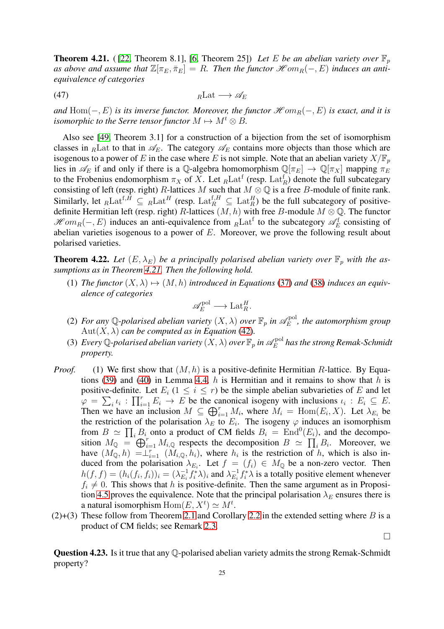<span id="page-24-1"></span>**Theorem 4.21.** ([\[22,](#page-36-6) Theorem 8.1], [\[6,](#page-36-19) Theorem 25]) Let E be an abelian variety over  $\mathbb{F}_p$ as above and assume that  $\mathbb{Z}[\pi_E, \bar{\pi}_E] = R$ . Then the functor  $\mathcal{H}$  om<sub>R</sub>(-, E) induces an anti*equivalence of categories*

(47)  $R\text{Lat}\longrightarrow \mathscr{A}_E$ 

*and*  $Hom(-, E)$  *is its inverse functor. Moreover, the functor*  $\mathcal{H}$  *om*<sub> $B$ </sub> $(-, E)$  *is exact, and it is isomorphic to the Serre tensor functor*  $M \mapsto M^t \otimes B$ .

Also see [\[49,](#page-37-22) Theorem 3.1] for a construction of a bijection from the set of isomorphism classes in <sub>R</sub>Lat to that in  $\mathcal{A}_E$ . The category  $\mathcal{A}_E$  contains more objects than those which are isogenous to a power of E in the case where E is not simple. Note that an abelian variety  $X/\mathbb{F}_p$ lies in  $\mathscr{A}_E$  if and only if there is a Q-algebra homomorphism  $\mathbb{Q}[\pi_E] \to \mathbb{Q}[\pi_X]$  mapping  $\pi_E$ to the Frobenius endomorphism  $\pi_X$  of X. Let  $_R$ Lat<sup>f</sup> (resp. Lat<sup>f</sup><sub>R</sub>) denote the full subcategary consisting of left (resp. right) R-lattices M such that  $M \otimes \mathbb{Q}$  is a free B-module of finite rank. Similarly, let  $_R Lat^{f,H} \subseteq R Lat^H$  (resp.  $Lat^{f,H}_R \subseteq Lat^H_R$ ) be the full subcategory of positivedefinite Hermitian left (resp. right) R-lattices  $(M, h)$  with free B-module  $M \otimes \mathbb{Q}$ . The functor  $\mathcal{H}om_R(-, E)$  induces an anti-equivalence from  $_R$ Lat<sup>f</sup> to the subcategory  $\mathcal{A}_E^f$  consisting of abelian varieties isogenous to a power of  $E$ . Moreover, we prove the following result about polarised varieties.

<span id="page-24-0"></span>**Theorem 4.22.** Let  $(E, \lambda_E)$  be a principally polarised abelian variety over  $\mathbb{F}_p$  with the as*sumptions as in Theorem [4.21.](#page-24-1) Then the following hold.*

(1) *The functor*  $(X, \lambda) \mapsto (M, h)$  *introduced in Equations* [\(37\)](#page-18-1) *and* [\(38\)](#page-18-0) *induces an equivalence of categories*

$$
\mathscr{A}_E^{\text{pol}} \longrightarrow \text{Lat}_R^H.
$$

- (2) For any Q-polarised abelian variety  $(X, \lambda)$  over  $\mathbb{F}_p$  in  $\mathscr{A}_E^{\text{pol}}$  $E_E^{\text{pol}}$ , the automorphism group  $Aut(X, \lambda)$  *can be computed as in Equation* [\(42\)](#page-20-2).
- (3) *Every* Q-polarised abelian variety  $(X, \lambda)$  over  $\mathbb{F}_p$  in  $\mathscr{A}_E^{\mathrm{pol}}$  $E^{\mathrm{pol}}_E$  has the strong Remak-Schmidt *property.*
- *Proof.* (1) We first show that  $(M, h)$  is a positive-definite Hermitian R-lattice. By Equa-tions [\(39\)](#page-18-3) and [\(40\)](#page-18-4) in Lemma 4.4, h is Hermitian and it remains to show that h is positive-definite. Let  $E_i$  ( $1 \leq i \leq r$ ) be the simple abelian subvarieties of E and let  $\varphi = \sum_i \iota_i : \prod_{i=1}^r E_i \to E$  be the canonical isogeny with inclusions  $\iota_i : E_i \subseteq E$ . Then we have an inclusion  $M \subseteq \bigoplus_{i=1}^r M_i$ , where  $M_i = \text{Hom}(E_i, X)$ . Let  $\lambda_{E_i}$  be the restriction of the polarisation  $\lambda_E$  to  $E_i$ . The isogeny  $\varphi$  induces an isomorphism from  $B \simeq \prod_i B_i$  onto a product of CM fields  $B_i = \text{End}^0(E_i)$ , and the decomposition  $M_{\mathbb{Q}} = \bigoplus_{i=1}^{r} M_{i,\mathbb{Q}}$  respects the decomposition  $B \simeq \prod_{i} B_{i}$ . Moreover, we have  $(M_{\mathbb{Q}}, h) = \perp_{i=1}^r (M_{i,\mathbb{Q}}, h_i)$ , where  $h_i$  is the restriction of h, which is also induced from the polarisation  $\lambda_{E_i}$ . Let  $f = (f_i) \in M_{\mathbb{Q}}$  be a non-zero vector. Then  $h(f, f) = (h_i(f_i, f_i))_i = (\lambda_{E_i}^{-1})$  $_{E_i}^{-1}f_i^*\lambda)_i$  and  $\lambda_{E_i}^{-1}$  $\sum_{E_i}^{-1} f_i^* \lambda$  is a totally positive element whenever  $f_i \neq 0$ . This shows that h is positive-definite. Then the same argument as in Proposi-tion [4.5](#page-18-2) proves the equivalence. Note that the principal polarisation  $\lambda_E$  ensures there is a natural isomorphism  $\text{Hom}(E, X^t) \simeq M^t$ .
- (2)+(3) These follow from Theorem [2.1](#page-3-0) and Corollary [2.2](#page-4-0) in the extended setting where B is a product of CM fields; see Remark [2.3.](#page-4-2)

 $\Box$ 

Question 4.23. Is it true that any Q-polarised abelian variety admits the strong Remak-Schmidt property?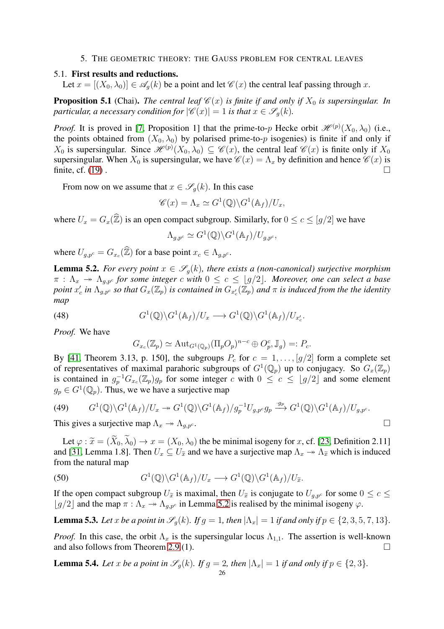#### 5. THE GEOMETRIC THEORY: THE GAUSS PROBLEM FOR CENTRAL LEAVES

# <span id="page-25-2"></span><span id="page-25-0"></span>5.1. First results and reductions.

Let  $x = [(X_0, \lambda_0)] \in \mathscr{A}_a(k)$  be a point and let  $\mathscr{C}(x)$  the central leaf passing through x.

**Proposition 5.1** (Chai). *The central leaf*  $\mathcal{C}(x)$  *is finite if and only if*  $X_0$  *is supersingular. In particular, a necessary condition for*  $|\mathscr{C}(x)| = 1$  *is that*  $x \in \mathscr{S}_a(k)$ *.* 

*Proof.* It is proved in [\[7,](#page-36-2) Proposition 1] that the prime-to-p Hecke orbit  $\mathcal{H}^{(p)}(X_0, \lambda_0)$  (i.e., the points obtained from  $(X_0, \lambda_0)$  by polarised prime-to-p isogenies) is finite if and only if  $X_0$  is supersingular. Since  $\mathcal{H}^{(p)}(X_0,\lambda_0) \subseteq \mathcal{C}(x)$ , the central leaf  $\mathcal{C}(x)$  is finite only if  $X_0$ supersingular. When  $X_0$  is supersingular, we have  $\mathcal{C}(x) = \Lambda_x$  by definition and hence  $\mathcal{C}(x)$  is finite, cf. [\(19\)](#page-10-2).

From now on we assume that  $x \in \mathscr{S}_q(k)$ . In this case

$$
\mathscr{C}(x) = \Lambda_x \simeq G^1(\mathbb{Q}) \backslash G^1(\mathbb{A}_f) / U_x,
$$

where  $U_x = G_x(\widehat{\mathbb{Z}})$  is an open compact subgroup. Similarly, for  $0 \le c \le \lfloor g/2 \rfloor$  we have

$$
\Lambda_{g,p^c} \simeq G^1(\mathbb{Q}) \backslash G^1(\mathbb{A}_f) / U_{g,p^c},
$$

where  $U_{g,p^c} = G_{x_c}(\mathbb{Z})$  for a base point  $x_c \in \Lambda_{g,p^c}$ .

<span id="page-25-1"></span>**Lemma 5.2.** *For every point*  $x \in \mathscr{S}_q(k)$ *, there exists a (non-canonical) surjective morphism*  $\pi$  :  $\Lambda_x$   $\rightarrow$   $\Lambda_{g,p^c}$  for some integer c with  $0 \leq c \leq \lfloor g/2 \rfloor$ . Moreover, one can select a base *point*  $x'_c$  *in*  $\Lambda_{g,p^c}$  *so that*  $G_x(\mathbb{Z}_p)$  *is contained in*  $G_{x'_c}(\mathbb{Z}_p)$  *and*  $\pi$  *is induced from the the identity map*

(48) 
$$
G^1(\mathbb{Q}) \backslash G^1(\mathbb{A}_f) / U_x \longrightarrow G^1(\mathbb{Q}) \backslash G^1(\mathbb{A}_f) / U_{x'_c}.
$$

*Proof.* We have

$$
G_{x_c}(\mathbb{Z}_p) \simeq \mathrm{Aut}_{G^1(\mathbb{Q}_p)}(\Pi_p O_p)^{n-c} \oplus O_p^c, \mathbb{J}_g) =: P_c.
$$

By [\[41,](#page-37-23) Theorem 3.13, p. 150], the subgroups  $P_c$  for  $c = 1, \ldots, [g/2]$  form a complete set of representatives of maximal parahoric subgroups of  $G^1(\mathbb{Q}_p)$  up to conjugacy. So  $G_x(\mathbb{Z}_p)$ is contained in  $g_p^{-1}G_{x_c}(\mathbb{Z}_p)g_p$  for some integer c with  $0 \leq c \leq \lfloor g/2 \rfloor$  and some element  $g_p \in G^1(\mathbb{Q}_p)$ . Thus, we we have a surjective map

(49) 
$$
G^{1}(\mathbb{Q})\backslash G^{1}(\mathbb{A}_{f})/U_{x} \to G^{1}(\mathbb{Q})\backslash G^{1}(\mathbb{A}_{f})/g_{p}^{-1}U_{g,p^{c}}g_{p} \xrightarrow{g_{p}} G^{1}(\mathbb{Q})\backslash G^{1}(\mathbb{A}_{f})/U_{g,p^{c}}.
$$
 This gives a surjective map  $\Lambda_{x} \to \Lambda_{g,p^{c}}$ .

Let  $\varphi$  :  $\widetilde{x} = (X_0, \lambda_0) \rightarrow x = (X_0, \lambda_0)$  the be minimal isogeny for x, cf. [\[23,](#page-36-5) Definition 2.11] and [\[31,](#page-37-6) Lemma 1.8]. Then  $U_x \subseteq U_{\tilde{x}}$  and we have a surjective map  $\Lambda_x \to \Lambda_{\tilde{x}}$  which is induced from the natural map

(50) 
$$
G^1(\mathbb{Q}) \backslash G^1(\mathbb{A}_f) / U_x \longrightarrow G^1(\mathbb{Q}) \backslash G^1(\mathbb{A}_f) / U_{\tilde{x}}.
$$

If the open compact subgroup  $U_{\tilde{x}}$  is maximal, then  $U_{\tilde{x}}$  is conjugate to  $U_{q,p^c}$  for some  $0 \leq c \leq$  $|g/2|$  and the map  $\pi : \Lambda_x \to \Lambda_{a,pc}$  in Lemma [5.2](#page-25-1) is realised by the minimal isogeny  $\varphi$ .

<span id="page-25-3"></span>**Lemma 5.3.** *Let* x *be a point in*  $\mathscr{S}_q(k)$ *.* If  $g = 1$ *, then*  $|\Lambda_x| = 1$  *if and only if*  $p \in \{2, 3, 5, 7, 13\}$ *.* 

*Proof.* In this case, the orbit  $\Lambda_x$  is the supersingular locus  $\Lambda_{1,1}$ . The assertion is well-known and also follows from Theorem [2.9.](#page-8-0)(1).

<span id="page-25-4"></span>**Lemma 5.4.** Let x be a point in 
$$
\mathscr{S}_g(k)
$$
. If  $g = 2$ , then  $|\Lambda_x| = 1$  if and only if  $p \in \{2, 3\}$ .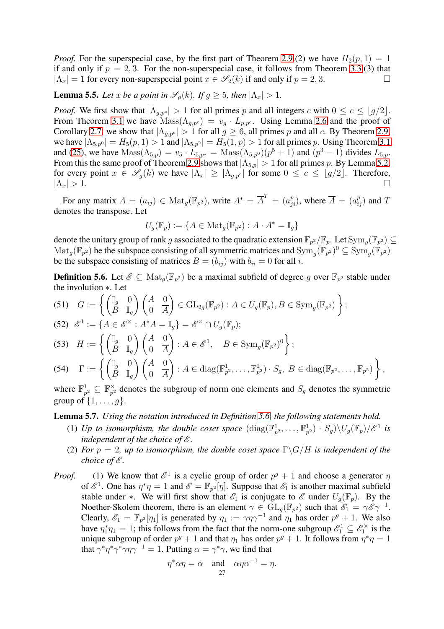*Proof.* For the superspecial case, by the first part of Theorem [2.9.](#page-8-0)(2) we have  $H_2(p, 1) = 1$ if and only if  $p = 2, 3$ . For the non-superspecial case, it follows from Theorem [3.3.](#page-12-0)(3) that  $|\Lambda_x| = 1$  for every non-superspecial point  $x \in \mathscr{S}_2(k)$  if and only if  $p = 2, 3$ .

<span id="page-26-2"></span>**Lemma 5.5.** *Let* x *be a point in*  $\mathscr{S}_q(k)$ *. If*  $g \geq 5$ *, then*  $|\Lambda_x| > 1$ *.* 

*Proof.* We first show that  $|\Lambda_{g,pc}| > 1$  for all primes p and all integers c with  $0 \le c \le \lfloor g/2 \rfloor$ . From Theorem [3.1](#page-11-0) we have  $\text{Mass}(\Lambda_{g,p^c}) = v_g \cdot L_{p,p^c}$ . Using Lemma [2.6](#page-7-2) and the proof of Corollary [2.7,](#page-7-4) we show that  $|\Lambda_{g,pc}| > 1$  for all  $g \ge 6$ , all primes p and all c. By Theorem [2.9,](#page-8-0) we have  $|\Lambda_{5,p^0}| = H_5(p, 1) > 1$  and  $|\Lambda_{5,p^2}| = H_5(1, p) > 1$  for all primes p. Using Theorem [3.1](#page-11-0) and [\(25\)](#page-11-3), we have  $\text{Mass}(\Lambda_{5,p}) = v_5 \cdot L_{5,p1} = \text{Mass}(\Lambda_{5,p0})(p^5 + 1)$  and  $(p^3 - 1)$  divides  $L_{5,p}$ . From this the same proof of Theorem [2.9](#page-8-0) shows that  $|\Lambda_{5,p}| > 1$  for all primes p. By Lemma [5.2,](#page-25-1) for every point  $x \in \mathscr{S}_g(k)$  we have  $|\Lambda_x| \geq |\Lambda_{g,p^c}|$  for some  $0 \leq c \leq \lfloor g/2 \rfloor$ . Therefore,  $|\Lambda_x| > 1$ .  $|\Lambda_x| > 1.$ 

For any matrix  $A = (a_{ij}) \in Mat_g(\mathbb{F}_{p^2})$ , write  $A^* = \overline{A}^T = (a_{ji}^p)$ , where  $\overline{A} = (a_{ij}^p)$  and  $T$ denotes the transpose. Let

$$
U_g(\mathbb{F}_p) := \{ A \in \text{Mat}_g(\mathbb{F}_{p^2}) : A \cdot A^* = \mathbb{I}_g \}
$$

denote the unitary group of rank g associated to the quadratic extension  $\mathbb{F}_{p^2}/\mathbb{F}_p$ . Let  $\text{Sym}_g(\mathbb{F}_{p^2})\subseteq$  $\mathrm{Mat}_g(\mathbb{F}_{p^2})$  be the subspace consisting of all symmetric matrices and  $\mathrm{Sym}_g(\mathbb{F}_{p^2})^0 \subseteq \mathrm{Sym}_g(\mathbb{F}_{p^2})$ be the subspace consisting of matrices  $B = (b_{ij})$  with  $b_{ii} = 0$  for all i.

<span id="page-26-0"></span>**Definition 5.6.** Let  $\mathscr{E} \subseteq \text{Mat}_{g}(\mathbb{F}_{p^2})$  be a maximal subfield of degree g over  $\mathbb{F}_{p^2}$  stable under the involution ∗. Let

(51) 
$$
G := \left\{ \begin{pmatrix} \mathbb{I}_g & 0 \\ B & \mathbb{I}_g \end{pmatrix} \begin{pmatrix} A & 0 \\ 0 & \overline{A} \end{pmatrix} \in \text{GL}_{2g}(\mathbb{F}_{p^2}) : A \in U_g(\mathbb{F}_p), B \in \text{Sym}_g(\mathbb{F}_{p^2}) \right\};
$$

$$
(52) \ \mathscr{E}^1 := \{ A \in \mathscr{E}^\times : A^*A = \mathbb{I}_g \} = \mathscr{E}^\times \cap U_g(\mathbb{F}_p);
$$

(53) 
$$
H := \left\{ \begin{pmatrix} \mathbb{I}_g & 0 \\ B & \mathbb{I}_g \end{pmatrix} \begin{pmatrix} A & 0 \\ 0 & A \end{pmatrix} : A \in \mathcal{E}^1, \quad B \in \text{Sym}_g(\mathbb{F}_{p^2})^0 \right\};
$$

(54) 
$$
\Gamma := \left\{ \begin{pmatrix} \mathbb{I}_g & 0 \\ B & \mathbb{I}_g \end{pmatrix} \begin{pmatrix} A & 0 \\ 0 & \overline{A} \end{pmatrix} : A \in \text{diag}(\mathbb{F}_{p^2}^1, \dots, \mathbb{F}_{p^2}^1) \cdot S_g, B \in \text{diag}(\mathbb{F}_{p^2}, \dots, \mathbb{F}_{p^2}) \right\},
$$

where  $\mathbb{F}_p^1$  $\frac{1}{p^2} \subseteq \mathbb{F}_{p^2}^{\times}$  $_{p^2}^{\times}$  denotes the subgroup of norm one elements and  $S_g$  denotes the symmetric group of  $\{1, \ldots, q\}$ .

<span id="page-26-1"></span>Lemma 5.7. *Using the notation introduced in Definition [5.6,](#page-26-0) the following statements hold.*

- (1) Up to isomorphism, the double coset space  $(\text{diag}(\mathbb{F}_p^1))$  $_{p^2}^1,\ldots,\mathbb{F}_{p}^1$  $\binom{1}{p^2} \cdot S_g \backslash U_g(\mathbb{F}_p)/\mathscr{E}^1$  is *independent of the choice of*  $\mathscr E$ *.*
- (2) *For*  $p = 2$ , *up to isomorphism, the double coset space*  $\Gamma \backslash G/H$  *is independent of the choice of*  $\mathscr E$ *.*
- *Proof.* (1) We know that  $\mathcal{E}^1$  is a cyclic group of order  $p^g + 1$  and choose a generator  $\eta$ of  $\mathscr{E}^1$ . One has  $\eta^*\eta = 1$  and  $\mathscr{E} = \mathbb{F}_{p^2}[\eta]$ . Suppose that  $\mathscr{E}_1$  is another maximal subfield stable under ∗. We will first show that  $\mathscr{E}_1$  is conjugate to  $\mathscr{E}$  under  $U_q(\mathbb{F}_p)$ . By the Noether-Skolem theorem, there is an element  $\gamma \in GL_g(\mathbb{F}_{p^2})$  such that  $\mathscr{E}_1 = \gamma \mathscr{E} \gamma^{-1}$ . Clearly,  $\mathscr{E}_1 = \mathbb{F}_{p^2}[\eta_1]$  is generated by  $\eta_1 := \gamma \eta \gamma^{-1}$  and  $\eta_1$  has order  $p^g + 1$ . We also have  $\eta_1^*\eta_1 = 1$ ; this follows from the fact that the norm-one subgroup  $\mathscr{E}_1^1 \subseteq \mathscr{E}_1^\times$  is the unique subgroup of order  $p^g + 1$  and that  $\eta_1$  has order  $p^g + 1$ . It follows from  $\eta^*\eta = 1$ that  $\gamma^* \eta^* \gamma^* \gamma \eta \gamma^{-1} = 1$ . Putting  $\alpha = \gamma^* \gamma$ , we find that

$$
\eta^* \alpha \eta = \alpha \quad \text{and} \quad \alpha \eta \alpha^{-1} = \eta.
$$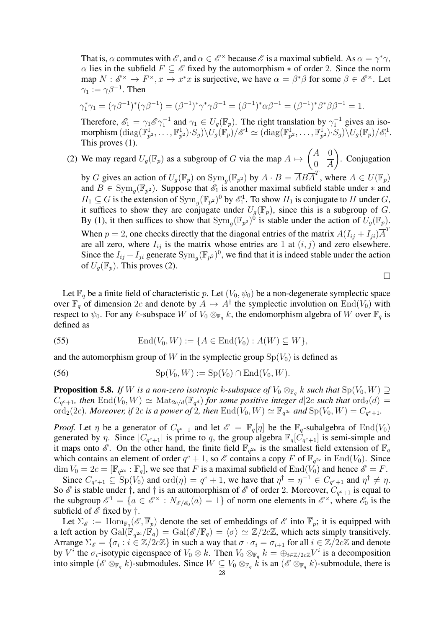That is,  $\alpha$  commutes with  $\mathscr{E}$ , and  $\alpha \in \mathscr{E}^{\times}$  because  $\mathscr{E}$  is a maximal subfield. As  $\alpha = \gamma^* \gamma$ ,  $\alpha$  lies in the subfield  $F \subseteq \mathscr{E}$  fixed by the automorphism  $*$  of order 2. Since the norm map  $N: \mathscr{E}^{\times} \to F^{\times}, x \mapsto x^*x$  is surjective, we have  $\alpha = \beta^* \beta$  for some  $\beta \in \mathscr{E}^{\times}$ . Let  $\gamma_1 := \gamma \beta^{-1}$ . Then

$$
\gamma_1^* \gamma_1 = (\gamma \beta^{-1})^* (\gamma \beta^{-1}) = (\beta^{-1})^* \gamma^* \gamma \beta^{-1} = (\beta^{-1})^* \alpha \beta^{-1} = (\beta^{-1})^* \beta^* \beta \beta^{-1} = 1.
$$

Therefore,  $\mathscr{E}_1 = \gamma_1 \mathscr{E} \gamma_1^{-1}$  and  $\gamma_1 \in U_g(\mathbb{F}_p)$ . The right translation by  $\gamma_1^{-1}$  gives an isomorphism  $(\text{diag}(\mathbb{F}_n^1))$  $_{p^2}^1,\ldots,\mathbb{F}_{p}^1$  $(\mathbb{F}_p^1) \cdot S_g) \backslash U_g(\mathbb{F}_p)/\mathscr{E}^1 \simeq (\text{diag}(\mathbb{F}_p^1))$  $_{p^2}^1,\ldots,\mathbb{F}_{p}^1$  $\frac{1}{p^2}$ ) $\cdot$ Sg) $\sqrt{U_g(\mathbb{F}_p)/\mathscr{E}_1^1}$ . This proves (1).

(2) We may regard  $U_g(\mathbb{F}_p)$  as a subgroup of G via the map  $A \mapsto$  $\begin{pmatrix} A & 0 \end{pmatrix}$  $0 \quad A$  $\overline{\phantom{0}}$ . Conjugation

by G gives an action of  $U_g(\mathbb{F}_p)$  on  $\text{Sym}_g(\mathbb{F}_{p^2})$  by  $A \cdot B = \overline{A} B \overline{A}^T$ , where  $A \in U(\mathbb{F}_p)$ and  $B \in \text{Sym}_g(\mathbb{F}_{p^2})$ . Suppose that  $\mathscr{E}_1$  is another maximal subfield stable under  $*$  and  $H_1 \subseteq G$  is the extension of  $\text{Sym}_g(\mathbb{F}_{p^2})^0$  by  $\mathcal{E}_1^1$ . To show  $H_1$  is conjugate to H under G, it suffices to show they are conjugate under  $U_q(\mathbb{F}_p)$ , since this is a subgroup of G. By (1), it then suffices to show that  $Sym_g(\mathbb{F}_{p^2})^0$  is stable under the action of  $U_g(\mathbb{F}_p)$ . When  $p = 2$ , one checks directly that the diagonal entries of the matrix  $A(I_{ij} + I_{ji})\overline{A}^T$ are all zero, where  $I_{ij}$  is the matrix whose entries are 1 at  $(i, j)$  and zero elsewhere. Since the  $I_{ij} + I_{ji}$  generate  $Sym_g(\mathbb{F}_{p^2})^0$ , we find that it is indeed stable under the action of  $U_q(\mathbb{F}_p)$ . This proves (2).

 $\Box$ 

Let  $\mathbb{F}_q$  be a finite field of characteristic p. Let  $(V_0, \psi_0)$  be a non-degenerate symplectic space over  $\mathbb{F}_q$  of dimension 2c and denote by  $A \mapsto A^{\dagger}$  the symplectic involution on End(V<sub>0</sub>) with respect to  $\psi_0$ . For any k-subspace W of  $V_0 \otimes_{\mathbb{F}_q} k$ , the endomorphism algebra of W over  $\mathbb{F}_q$  is defined as

(55) 
$$
\text{End}(V_0, W) := \{ A \in \text{End}(V_0) : A(W) \subseteq W \},
$$

and the automorphism group of W in the symplectic group  $Sp(V_0)$  is defined as

(56) 
$$
Sp(V_0, W) := Sp(V_0) \cap End(V_0, W).
$$

<span id="page-27-0"></span>**Proposition 5.8.** *If* W *is a non-zero isotropic* k-subspace of  $V_0 \otimes_{\mathbb{F}_q} k$  *such that*  $\text{Sp}(V_0, W) \supseteq$  $C_{q^c+1}$ , then  $\text{End}(V_0, W) \simeq \text{Mat}_{2c/d}(\mathbb{F}_{q^d})$  *for some positive integer d*|2*c such that* ord<sub>2</sub>(*d*) = ord<sub>2</sub>(2c). Moreover, if 2c is a power of 2, then  $\text{End}(V_0, W) \simeq \mathbb{F}_{q^{2c}}$  and  $\text{Sp}(V_0, W) = C_{q^c+1}$ .

*Proof.* Let  $\eta$  be a generator of  $C_{q^c+1}$  and let  $\mathscr{E} = \mathbb{F}_q[\eta]$  be the  $\mathbb{F}_q$ -subalgebra of  $\text{End}(V_0)$ generated by  $\eta$ . Since  $|C_{q^c+1}|$  is prime to q, the group algebra  $\mathbb{F}_q[C_{q^c+1}]$  is semi-simple and it maps onto  $\mathscr{E}$ . On the other hand, the finite field  $\mathbb{F}_{q^{2c}}$  is the smallest field extension of  $\mathbb{F}_q$ which contains an element of order  $q^c + 1$ , so  $\mathscr E$  contains a copy F of  $\mathbb F_{q^{2c}}$  in  $\text{End}(V_0)$ . Since  $\dim V_0 = 2c = [\mathbb{F}_{q^{2c}} : \mathbb{F}_q]$ , we see that F is a maximal subfield of  $\text{End}(V_0)$  and hence  $\mathscr{E} = F$ .

Since  $C_{q^c+1} \subseteq \text{Sp}(V_0)$  and  $\text{ord}(\eta) = q^c + 1$ , we have that  $\eta^{\dagger} = \eta^{-1} \in C_{q^c+1}$  and  $\eta^{\dagger} \neq \eta$ . So  $\mathscr E$  is stable under  $\dagger$ , and  $\dagger$  is an automorphism of  $\mathscr E$  of order 2. Moreover,  $C_{q^c+1}$  is equal to the subgroup  $\mathscr{E}^1 = \{a \in \mathscr{E}^\times : N_{\mathscr{E}/\mathscr{E}_0}(a) = 1\}$  of norm one elements in  $\mathscr{E}^\times$ , where  $\mathscr{E}_0$  is the subfield of  $\mathscr E$  fixed by  $\dagger$ .

Let  $\Sigma_{\mathscr{E}} := \text{Hom}_{\mathbb{F}_q}(\mathscr{E}, \overline{\mathbb{F}}_p)$  denote the set of embeddings of  $\mathscr{E}$  into  $\overline{\mathbb{F}}_p$ ; it is equipped with a left action by  $Gal(\mathbb{F}_{q^{2c}}/\mathbb{F}_q) = Gal(\mathscr{E}/\mathbb{F}_q) = \langle \sigma \rangle \simeq \mathbb{Z}/2c\mathbb{Z}$ , which acts simply transitively. Arrange  $\Sigma_{\mathscr{E}} = \{\sigma_i : i \in \mathbb{Z}/2c\mathbb{Z}\}\$ in such a way that  $\sigma \cdot \sigma_i = \sigma_{i+1}$  for all  $i \in \mathbb{Z}/2c\mathbb{Z}$  and denote by  $V^i$  the  $\sigma_i$ -isotypic eigenspace of  $V_0 \otimes k$ . Then  $V_0 \otimes_{\mathbb{F}_q} k = \bigoplus_{i \in \mathbb{Z}/2c\mathbb{Z}} V^i$  is a decomposition into simple  $(\mathscr{E} \otimes_{\mathbb{F}_q} k)$ -submodules. Since  $W \subseteq V_0 \otimes_{\mathbb{F}_q} k$  is an  $(\mathscr{E} \otimes_{\mathbb{F}_q} k)$ -submodule, there is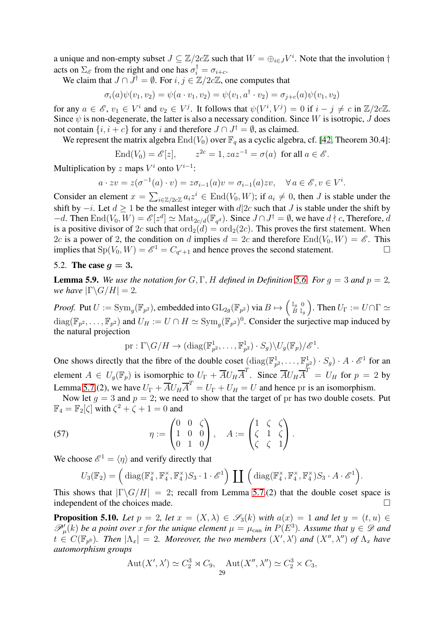a unique and non-empty subset  $J \subseteq \mathbb{Z}/2c\mathbb{Z}$  such that  $W = \bigoplus_{i \in J} V^i$ . Note that the involution  $\dagger$ acts on  $\Sigma_{\mathscr{E}}$  from the right and one has  $\sigma_i^{\dagger} = \sigma_{i+c}$ .

We claim that  $J \cap J^{\dagger} = \emptyset$ . For  $i, j \in \mathbb{Z}/2c\mathbb{Z}$ , one computes that

$$
\sigma_i(a)\psi(v_1, v_2) = \psi(a \cdot v_1, v_2) = \psi(v_1, a^{\dagger} \cdot v_2) = \sigma_{j+c}(a)\psi(v_1, v_2)
$$

for any  $a \in \mathscr{E}$ ,  $v_1 \in V^i$  and  $v_2 \in V^j$ . It follows that  $\psi(V^i, V^j) = 0$  if  $i - j \neq c$  in  $\mathbb{Z}/2c\mathbb{Z}$ . Since  $\psi$  is non-degenerate, the latter is also a necessary condition. Since W is isotropic, J does not contain  $\{i, i + c\}$  for any i and therefore  $J \cap J^{\dagger} = \emptyset$ , as claimed.

We represent the matrix algebra  $\text{End}(V_0)$  over  $\mathbb{F}_q$  as a cyclic algebra, cf. [\[42,](#page-37-24) Theorem 30.4]:

$$
\text{End}(V_0) = \mathcal{E}[z], \qquad z^{2c} = 1, zaz^{-1} = \sigma(a) \text{ for all } a \in \mathcal{E}.
$$

Multiplication by z maps  $V^i$  onto  $V^{i-1}$ :

$$
a \cdot zv = z(\sigma^{-1}(a) \cdot v) = z\sigma_{i-1}(a)v = \sigma_{i-1}(a)zv, \quad \forall a \in \mathscr{E}, v \in V^i.
$$

Consider an element  $x = \sum_{i \in \mathbb{Z}/2c\mathbb{Z}} a_i z^i \in \text{End}(V_0, W)$ ; if  $a_i \neq 0$ , then J is stable under the shift by  $-i$ . Let  $d \ge 1$  be the smallest integer with  $d|2c$  such that J is stable under the shift by  $-d.$  Then  $\text{End}(V_0, W) = \mathscr{E}[z^d] \simeq \text{Mat}_{2c/d}(\mathbb{F}_{q^d})$ . Since  $J \cap J^{\dagger} = \emptyset$ , we have  $d \nmid c$ , Therefore, d is a positive divisor of 2c such that  $\text{ord}_2(d) = \text{ord}_2(2c)$ . This proves the first statement. When 2c is a power of 2, the condition on d implies  $d = 2c$  and therefore  $\text{End}(V_0, W) = \mathscr{E}$ . This implies that  $\text{Sp}(V_0, W) = \mathscr{E}^1 = C_{q^c+1}$  and hence proves the second statement.

# <span id="page-28-0"></span>5.2. The case  $q=3$ .

<span id="page-28-1"></span>**Lemma 5.9.** We use the notation for  $G, \Gamma, H$  defined in Definition [5.6.](#page-26-0) For  $q = 3$  and  $p = 2$ , *we have*  $|\Gamma \backslash G/H| = 2$ .

*Proof.* Put  $U := \text{Sym}_g(\mathbb{F}_{p^2})$ , embedded into  $\text{GL}_{2g}(\mathbb{F}_{p^2})$  via  $B \mapsto \begin{pmatrix} \mathbb{I}_g & 0 \\ B & \mathbb{I}_g \end{pmatrix}$  $B \mathbb{I}_g$ ). Then  $U_{\Gamma} := U \cap \Gamma \simeq$  $diag(\mathbb{F}_{p^2},\ldots,\mathbb{F}_{p^2})$  and  $U_H := U \cap H \simeq \text{Sym}_g(\mathbb{F}_{p^2})^0$ . Consider the surjective map induced by the natural projection

$$
\text{pr}: \Gamma \backslash G/H \to (\text{diag}(\mathbb{F}_{p^2}^1, \ldots, \mathbb{F}_{p^2}^1) \cdot S_g) \backslash U_g(\mathbb{F}_p)/\mathscr{E}^1.
$$

One shows directly that the fibre of the double coset  $(\text{diag}(\mathbb{F}_{p^2}^1, \dots, \mathbb{F}_{p^2}^1) \cdot S_g) \cdot A \cdot \mathscr{E}^1$  for an element  $A \in U_g(\mathbb{F}_p)$  is isomorphic to  $U_{\Gamma} + \overline{A}U_H\overline{A}^T$ . Since  $\overline{A}U_H\overline{A}^T = U_H$  for  $p = 2$  by Lemma [5.7.](#page-26-1)(2), we have  $U_{\Gamma} + \overline{A}U_H\overline{A}^T = U_{\Gamma} + U_H = U$  and hence pr is an isomorphism.

Now let  $g = 3$  and  $p = 2$ ; we need to show that the target of pr has two double cosets. Put  $\mathbb{F}_4=\mathbb{F}_2[\zeta]$  with  $\zeta^2+\zeta+1=0$  and

(57) 
$$
\eta := \begin{pmatrix} 0 & 0 & \zeta \\ 1 & 0 & 0 \\ 0 & 1 & 0 \end{pmatrix}, \quad A := \begin{pmatrix} 1 & \zeta & \zeta \\ \zeta & 1 & \zeta \\ \zeta & \zeta & 1 \end{pmatrix}.
$$

We choose  $\mathscr{E}^1 = \langle \eta \rangle$  and verify directly that

<span id="page-28-2"></span>
$$
U_3(\mathbb{F}_2) = \left( \text{diag}(\mathbb{F}_4^{\times}, \mathbb{F}_4^{\times}, \mathbb{F}_4^{\times}) S_3 \cdot 1 \cdot \mathscr{E}^1 \right) \coprod \left( \text{diag}(\mathbb{F}_4^{\times}, \mathbb{F}_4^{\times}, \mathbb{F}_4^{\times}) S_3 \cdot A \cdot \mathscr{E}^1 \right).
$$

This shows that  $|\Gamma \backslash G/H| = 2$ ; recall from Lemma [5.7.](#page-26-1)(2) that the double coset space is independent of the choices made. independent of the choices made.

<span id="page-28-3"></span>**Proposition 5.10.** Let  $p = 2$ , let  $x = (X, \lambda) \in \mathscr{S}_3(k)$  with  $a(x) = 1$  and let  $y = (t, u) \in \mathbb{R}$  $\mathscr{P}'_{\mu}(k)$  be a point over x for the unique element  $\mu = \mu_{\text{can}}$  in  $P(E^3)$ . Assume that  $y \in \mathscr{D}$  and  $t \in C(\mathbb{F}_{p^6})$ . Then  $|\Lambda_x| = 2$ . Moreover, the two members  $(X', \lambda')$  and  $(X'', \lambda'')$  of  $\Lambda_x$  have *automorphism groups*

$$
Aut(X',\lambda') \simeq C_2^3 \rtimes C_9, \quad Aut(X'',\lambda'') \simeq C_2^3 \times C_3,
$$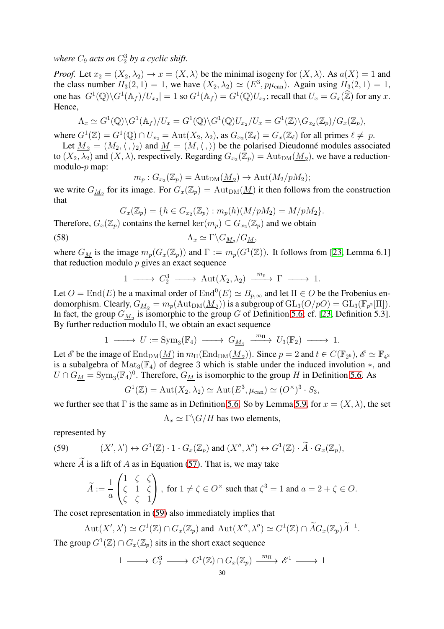where  $C_9$  acts on  $C_2^3$  by a cyclic shift.

*Proof.* Let  $x_2 = (X_2, \lambda_2) \rightarrow x = (X, \lambda)$  be the minimal isogeny for  $(X, \lambda)$ . As  $a(X) = 1$  and the class number  $H_3(2, 1) = 1$ , we have  $(X_2, \lambda_2) \simeq (E^3, p\mu_{\text{can}})$ . Again using  $H_3(2, 1) = 1$ , one has  $|G^1(\mathbb{Q}) \backslash G^1(\mathbb{A}_f)/U_{x_2}| = 1$  so  $G^1(\mathbb{A}_f) = G^1(\mathbb{Q})U_{x_2}$ ; recall that  $U_x = G_x(\mathbb{Z})$  for any  $x$ . Hence,

$$
\Lambda_x \simeq G^1(\mathbb{Q}) \backslash G^1(\mathbb{A}_f) / U_x = G^1(\mathbb{Q}) \backslash G^1(\mathbb{Q}) U_{x_2} / U_x = G^1(\mathbb{Z}) \backslash G_{x_2}(\mathbb{Z}_p) / G_x(\mathbb{Z}_p),
$$

where  $G^1(\mathbb{Z}) = G^1(\mathbb{Q}) \cap U_{x_2} = \text{Aut}(X_2, \lambda_2)$ , as  $G_{x_2}(\mathbb{Z}_\ell) = G_x(\mathbb{Z}_\ell)$  for all primes  $\ell \neq p$ .

Let  $M_2 = (M_2,\langle,\rangle_2)$  and  $M = (M,\langle,\rangle)$  be the polarised Dieudonné modules associated to  $(X_2, \lambda_2)$  and  $(X, \lambda)$ , respectively. Regarding  $G_{x_2}(\mathbb{Z}_p) = \text{Aut}_{\text{DM}}(\underline{M}_2)$ , we have a reductionmodulo- $p$  map:

$$
m_p: G_{x_2}(\mathbb{Z}_p) = \mathrm{Aut}_{\mathrm{DM}}(\underline{M}_2) \to \mathrm{Aut}(M_2/pM_2);
$$

we write  $G_{\underline{M}_2}$  for its image. For  $G_x(\mathbb{Z}_p) = \text{Aut}_{\text{DM}}(\underline{M})$  it then follows from the construction that

$$
G_x(\mathbb{Z}_p) = \{ h \in G_{x_2}(\mathbb{Z}_p) : m_p(h)(M/pM_2) = M/pM_2 \}.
$$

Therefore,  $G_x(\mathbb{Z}_p)$  contains the kernel  $\text{ker}(m_p) \subseteq G_{x_2}(\mathbb{Z}_p)$  and we obtain

(58) Λ<sup>x</sup> ≃ Γ\G<sup>M</sup><sup>2</sup> /GM,

where  $G_M$  is the image  $m_p(G_x(\mathbb{Z}_p))$  and  $\Gamma := m_p(G^1(\mathbb{Z}))$ . It follows from [\[23,](#page-36-5) Lemma 6.1] that reduction modulo  $p$  gives an exact sequence

$$
1 \longrightarrow C_2^3 \longrightarrow \text{Aut}(X_2, \lambda_2) \xrightarrow{m_p} \Gamma \longrightarrow 1.
$$

Let  $O = \text{End}(E)$  be a maximal order of  $\text{End}^0(E) \simeq B_{p,\infty}$  and let  $\Pi \in O$  be the Frobenius endomorphism. Clearly,  $G_{\underline{M}_2}=m_p(\mathrm{Aut}_{\mathrm{DM}}(\underline{M}_2))$  is a subgroup of  $\mathrm{GL}_3(O/pO)=\mathrm{GL}_3(\mathbb{F}_{p^2}[\Pi]).$ In fact, the group  $G_{\underline{M}_2}$  is isomorphic to the group G of Definition [5.6;](#page-26-0) cf. [\[23,](#page-36-5) Definition 5.3]. By further reduction modulo Π, we obtain an exact sequence

$$
1 \longrightarrow U := \mathrm{Sym}_3(\mathbb{F}_4) \longrightarrow G_{\underline{M}_2} \xrightarrow{m_{\Pi}} U_3(\mathbb{F}_2) \longrightarrow 1.
$$

Let  $\mathscr E$  be the image of  $\text{End}_{\text{DM}}(\underline{M})$  in  $m_\Pi(\text{End}_{\text{DM}}(\underline{M}_2))$ . Since  $p = 2$  and  $t \in C(\mathbb F_{2^6})$ ,  $\mathscr E \simeq \mathbb F_{4^3}$ is a subalgebra of  $\text{Mat}_3(\mathbb{F}_4)$  of degree 3 which is stable under the induced involution  $\ast$ , and  $U \cap G_{\underline{M}} = \text{Sym}_3(\mathbb{F}_4)^0$ . Therefore,  $G_{\underline{M}}$  is isomorphic to the group H in Definition [5.6.](#page-26-0) As

$$
G^{1}(\mathbb{Z}) = \text{Aut}(X_2, \lambda_2) \simeq \text{Aut}(E^3, \mu_{\text{can}}) \simeq (O^{\times})^3 \cdot S_3,
$$

we further see that Γ is the same as in Definition [5.6.](#page-26-0) So by Lemma [5.9,](#page-28-1) for  $x = (X, \lambda)$ , the set

$$
\Lambda_x \simeq \Gamma \backslash G / H
$$
 has two elements,

represented by

(59) 
$$
(X', \lambda') \leftrightarrow G^1(\mathbb{Z}) \cdot 1 \cdot G_x(\mathbb{Z}_p) \text{ and } (X'', \lambda'') \leftrightarrow G^1(\mathbb{Z}) \cdot \widetilde{A} \cdot G_x(\mathbb{Z}_p),
$$

where  $\ddot{A}$  is a lift of  $A$  as in Equation [\(57\)](#page-28-2). That is, we may take

<span id="page-29-0"></span>
$$
\widetilde{A}:=\frac{1}{a}\begin{pmatrix}1&\zeta&\zeta\\ \zeta&1&\zeta\\ \zeta&\zeta&1\end{pmatrix},\text{ for }1\neq\zeta\in O^\times\text{ such that }\zeta^3=1\text{ and }a=2+\zeta\in O.
$$

The coset representation in [\(59\)](#page-29-0) also immediately implies that

$$
\operatorname{Aut}(X',\lambda')\simeq G^1(\mathbb{Z})\cap G_x(\mathbb{Z}_p) \text{ and } \operatorname{Aut}(X'',\lambda'')\simeq G^1(\mathbb{Z})\cap \widetilde{A}G_x(\mathbb{Z}_p)\widetilde{A}^{-1}.
$$

The group  $G^1(\mathbb{Z}) \cap G_x(\mathbb{Z}_p)$  sits in the short exact sequence

$$
1 \longrightarrow C_2^3 \longrightarrow G^1(\mathbb{Z}) \cap G_x(\mathbb{Z}_p) \xrightarrow{m_{\Pi}} \mathcal{E}^1 \longrightarrow 1
$$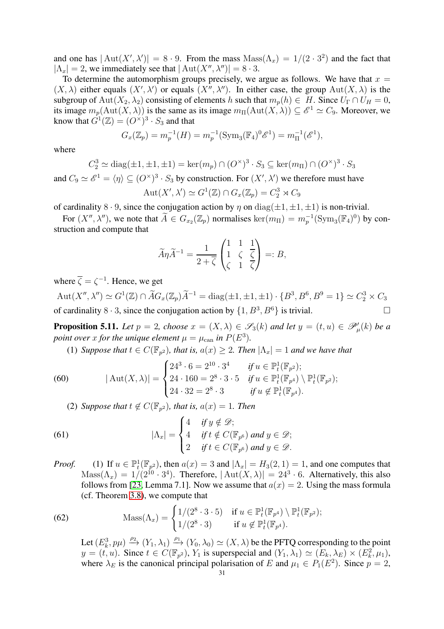and one has  $|\text{Aut}(X',\lambda')| = 8 \cdot 9$ . From the mass  $\text{Mass}(\Lambda_x) = 1/(2 \cdot 3^2)$  and the fact that  $|\Lambda_x| = 2$ , we immediately see that  $|\text{Aut}(X'', \lambda'')| = 8 \cdot 3$ .

To determine the automorphism groups precisely, we argue as follows. We have that  $x =$  $(X, \lambda)$  either equals  $(X', \lambda')$  or equals  $(X'', \lambda'')$ . In either case, the group  $Aut(X, \lambda)$  is the subgroup of Aut $(X_2, \lambda_2)$  consisting of elements h such that  $m_p(h) \in H$ . Since  $U_{\Gamma} \cap U_H = 0$ , its image  $m_p(\text{Aut}(X, \lambda))$  is the same as its image  $m_\Pi(\text{Aut}(X, \lambda)) \subseteq \mathcal{E}^1 \simeq C_9$ . Moreover, we know that  $G^1(\mathbb{Z}) = (O^\times)^3 \cdot S_3$  and that

$$
G_x(\mathbb{Z}_p) = m_p^{-1}(H) = m_p^{-1}(\text{Sym}_3(\mathbb{F}_4)^0 \mathscr{E}^1) = m_\Pi^{-1}(\mathscr{E}^1),
$$

where

$$
C_2^3 \simeq \text{diag}(\pm 1, \pm 1, \pm 1) = \ker(m_p) \cap (O^\times)^3 \cdot S_3 \subseteq \ker(m_\Pi) \cap (O^\times)^3 \cdot S_3
$$

and  $C_9 \simeq \mathscr{E}^1 = \langle \eta \rangle \subseteq (O^\times)^3 \cdot S_3$  by construction. For  $(X', \lambda')$  we therefore must have  $\mathrm{Aut}(X',\lambda')\simeq G^1(\mathbb{Z})\cap G_x(\mathbb{Z}_p)=C_2^3\rtimes C_9$ 

of cardinality 8 · 9, since the conjugation action by  $\eta$  on  $diag(\pm 1, \pm 1, \pm 1)$  is non-trivial.

For  $(X'', \lambda'')$ , we note that  $A \in G_{x_2}(\mathbb{Z}_p)$  normalises  $\ker(m_{\Pi}) = m_p^{-1}(\text{Sym}_3(\mathbb{F}_4)^0)$  by construction and compute that

$$
\widetilde{A}\eta \widetilde{A}^{-1} = \frac{1}{2+\overline{\zeta}} \begin{pmatrix} 1 & 1 & 1 \\ 1 & \zeta & \overline{\zeta} \\ \zeta & 1 & \overline{\zeta} \end{pmatrix} =: B,
$$

where  $\overline{\zeta} = \zeta^{-1}$ . Hence, we get

 $\mathrm{Aut}(X'',\lambda'')\simeq G^1(\mathbb{Z})\cap \widetilde{A}G_x(\mathbb{Z}_p)\widetilde{A}^{-1}=\mathrm{diag}(\pm 1,\pm 1,\pm 1)\cdot \{B^3,B^6,B^9=1\}\simeq C_2^3\times C_3$ of cardinality  $8 \cdot 3$ , since the conjugation action by  $\{1, B^3, B^6\}$  is trivial.

<span id="page-30-1"></span>**Proposition 5.11.** Let  $p = 2$ , choose  $x = (X, \lambda) \in \mathscr{S}_3(k)$  and let  $y = (t, u) \in \mathscr{P}'_\mu(k)$  be a *point over* x for the unique element  $\mu = \mu_{\text{can}}$  in  $P(E^3)$ .

(1) *Suppose that*  $t \in C(\mathbb{F}_{p^2})$ *, that is,*  $a(x) \geq 2$ *. Then*  $|\Lambda_x| = 1$  *and we have that* 

(60) 
$$
|\operatorname{Aut}(X,\lambda)| = \begin{cases} 24^3 \cdot 6 = 2^{10} \cdot 3^4 & \text{if } u \in \mathbb{P}_t^1(\mathbb{F}_{p^2}); \\ 24 \cdot 160 = 2^8 \cdot 3 \cdot 5 & \text{if } u \in \mathbb{P}_t^1(\mathbb{F}_{p^4}) \setminus \mathbb{P}_t^1(\mathbb{F}_{p^2}); \\ 24 \cdot 32 = 2^8 \cdot 3 & \text{if } u \notin \mathbb{P}_t^1(\mathbb{F}_{p^4}). \end{cases}
$$

(2) *Suppose that*  $t \notin C(\mathbb{F}_{p^2})$ *, that is,*  $a(x) = 1$ *. Then* 

(61) 
$$
|\Lambda_x| = \begin{cases} 4 & \text{if } y \notin \mathcal{D}; \\ 4 & \text{if } t \notin C(\mathbb{F}_{p^6}) \text{ and } y \in \mathcal{D}; \\ 2 & \text{if } t \in C(\mathbb{F}_{p^6}) \text{ and } y \in \mathcal{D}. \end{cases}
$$

*Proof.* (1) If  $u \in \mathbb{P}^1_t(\mathbb{F}_{p^2})$ , then  $a(x) = 3$  and  $|\Lambda_x| = H_3(2, 1) = 1$ , and one computes that  $\text{Mass}(\Lambda_x) = 1/(2^{10} \cdot 3^4)$ . Therefore,  $|\text{Aut}(X, \lambda)| = 24^3 \cdot 6$ . Alternatively, this also follows from [\[23,](#page-36-5) Lemma 7.1]. Now we assume that  $a(x) = 2$ . Using the mass formula (cf. Theorem [3.8\)](#page-14-0), we compute that

(62) 
$$
\text{Mass}(\Lambda_x) = \begin{cases} 1/(2^8 \cdot 3 \cdot 5) & \text{if } u \in \mathbb{P}_t^1(\mathbb{F}_{p^4}) \setminus \mathbb{P}_t^1(\mathbb{F}_{p^2});\\ 1/(2^8 \cdot 3) & \text{if } u \notin \mathbb{P}_t^1(\mathbb{F}_{p^4}). \end{cases}
$$

<span id="page-30-0"></span>Let  $(E_k^3, p\mu) \xrightarrow{\rho_2} (Y_1, \lambda_1) \xrightarrow{\rho_1} (Y_0, \lambda_0) \simeq (X, \lambda)$  be the PFTQ corresponding to the point  $y = (t, u)$ . Since  $t \in C(\mathbb{F}_{p^2})$ ,  $Y_1$  is superspecial and  $(Y_1, \lambda_1) \simeq (E_k, \lambda_k) \times (E_k^2, \mu_1)$ , where  $\lambda_E$  is the canonical principal polarisation of E and  $\mu_1 \in P_1(E^2)$ . Since  $p = 2$ ,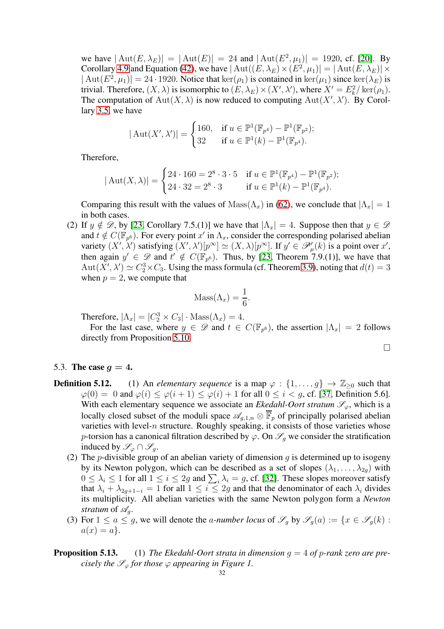we have  $|\text{Aut}(E, \lambda_E)| = |\text{Aut}(E)| = 24$  and  $|\text{Aut}(E^2, \mu_1)| = 1920$ , cf. [\[20\]](#page-36-15). By Corollary [4.9](#page-20-1) and Equation [\(42\)](#page-20-2), we have  $|\operatorname{Aut}((E, \lambda_E) \times (E^2, \mu_1)| = |\operatorname{Aut}(E, \lambda_E)| \times$  $|\text{Aut}(E^2, \mu_1)| = 24 \cdot 1920$ . Notice that  $\ker(\rho_1)$  is contained in  $\ker(\mu_1)$  since  $\ker(\lambda_E)$  is trivial. Therefore,  $(X, \lambda)$  is isomorphic to  $(E, \lambda_E) \times (X', \lambda')$ , where  $X' = E_k^2 / \text{ker}(\rho_1)$ . The computation of  $Aut(X, \lambda)$  is now reduced to computing  $Aut(X', \lambda')$ . By Corollary [3.5,](#page-13-2) we have

$$
|\operatorname{Aut}(X',\lambda')| = \begin{cases} 160, & \text{if } u \in \mathbb{P}^1(\mathbb{F}_{p^4}) - \mathbb{P}^1(\mathbb{F}_{p^2}); \\ 32 & \text{if } u \in \mathbb{P}^1(k) - \mathbb{P}^1(\mathbb{F}_{p^4}). \end{cases}
$$

Therefore,

$$
|\operatorname{Aut}(X,\lambda)| = \begin{cases} 24 \cdot 160 = 2^8 \cdot 3 \cdot 5 & \text{if } u \in \mathbb{P}^1(\mathbb{F}_{p^4}) - \mathbb{P}^1(\mathbb{F}_{p^2}); \\ 24 \cdot 32 = 2^8 \cdot 3 & \text{if } u \in \mathbb{P}^1(k) - \mathbb{P}^1(\mathbb{F}_{p^4}). \end{cases}
$$

Comparing this result with the values of  $\text{Mass}(\Lambda_x)$  in [\(62\)](#page-30-0), we conclude that  $|\Lambda_x| = 1$ in both cases.

(2) If  $y \notin \mathcal{D}$ , by [\[23,](#page-36-5) Corollary 7.5.(1)] we have that  $|\Lambda_x| = 4$ . Suppose then that  $y \in \mathcal{D}$ and  $t \notin C(\mathbb{F}_{p^6})$ . For every point  $x'$  in  $\Lambda_x$ , consider the corresponding polarised abelian variety  $(X', \lambda')$  satisfying  $(X', \lambda')[p^{\infty}] \simeq (X, \lambda)[p^{\infty}]$ . If  $y' \in \mathscr{P}'_{\mu}(k)$  is a point over  $x'$ , then again  $y' \in \mathscr{D}$  and  $t' \notin C(\mathbb{F}_{p^6})$ . Thus, by [\[23,](#page-36-5) Theorem 7.9.(1)], we have that  $Aut(X', \lambda') \simeq C_2^3 \times C_3$ . Using the mass formula (cf. Theorem [3.9\)](#page-15-0), noting that  $d(t) = 3$ when  $p = 2$ , we compute that

$$
Mass(\Lambda_x) = \frac{1}{6}.
$$

Therefore,  $|\Lambda_x| = |C_2^3 \times C_3| \cdot \text{Mass}(\Lambda_x) = 4.$ 

For the last case, where  $y \in \mathscr{D}$  and  $t \in C(\mathbb{F}_{p^6})$ , the assertion  $|\Lambda_x| = 2$  follows directly from Proposition [5.10.](#page-28-3)

$$
\Box
$$

#### <span id="page-31-0"></span>5.3. The case  $q = 4$ .

- **Definition 5.12.** (1) An *elementary sequence* is a map  $\varphi : \{1, \ldots, g\} \to \mathbb{Z}_{\geq 0}$  such that  $\varphi(0) = 0$  and  $\varphi(i) \leq \varphi(i+1) \leq \varphi(i) + 1$  for all  $0 \leq i < g$ , cf. [\[37,](#page-37-7) Definition 5.6]. With each elementary sequence we associate an *Ekedahl-Oort stratum*  $\mathscr{S}_{\varphi}$ , which is a locally closed subset of the moduli space  $\mathscr{A}_{g,1,n} \otimes \overline{\mathbb{F}}_p$  of principally polarised abelian varieties with level- $n$  structure. Roughly speaking, it consists of those varieties whose p-torsion has a canonical filtration described by  $\varphi$ . On  $\mathscr{S}_q$  we consider the stratification induced by  $\mathscr{S}_{\varphi} \cap \mathscr{S}_{q}$ .
	- (2) The *p*-divisible group of an abelian variety of dimension g is determined up to isogeny by its Newton polygon, which can be described as a set of slopes  $(\lambda_1, \ldots, \lambda_{2q})$  with  $0 \leq \lambda_i \leq 1$  for all  $1 \leq i \leq 2g$  and  $\sum_i \lambda_i = g$ , cf. [\[32\]](#page-37-25). These slopes moreover satisfy that  $\lambda_i + \lambda_{2q+1-i} = 1$  for all  $1 \leq i \leq 2q$  and that the denominator of each  $\lambda_i$  divides its multiplicity. All abelian varieties with the same Newton polygon form a *Newton stratum* of  $\mathcal{A}_q$ *.*
	- (3) For  $1 \le a \le g$ , we will denote the *a-number locus* of  $\mathscr{S}_g$  by  $\mathscr{S}_g(a) := \{x \in \mathscr{S}_g(k) :$  $a(x) = a$ .

# **Proposition 5.13.** (1) *The Ekedahl-Oort strata in dimension*  $q = 4$  *of* p-rank zero are pre*cisely the*  $\mathscr{S}_{\varphi}$  *for those*  $\varphi$  *appearing in Figure 1.*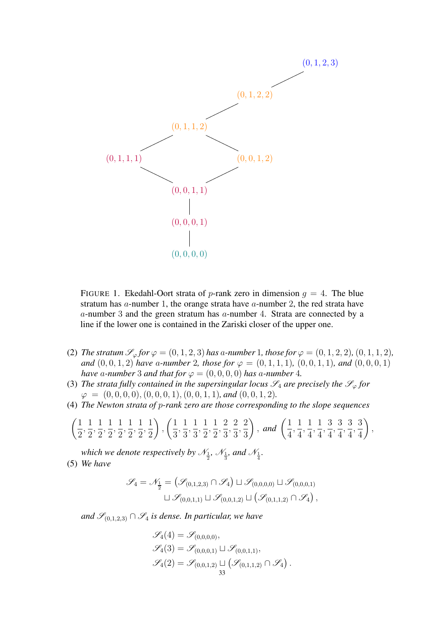

FIGURE 1. Ekedahl-Oort strata of p-rank zero in dimension  $q = 4$ . The blue stratum has a-number 1, the orange strata have a-number 2, the red strata have a-number 3 and the green stratum has a-number 4. Strata are connected by a line if the lower one is contained in the Zariski closer of the upper one.

- (2) *The stratum*  $\mathcal{S}_{\varphi}$  *for*  $\varphi = (0, 1, 2, 3)$  *has a-number* 1*, those for*  $\varphi = (0, 1, 2, 2)$ *,*  $(0, 1, 1, 2)$ *, and*  $(0, 0, 1, 2)$  *have* a-number 2*, those for*  $\varphi = (0, 1, 1, 1)$ *,*  $(0, 0, 1, 1)$ *, and*  $(0, 0, 0, 1)$ *have* a-number 3 and that for  $\varphi = (0, 0, 0, 0)$  has a-number 4.
- (3) *The strata fully contained in the supersingular locus*  $\mathscr{S}_4$  *are precisely the*  $\mathscr{S}_{\varphi}$  *for*  $\varphi = (0, 0, 0, 0), (0, 0, 0, 1), (0, 0, 1, 1),$  and  $(0, 0, 1, 2)$ *.*
- (4) *The Newton strata of* p*-rank zero are those corresponding to the slope sequences*

$$
\left(\frac{1}{2},\frac{1}{2},\frac{1}{2},\frac{1}{2},\frac{1}{2},\frac{1}{2},\frac{1}{2}\right),\left(\frac{1}{3},\frac{1}{3},\frac{1}{3},\frac{1}{2},\frac{1}{2},\frac{2}{3},\frac{2}{3},\frac{2}{3}\right),\text{ and } \left(\frac{1}{4},\frac{1}{4},\frac{1}{4},\frac{1}{4},\frac{3}{4},\frac{3}{4},\frac{3}{4},\frac{3}{4}\right),
$$

which we denote respectively by  $\mathcal{N}_{\frac{1}{2}}$ ,  $\mathcal{N}_{\frac{1}{3}}$ , and  $\mathcal{N}_{\frac{1}{4}}$ . (5) *We have*

$$
\mathscr{S}_4 = \mathscr{N}_{\frac{1}{2}} = (\mathscr{S}_{(0,1,2,3)} \cap \mathscr{S}_4) \sqcup \mathscr{S}_{(0,0,0,0)} \sqcup \mathscr{S}_{(0,0,0,1)} \sqcup \mathscr{S}_{(0,0,1,1)} \sqcup \mathscr{S}_{(0,0,1,2)} \sqcup (\mathscr{S}_{(0,1,1,2)} \cap \mathscr{S}_4),
$$

*and*  $\mathcal{S}_{(0,1,2,3)}$  ∩  $\mathcal{S}_4$  *is dense. In particular, we have* 

$$
\mathscr{S}_4(4) = \mathscr{S}_{(0,0,0,0)}, \n\mathscr{S}_4(3) = \mathscr{S}_{(0,0,0,1)} \sqcup \mathscr{S}_{(0,0,1,1)}, \n\mathscr{S}_4(2) = \mathscr{S}_{(0,0,1,2)} \sqcup (\mathscr{S}_{(0,1,1,2)} \cap \mathscr{S}_4).
$$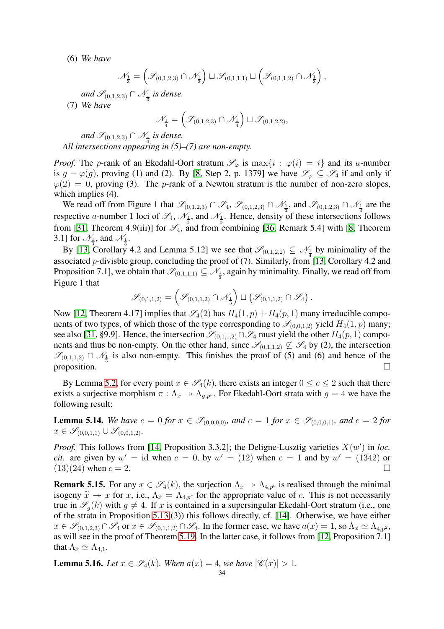(6) *We have*

$$
\mathscr{N}_{\frac{1}{3}}=\left(\mathscr{S}_{(0,1,2,3)}\cap \mathscr{N}_{\frac{1}{3}}\right)\sqcup \mathscr{S}_{(0,1,1,1)}\sqcup \left(\mathscr{S}_{(0,1,1,2)}\cap \mathscr{N}_{\frac{1}{3}}\right),
$$

*and*  $\mathscr{S}_{(0,1,2,3)}$  ∩  $\mathscr{N}_{\frac{1}{3}}$  *is dense.* 

(7) *We have*

$$
\mathcal{N}_{\frac{1}{4}}=\left(\mathcal{S}_{(0,1,2,3)}\cap \mathcal{N}_{\frac{1}{4}}\right)\sqcup \mathcal{S}_{(0,1,2,2)},
$$

and  $\mathscr{S}_{(0,1,2,3)} \cap \mathscr{N}_{\frac{1}{4}}$  is dense. *All intersections appearing in (5)–(7) are non-empty.*

*Proof.* The p-rank of an Ekedahl-Oort stratum  $\mathscr{S}_{\varphi}$  is  $\max\{i : \varphi(i) = i\}$  and its a-number is  $g - \varphi(g)$ , proving (1) and (2). By [\[8,](#page-36-20) Step 2, p. 1379] we have  $\mathscr{S}_{\varphi} \subseteq \mathscr{S}_4$  if and only if  $\varphi(2) = 0$ , proving (3). The p-rank of a Newton stratum is the number of non-zero slopes, which implies (4).

We read off from Figure 1 that  $\mathscr{S}_{(0,1,2,3)} \cap \mathscr{S}_4$ ,  $\mathscr{S}_{(0,1,2,3)} \cap \mathscr{N}_{\frac{1}{3}}$  and  $\mathscr{S}_{(0,1,2,3)} \cap \mathscr{N}_{\frac{1}{3}}$  are the respective a-number 1 loci of  $\mathscr{S}_4$ ,  $\mathscr{N}_{\frac{1}{3}}$ , and  $\mathscr{N}_{\frac{1}{3}}$ . Hence, density of these intersections follows from [\[31,](#page-37-6) Theorem 4.9(iii)] for  $\mathcal{S}_4$ , and from combining [\[36,](#page-37-26) Remark 5.4] with [\[8,](#page-36-20) Theorem 3.1] for  $\mathcal{N}_\frac{1}{2}$ , and  $\mathcal{N}_\frac{1}{2}$ .

By [\[13,](#page-36-21) Corollary 4.2 and Lemma 5.12] we see that  $\mathscr{S}_{(0,1,2,2)} \subseteq \mathscr{N}_{\frac{1}{4}}$  by minimality of the associated p-divisble group, concluding the proof of (7). Similarly, from [\[13,](#page-36-21) Corollary 4.2 and Proposition 7.1], we obtain that  $\mathscr{S}_{(0,1,1,1)} \subseteq \mathscr{N}_{\frac{1}{3}}$ , again by minimality. Finally, we read off from Figure 1 that

$$
\mathscr{S}_{(0,1,1,2)} = \left(\mathscr{S}_{(0,1,1,2)} \cap \mathscr{N}_{\frac{1}{3}}\right) \sqcup \left(\mathscr{S}_{(0,1,1,2)} \cap \mathscr{S}_{4}\right).
$$

Now [\[12,](#page-36-22) Theorem 4.17] implies that  $\mathcal{S}_4(2)$  has  $H_4(1,p) + H_4(p, 1)$  many irreducible components of two types, of which those of the type corresponding to  $\mathscr{S}_{(0,0,1,2)}$  yield  $H_4(1,p)$  many; see also [\[31,](#page-37-6) §9.9]. Hence, the intersection  $\mathscr{S}_{(0,1,1,2)} \cap \mathscr{S}_4$  must yield the other  $H_4(p, 1)$  components and thus be non-empty. On the other hand, since  $\mathscr{S}_{(0,1,1,2)} \not\subseteq \mathscr{S}_4$  by (2), the intersection  $\mathscr{S}_{(0,1,1,2)} \cap \mathscr{N}_{\frac{1}{3}}$  is also non-empty. This finishes the proof of (5) and (6) and hence of the proposition.  $\Box$ 

By Lemma [5.2,](#page-25-1) for every point  $x \in \mathscr{S}_4(k)$ , there exists an integer  $0 \le c \le 2$  such that there exists a surjective morphism  $\pi : \Lambda_x \to \Lambda_{q,p^c}$ . For Ekedahl-Oort strata with  $g = 4$  we have the following result:

<span id="page-33-0"></span>**Lemma 5.14.** We have  $c = 0$  for  $x \in \mathscr{S}_{(0,0,0,0)}$ , and  $c = 1$  for  $x \in \mathscr{S}_{(0,0,0,1)}$ , and  $c = 2$  for  $x \in \mathscr{S}_{(0,0,1,1)} \cup \mathscr{S}_{(0,0,1,2)}$ .

*Proof.* This follows from [\[14,](#page-36-11) Proposition 3.3.2]; the Deligne-Lusztig varieties  $X(w')$  in loc. *cit.* are given by  $w' = id$  when  $c = 0$ , by  $w' = (12)$  when  $c = 1$  and by  $w' = (1342)$  or  $(13)(24)$  when  $c = 2$ .

**Remark 5.15.** For any  $x \in \mathscr{S}_4(k)$ , the surjection  $\Lambda_x \to \Lambda_{4,p^c}$  is realised through the minimal isogeny  $\tilde{x} \to x$  for x, i.e.,  $\Lambda_{\tilde{x}} = \Lambda_{4,p^c}$  for the appropriate value of c. This is not necessarily true in  $\mathscr{S}_q(k)$  with  $q \neq 4$ . If x is contained in a supersingular Ekedahl-Oort stratum (i.e., one of the strata in Proposition 5.13.(3)) this follows directly, cf. [\[14\]](#page-36-11). Otherwise, we have either  $x \in \mathscr{S}_{(0,1,2,3)} \cap \mathscr{S}_4$  or  $x \in \mathscr{S}_{(0,1,1,2)} \cap \mathscr{S}_4$ . In the former case, we have  $a(x) = 1$ , so  $\Lambda_{\tilde{x}} \simeq \Lambda_{4,p^2}$ , as will see in the proof of Theorem [5.19.](#page-34-0) In the latter case, it follows from [\[12,](#page-36-22) Proposition 7.1] that  $\Lambda_{\widetilde{\alpha}} \simeq \Lambda_{4,1}$ .

<span id="page-33-1"></span>**Lemma 5.16.** *Let*  $x \in \mathscr{S}_4(k)$ *. When*  $a(x) = 4$ *, we have*  $|\mathscr{C}(x)| > 1$ *.*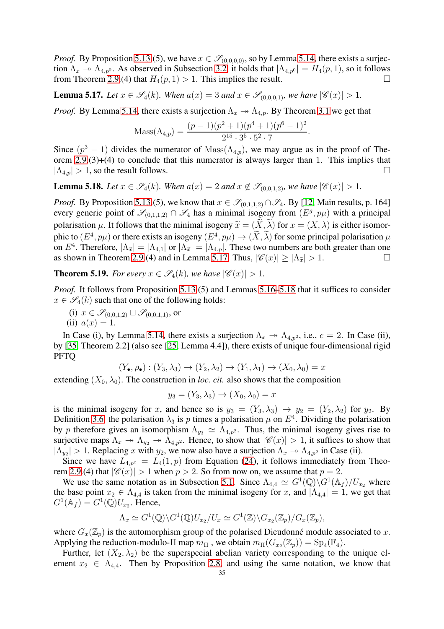*Proof.* By Proposition 5.13.(5), we have  $x \in \mathscr{S}_{(0,0,0,0)}$ , so by Lemma [5.14,](#page-33-0) there exists a surjection  $\Lambda_x \to \Lambda_{4,p^0}$ . As observed in Subsection [3.2,](#page-10-1) it holds that  $|\Lambda_{4,p^0}| = H_4(p, 1)$ , so it follows from Theorem [2.9.](#page-8-0)(4) that  $H_4(p, 1) > 1$ . This implies the result.

<span id="page-34-1"></span>**Lemma 5.17.** *Let*  $x \in \mathscr{S}_4(k)$ *. When*  $a(x) = 3$  *and*  $x \in \mathscr{S}_{(0,0,0,1)}$ *, we have*  $|\mathscr{C}(x)| > 1$ *.* 

*Proof.* By Lemma [5.14,](#page-33-0) there exists a surjection  $\Lambda_x \rightarrow \Lambda_{4,n}$ . By Theorem [3.1](#page-11-0) we get that

$$
Mass(\Lambda_{4,p}) = \frac{(p-1)(p^2+1)(p^4+1)(p^6-1)^2}{2^{15} \cdot 3^5 \cdot 5^2 \cdot 7}.
$$

Since  $(p^3 - 1)$  divides the numerator of Mass $(\Lambda_{4,p})$ , we may argue as in the proof of Theorem  $2.9(3)+(4)$  to conclude that this numerator is always larger than 1. This implies that  $|\Lambda_{4,p}| > 1$ , so the result follows.

<span id="page-34-2"></span>**Lemma 5.18.** *Let*  $x \in \mathscr{S}_4(k)$ *. When*  $a(x) = 2$  *and*  $x \notin \mathscr{S}_{(0,0,1,2)}$ *, we have*  $|\mathscr{C}(x)| > 1$ *.* 

*Proof.* By Proposition 5.13.(5), we know that  $x \in \mathcal{S}_{(0,1,1,2)} \cap \mathcal{S}_4$ . By [\[12,](#page-36-22) Main results, p. 164] every generic point of  $\mathscr{S}_{(0,1,1,2)} \cap \mathscr{S}_4$  has a minimal isogeny from  $(E^g, p\mu)$  with a principal polarisation  $\mu$ . It follows that the minimal isogeny  $\tilde{x} = (\tilde{X}, \tilde{\lambda})$  for  $x = (X, \lambda)$  is either isomorphic to  $(E^4, p\mu)$  or there exists an isogeny  $(E^4, p\mu) \rightarrow (\tilde{X}, \tilde{\lambda})$  for some principal polarisation  $\mu$ on  $E^4$ . Therefore,  $|\Lambda_{\tilde{x}}| = |\Lambda_{4,1}|$  or  $|\Lambda_{\tilde{x}}| = |\Lambda_{4,p}|$ . These two numbers are both greater than one as shown in Theorem [2.9.](#page-8-0)(4) and in Lemma [5.17.](#page-34-1) Thus,  $|\mathscr{C}(x)| > |\Lambda_{\tilde{\tau}}| > 1$ .

<span id="page-34-0"></span>**Theorem 5.19.** *For every*  $x \in \mathscr{S}_4(k)$ *, we have*  $|\mathscr{C}(x)| > 1$ *.* 

*Proof.* It follows from Proposition 5.13.(5) and Lemmas [5.16–](#page-33-1)[5.18](#page-34-2) that it suffices to consider  $x \in \mathscr{S}_4(k)$  such that one of the following holds:

(i) 
$$
x \in \mathcal{S}_{(0,0,1,2)} \sqcup \mathcal{S}_{(0,0,1,1)}
$$
, or

(ii) 
$$
a(x) = 1
$$
.

In Case (i), by Lemma [5.14,](#page-33-0) there exists a surjection  $\Lambda_x \to \Lambda_{4,p^2}$ , i.e.,  $c = 2$ . In Case (ii), by [\[35,](#page-37-27) Theorem 2.2] (also see [\[25,](#page-37-16) Lemma 4.4]), there exists of unique four-dimensional rigid PFTQ

$$
(Y_{\bullet}, \rho_{\bullet}) : (Y_3, \lambda_3) \to (Y_2, \lambda_2) \to (Y_1, \lambda_1) \to (X_0, \lambda_0) = x
$$

extending  $(X_0, \lambda_0)$ . The construction in *loc. cit.* also shows that the composition

$$
y_3 = (Y_3, \lambda_3) \to (X_0, \lambda_0) = x
$$

is the minimal isogeny for x, and hence so is  $y_3 = (Y_3, \lambda_3) \rightarrow y_2 = (Y_2, \lambda_2)$  for  $y_2$ . By Definition [3.6,](#page-13-3) the polarisation  $\lambda_3$  is p times a polarisation  $\mu$  on  $E^4$ . Dividing the polarisation by p therefore gives an isomorphism  $\Lambda_{y_3} \simeq \Lambda_{4,p^2}$ . Thus, the minimal isogeny gives rise to surjective maps  $\Lambda_x \to \Lambda_{y_2} \to \Lambda_{4,p^2}$ . Hence, to show that  $|\mathscr{C}(x)| > 1$ , it suffices to show that  $|\Lambda_{y_2}| > 1$ . Replacing x with  $y_2$ , we now also have a surjection  $\Lambda_x \to \Lambda_{4,p^2}$  in Case (ii).

Since we have  $L_{4,p^c} = L_4(1,p)$  from Equation [\(24\)](#page-11-1), it follows immediately from Theo-rem [2.9.](#page-8-0)(4) that  $|\mathscr{C}(x)| > 1$  when  $p > 2$ . So from now on, we assume that  $p = 2$ .

We use the same notation as in Subsection [5.1.](#page-25-2) Since  $\Lambda_{4,4} \simeq G^1(\mathbb{Q}) \backslash G^1(\mathbb{A}_f) / U_{x_2}$  where the base point  $x_2 \in \Lambda_{4,4}$  is taken from the minimal isogeny for x, and  $|\Lambda_{4,4}| = 1$ , we get that  $G^1(\mathbb{A}_f) = G^1(\mathbb{Q})U_{x_2}$ . Hence,

$$
\Lambda_x \simeq G^1(\mathbb{Q}) \backslash G^1(\mathbb{Q}) U_{x_2} / U_x \simeq G^1(\mathbb{Z}) \backslash G_{x_2}(\mathbb{Z}_p) / G_x(\mathbb{Z}_p),
$$

where  $G_x(\mathbb{Z}_p)$  is the automorphism group of the polarised Dieudonné module associated to x. Applying the reduction-modulo- $\Pi$  map  $m_{\Pi}$  , we obtain  $m_{\Pi}(G_{x_2}(\mathbb{Z}_p)) = \text{Sp}_4(\mathbb{F}_4)$ .

Further, let  $(X_2, \lambda_2)$  be the superspecial abelian variety corresponding to the unique element  $x_2 \in \Lambda_{4,4}$ . Then by Proposition [2.8,](#page-8-2) and using the same notation, we know that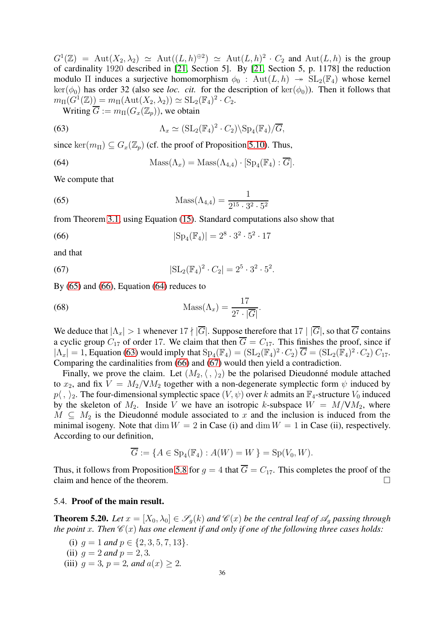$G^1(\mathbb{Z}) = \text{Aut}(X_2, \lambda_2) \simeq \text{Aut}((L, h)^{\oplus 2}) \simeq \text{Aut}(L, h)^2 \cdot C_2$  and  $\text{Aut}(L, h)$  is the group of cardinality 1920 described in [\[21,](#page-36-3) Section 5]. By [\[21,](#page-36-3) Section 5, p. 1178] the reduction modulo Π induces a surjective homomorphism  $\phi_0$  : Aut $(L, h) \rightarrow SL_2(\mathbb{F}_4)$  whose kernel  $\ker(\phi_0)$  has order 32 (also see *loc. cit.* for the description of  $\ker(\phi_0)$ ). Then it follows that  $m_{\Pi}(G^1(\mathbb{Z})) = m_{\Pi}(\text{Aut}(X_2, \lambda_2)) \simeq \text{SL}_2(\mathbb{F}_4)^2 \cdot C_2.$ 

<span id="page-35-4"></span>Writing  $\overline{G} := m_{\Pi}(G_x(\mathbb{Z}_p))$ , we obtain

(63) 
$$
\Lambda_x \simeq (\mathrm{SL}_2(\mathbb{F}_4)^2 \cdot C_2) \backslash \mathrm{Sp}_4(\mathbb{F}_4) / \overline{G},
$$

since ker $(m_{\Pi}) \subseteq G_x(\mathbb{Z}_p)$  (cf. the proof of Proposition [5.10\)](#page-28-3). Thus,

<span id="page-35-3"></span>(64) 
$$
\operatorname{Mass}(\Lambda_x) = \operatorname{Mass}(\Lambda_{4,4}) \cdot [\operatorname{Sp}_4(\mathbb{F}_4) : \overline{G}].
$$

We compute that

<span id="page-35-1"></span>(65) 
$$
Mass(\Lambda_{4,4}) = \frac{1}{2^{15} \cdot 3^2 \cdot 5^2}
$$

from Theorem [3.1,](#page-11-0) using Equation [\(15\)](#page-7-3). Standard computations also show that

<span id="page-35-2"></span>(66) 
$$
|\mathrm{Sp}_4(\mathbb{F}_4)| = 2^8 \cdot 3^2 \cdot 5^2 \cdot 17
$$

and that

<span id="page-35-5"></span>(67) 
$$
|\mathrm{SL}_2(\mathbb{F}_4)^2 \cdot C_2| = 2^5 \cdot 3^2 \cdot 5^2.
$$

By [\(65\)](#page-35-1) and [\(66\)](#page-35-2), Equation [\(64\)](#page-35-3) reduces to

(68) 
$$
\text{Mass}(\Lambda_x) = \frac{17}{2^7 \cdot |\overline{G}|}.
$$

We deduce that  $|\Lambda_x| > 1$  whenever  $17 \nmid |\overline{G}|$ . Suppose therefore that  $17 \mid |\overline{G}|$ , so that  $\overline{G}$  contains a cyclic group  $C_{17}$  of order 17. We claim that then  $\overline{G} = C_{17}$ . This finishes the proof, since if  $|\Lambda_x| = 1$ , Equation [\(63\)](#page-35-4) would imply that  $Sp_4(\mathbb{F}_4) = (SL_2(\mathbb{F}_4)^2 \cdot C_2) \overline{G} = (SL_2(\mathbb{F}_4)^2 \cdot C_2) C_{17}$ . Comparing the cardinalities from [\(66\)](#page-35-2) and [\(67\)](#page-35-5) would then yield a contradiction.

Finally, we prove the claim. Let  $(M_2, \langle , \rangle_2)$  be the polarised Dieudonné module attached to  $x_2$ , and fix  $V = M_2/VM_2$  together with a non-degenerate symplectic form  $\psi$  induced by  $p\langle, \rangle_2$ . The four-dimensional symplectic space  $(V, \psi)$  over k admits an  $\mathbb{F}_4$ -structure  $V_0$  induced by the skeleton of  $M_2$ . Inside V we have an isotropic k-subspace  $W = M / VM_2$ , where  $M \subseteq M_2$  is the Dieudonné module associated to x and the inclusion is induced from the minimal isogeny. Note that  $\dim W = 2$  in Case (i) and  $\dim W = 1$  in Case (ii), respectively. According to our definition,

$$
\overline{G} := \{ A \in \text{Sp}_4(\mathbb{F}_4) : A(W) = W \} = \text{Sp}(V_0, W).
$$

Thus, it follows from Proposition [5.8](#page-27-0) for  $q = 4$  that  $\overline{G} = C_{17}$ . This completes the proof of the claim and hence of the theorem.  $\Box$ 

#### 5.4. Proof of the main result.

<span id="page-35-0"></span>**Theorem 5.20.** Let  $x = [X_0, \lambda_0] \in \mathscr{S}_a(k)$  and  $\mathscr{C}(x)$  be the central leaf of  $\mathscr{A}_a$  passing through *the point* x. Then  $\mathscr{C}(x)$  *has one element if and only if one of the following three cases holds:* 

(i) 
$$
g = 1
$$
 and  $p \in \{2, 3, 5, 7, 13\}$ .  
\n(ii)  $g = 2$  and  $p = 2, 3$ .  
\n(iii)  $g = 3$ ,  $p = 2$ , and  $a(x) \ge 2$ .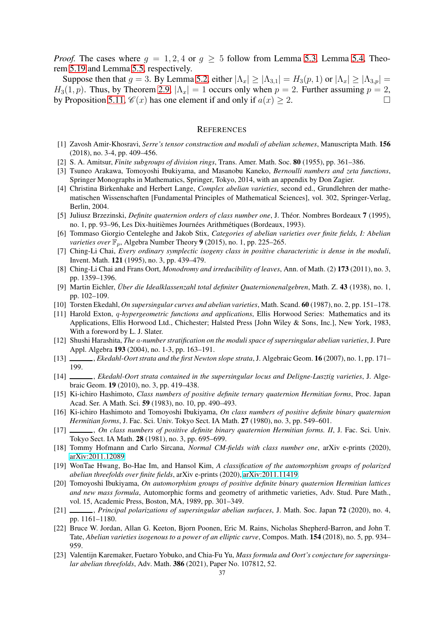*Proof.* The cases where  $q = 1, 2, 4$  or  $q > 5$  follow from Lemma [5.3,](#page-25-3) Lemma [5.4,](#page-25-4) Theorem [5.19](#page-34-0) and Lemma [5.5,](#page-26-2) respectively.

Suppose then that  $g = 3$ . By Lemma [5.2,](#page-25-1) either  $|\Lambda_x| \ge |\Lambda_{3,1}| = H_3(p, 1)$  or  $|\Lambda_x| \ge |\Lambda_{3,p}| =$  $H_3(1, p)$ . Thus, by Theorem [2.9,](#page-8-0)  $|\Lambda_x| = 1$  occurs only when  $p = 2$ . Further assuming  $p = 2$ , by Proposition 5.11,  $\mathcal{C}(x)$  has one element if and only if  $a(x) > 2$ . by Proposition [5.11,](#page-30-1)  $\mathcal{C}(x)$  has one element if and only if  $a(x) \geq 2$ .

#### **REFERENCES**

- <span id="page-36-18"></span><span id="page-36-16"></span>[1] Zavosh Amir-Khosravi, *Serre's tensor construction and moduli of abelian schemes*, Manuscripta Math. 156 (2018), no. 3-4, pp. 409–456.
- <span id="page-36-8"></span>[2] S. A. Amitsur, *Finite subgroups of division rings*, Trans. Amer. Math. Soc. 80 (1955), pp. 361–386.
- <span id="page-36-14"></span>[3] Tsuneo Arakawa, Tomoyoshi Ibukiyama, and Masanobu Kaneko, *Bernoulli numbers and zeta functions*, Springer Monographs in Mathematics, Springer, Tokyo, 2014, with an appendix by Don Zagier.
- [4] Christina Birkenhake and Herbert Lange, *Complex abelian varieties*, second ed., Grundlehren der mathematischen Wissenschaften [Fundamental Principles of Mathematical Sciences], vol. 302, Springer-Verlag, Berlin, 2004.
- <span id="page-36-1"></span>[5] Juliusz Brzezinski, *Definite quaternion orders of class number one*, J. Théor. Nombres Bordeaux 7 (1995), no. 1, pp. 93–96, Les Dix-huitièmes Journées Arithmétiques (Bordeaux, 1993).
- <span id="page-36-19"></span>[6] Tommaso Giorgio Centeleghe and Jakob Stix, *Categories of abelian varieties over finite fields, I: Abelian varieties over*  $\mathbb{F}_n$ , Algebra Number Theory 9 (2015), no. 1, pp. 225–265.
- <span id="page-36-2"></span>[7] Ching-Li Chai, *Every ordinary symplectic isogeny class in positive characteristic is dense in the moduli*, Invent. Math. 121 (1995), no. 3, pp. 439–479.
- <span id="page-36-20"></span>[8] Ching-Li Chai and Frans Oort, *Monodromy and irreducibility of leaves*, Ann. of Math. (2) 173 (2011), no. 3, pp. 1359–1396.
- <span id="page-36-9"></span>[9] Martin Eichler, *Über die Idealklassenzahl total definiter Quaternionenalgebren*, Math. Z. 43 (1938), no. 1, pp. 102–109.
- <span id="page-36-13"></span><span id="page-36-12"></span>[10] Torsten Ekedahl, *On supersingular curves and abelian varieties*, Math. Scand. 60 (1987), no. 2, pp. 151–178.
- [11] Harold Exton, q*-hypergeometric functions and applications*, Ellis Horwood Series: Mathematics and its Applications, Ellis Horwood Ltd., Chichester; Halsted Press [John Wiley & Sons, Inc.], New York, 1983, With a foreword by L. J. Slater.
- <span id="page-36-22"></span>[12] Shushi Harashita, *The* a*-number stratification on the moduli space of supersingular abelian varieties*, J. Pure Appl. Algebra 193 (2004), no. 1-3, pp. 163–191.
- <span id="page-36-21"></span><span id="page-36-11"></span>[13] , *Ekedahl-Oort strata and the first Newton slope strata*, J. Algebraic Geom. 16 (2007), no. 1, pp. 171– 199.
- [14] , *Ekedahl-Oort strata contained in the supersingular locus and Deligne-Lusztig varieties*, J. Algebraic Geom. 19 (2010), no. 3, pp. 419–438.
- <span id="page-36-4"></span>[15] Ki-ichiro Hashimoto, *Class numbers of positive definite ternary quaternion Hermitian forms*, Proc. Japan Acad. Ser. A Math. Sci. 59 (1983), no. 10, pp. 490–493.
- <span id="page-36-7"></span>[16] Ki-ichiro Hashimoto and Tomoyoshi Ibukiyama, *On class numbers of positive definite binary quaternion Hermitian forms*, J. Fac. Sci. Univ. Tokyo Sect. IA Math. 27 (1980), no. 3, pp. 549–601.
- <span id="page-36-10"></span>[17] , *On class numbers of positive definite binary quaternion Hermitian forms. II*, J. Fac. Sci. Univ. Tokyo Sect. IA Math. 28 (1981), no. 3, pp. 695–699.
- <span id="page-36-17"></span><span id="page-36-0"></span>[18] Tommy Hofmann and Carlo Sircana, *Normal CM-fields with class number one*, arXiv e-prints (2020), [arXiv:2011.12089.](http://arxiv.org/abs/2011.12089)
- [19] WonTae Hwang, Bo-Hae Im, and Hansol Kim, *A classification of the automorphism groups of polarized abelian threefolds over finite fields*, arXiv e-prints (2020), [arXiv:2011.11419.](http://arxiv.org/abs/2011.11419)
- <span id="page-36-15"></span>[20] Tomoyoshi Ibukiyama, *On automorphism groups of positive definite binary quaternion Hermitian lattices and new mass formula*, Automorphic forms and geometry of arithmetic varieties, Adv. Stud. Pure Math., vol. 15, Academic Press, Boston, MA, 1989, pp. 301–349.
- <span id="page-36-3"></span>[21] , *Principal polarizations of supersingular abelian surfaces*, J. Math. Soc. Japan 72 (2020), no. 4, pp. 1161–1180.
- <span id="page-36-6"></span>[22] Bruce W. Jordan, Allan G. Keeton, Bjorn Poonen, Eric M. Rains, Nicholas Shepherd-Barron, and John T. Tate, *Abelian varieties isogenous to a power of an elliptic curve*, Compos. Math. 154 (2018), no. 5, pp. 934– 959.
- <span id="page-36-5"></span>[23] Valentijn Karemaker, Fuetaro Yobuko, and Chia-Fu Yu, *Mass formula and Oort's conjecture for supersingular abelian threefolds*, Adv. Math. 386 (2021), Paper No. 107812, 52.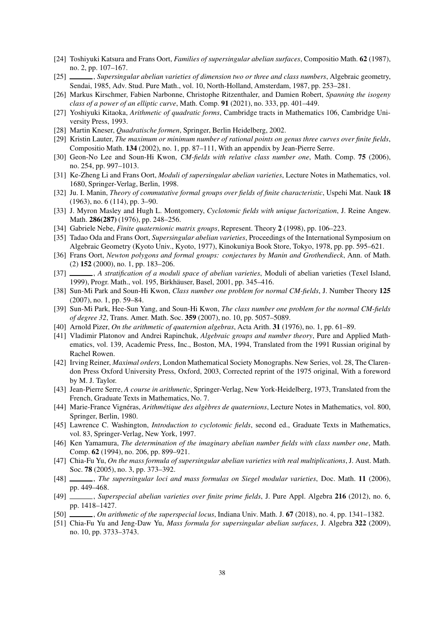- <span id="page-37-17"></span><span id="page-37-16"></span>[24] Toshiyuki Katsura and Frans Oort, *Families of supersingular abelian surfaces*, Compositio Math. 62 (1987), no. 2, pp. 107–167.
- <span id="page-37-19"></span>[25] , *Supersingular abelian varieties of dimension two or three and class numbers*, Algebraic geometry, Sendai, 1985, Adv. Stud. Pure Math., vol. 10, North-Holland, Amsterdam, 1987, pp. 253–281.
- <span id="page-37-8"></span>[26] Markus Kirschmer, Fabien Narbonne, Christophe Ritzenthaler, and Damien Robert, *Spanning the isogeny class of a power of an elliptic curve*, Math. Comp. 91 (2021), no. 333, pp. 401–449.
- <span id="page-37-9"></span>[27] Yoshiyuki Kitaoka, *Arithmetic of quadratic forms*, Cambridge tracts in Mathematics 106, Cambridge University Press, 1993.
- <span id="page-37-20"></span>[28] Martin Kneser, *Quadratische formen*, Springer, Berlin Heidelberg, 2002.
- <span id="page-37-3"></span>[29] Kristin Lauter, *The maximum or minimum number of rational points on genus three curves over finite fields*, Compositio Math. 134 (2002), no. 1, pp. 87–111, With an appendix by Jean-Pierre Serre.
- <span id="page-37-6"></span>[30] Geon-No Lee and Soun-Hi Kwon, *CM-fields with relative class number one*, Math. Comp. 75 (2006), no. 254, pp. 997–1013.
- <span id="page-37-25"></span>[31] Ke-Zheng Li and Frans Oort, *Moduli of supersingular abelian varieties*, Lecture Notes in Mathematics, vol. 1680, Springer-Verlag, Berlin, 1998.
- <span id="page-37-0"></span>[32] Ju. I. Manin, *Theory of commutative formal groups over fields of finite characteristic*, Uspehi Mat. Nauk 18 (1963), no. 6 (114), pp. 3–90.
- <span id="page-37-18"></span>[33] J. Myron Masley and Hugh L. Montgomery, *Cyclotomic fields with unique factorization*, J. Reine Angew. Math. 286(287) (1976), pp. 248–256.
- <span id="page-37-27"></span>[34] Gabriele Nebe, *Finite quaternionic matrix groups*, Represent. Theory 2 (1998), pp. 106–223.
- <span id="page-37-26"></span>[35] Tadao Oda and Frans Oort, *Supersingular abelian varieties*, Proceedings of the International Symposium on Algebraic Geometry (Kyoto Univ., Kyoto, 1977), Kinokuniya Book Store, Tokyo, 1978, pp. pp. 595–621.
- <span id="page-37-7"></span>[36] Frans Oort, *Newton polygons and formal groups: conjectures by Manin and Grothendieck*, Ann. of Math. (2) 152 (2000), no. 1, pp. 183–206.
- [37] , *A stratification of a moduli space of abelian varieties*, Moduli of abelian varieties (Texel Island, 1999), Progr. Math., vol. 195, Birkhäuser, Basel, 2001, pp. 345–416.
- <span id="page-37-4"></span>[38] Sun-Mi Park and Soun-Hi Kwon, *Class number one problem for normal CM-fields*, J. Number Theory 125 (2007), no. 1, pp. 59–84.
- <span id="page-37-5"></span>[39] Sun-Mi Park, Hee-Sun Yang, and Soun-Hi Kwon, *The class number one problem for the normal CM-fields of degree 32*, Trans. Amer. Math. Soc. 359 (2007), no. 10, pp. 5057–5089.
- <span id="page-37-23"></span><span id="page-37-12"></span>[40] Arnold Pizer, *On the arithmetic of quaternion algebras*, Acta Arith. 31 (1976), no. 1, pp. 61–89.
- [41] Vladimir Platonov and Andrei Rapinchuk, *Algebraic groups and number theory*, Pure and Applied Mathematics, vol. 139, Academic Press, Inc., Boston, MA, 1994, Translated from the 1991 Russian original by Rachel Rowen.
- <span id="page-37-24"></span>[42] Irving Reiner, *Maximal orders*, London Mathematical Society Monographs. New Series, vol. 28, The Clarendon Press Oxford University Press, Oxford, 2003, Corrected reprint of the 1975 original, With a foreword by M. J. Taylor.
- <span id="page-37-10"></span>[43] Jean-Pierre Serre, *A course in arithmetic*, Springer-Verlag, New York-Heidelberg, 1973, Translated from the French, Graduate Texts in Mathematics, No. 7.
- <span id="page-37-11"></span>[44] Marie-France Vignéras, *Arithmétique des algèbres de quaternions*, Lecture Notes in Mathematics, vol. 800, Springer, Berlin, 1980.
- <span id="page-37-1"></span>[45] Lawrence C. Washington, *Introduction to cyclotomic fields*, second ed., Graduate Texts in Mathematics, vol. 83, Springer-Verlag, New York, 1997.
- <span id="page-37-2"></span>[46] Ken Yamamura, *The determination of the imaginary abelian number fields with class number one*, Math. Comp. 62 (1994), no. 206, pp. 899–921.
- <span id="page-37-13"></span>[47] Chia-Fu Yu, *On the mass formula of supersingular abelian varieties with real multiplications*, J. Aust. Math. Soc. 78 (2005), no. 3, pp. 373–392.
- <span id="page-37-14"></span>[48] , *The supersingular loci and mass formulas on Siegel modular varieties*, Doc. Math. 11 (2006), pp. 449–468.
- <span id="page-37-22"></span>[49] , *Superspecial abelian varieties over finite prime fields*, J. Pure Appl. Algebra 216 (2012), no. 6, pp. 1418–1427.
- <span id="page-37-21"></span><span id="page-37-15"></span>[50] , *On arithmetic of the superspecial locus*, Indiana Univ. Math. J. 67 (2018), no. 4, pp. 1341–1382.
- [51] Chia-Fu Yu and Jeng-Daw Yu, *Mass formula for supersingular abelian surfaces*, J. Algebra 322 (2009), no. 10, pp. 3733–3743.